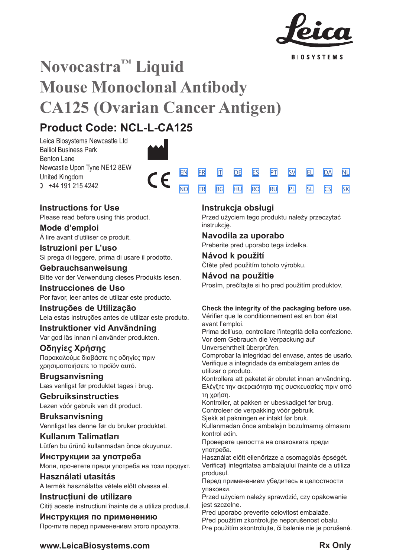

**BIOSYSTEMS** 

[SV](#page-20-0) [EL](#page-23-0) [DA](#page-26-0) [PL](#page-50-0) [SL](#page-53-0) [CS](#page-56-0)

[NL](#page-29-0)

[SK](#page-59-0)

# **Novocastra™ Liquid Mouse Monoclonal Antibody CA125 (Ovarian Cancer Antigen)**

 $\epsilon$ 

# **Product Code: NCL-L-CA125**

Leica Biosystems Newcastle Ltd Balliol Business Park Benton Lane Newcastle Upon Tyne NE12 8EW United Kingdom  $1 +44 191 215 4242$ 

## **Instructions for Use**

Please read before using this product.

**Mode d'emploi** Á lire avant d'utiliser ce produit.

**Istruzioni per L'uso** Si prega di leggere, prima di usare il prodotto.

## **Gebrauchsanweisung** Bitte vor der Verwendung dieses Produkts lesen.

**Instrucciones de Uso** Por favor, leer antes de utilizar este producto.

## **Instruções de Utilização** Leia estas instruções antes de utilizar este produto.

**Instruktioner vid Användning** Var god läs innan ni använder produkten.

## **Οδηγίες Χρήσης**

Παρακαλούμε διαβάστε τις οδηγίες πριν χρησιμοποιήσετε το προϊόν αυτό.

**Brugsanvisning** Læs venligst før produktet tages i brug.

## **Gebruiksinstructies** Lezen vóór gebruik van dit product.

**Bruksanvisning** Vennligst les denne før du bruker produktet.

**Kullanım Talimatları** Lütfen bu ürünü kullanmadan önce okuyunuz.

**Инструкции за употреба** Моля, прочетете преди употреба на този продукт.

**Használati utasítás** A termék használatba vétele előtt olvassa el.

**Instrucțiuni de utilizare** Citiți aceste instrucțiuni înainte de a utiliza produsul.

**Инструкция по применению** Прочтите перед применением этого продукта.

## **Instrukcja obsługi**

[EN](#page-2-0) [FR](#page-5-0) [IT](#page-8-0) [DE](#page-11-0) [ES](#page-14-0) [PT](#page-17-0) <u>[NO](#page-32-0) [TR](#page-35-0) [BG](#page-38-0) [HU](#page-41-0) [RO](#page-44-0) [RU](#page-47-0)</u>

> Przed użyciem tego produktu należy przeczytać instrukcję.

## **Navodila za uporabo**

Preberite pred uporabo tega izdelka.

**Návod k použití** Čtěte před použitím tohoto výrobku.

## **Návod na použitie**

Prosím, prečítajte si ho pred použitím produktov.

## **Check the integrity of the packaging before use.**

Vérifier que le conditionnement est en bon état avant l'emploi.

Prima dell'uso, controllare l'integrità della confezione. Vor dem Gebrauch die Verpackung auf

Unversehrtheit überprüfen.

Comprobar la integridad del envase, antes de usarlo. Verifique a integridade da embalagem antes de utilizar o produto.

Kontrollera att paketet är obrutet innan användning. Ελέγξτε την ακεραιότητα της συσκευασίας πριν από τη χρήση.

Kontroller, at pakken er ubeskadiget før brug. Controleer de verpakking vóór gebruik.

Sjekk at pakningen er intakt før bruk.

Kullanmadan önce ambalajın bozulmamış olmasını kontrol edin.

Проверете целостта на опаковката преди употреба.

Használat előtt ellenőrizze a csomagolás épségét. Verificați integritatea ambalajului înainte de a utiliza produsul.

Перед применением убедитесь в целостности упаковки.

Przed użyciem należy sprawdzić, czy opakowanie jest szczelne.

Pred uporabo preverite celovitost embalaže. Před použitím zkontrolujte neporušenost obalu.

Pre použitím skontrolujte, či balenie nie je porušené.

## **www.LeicaBiosystems.com Rx Only**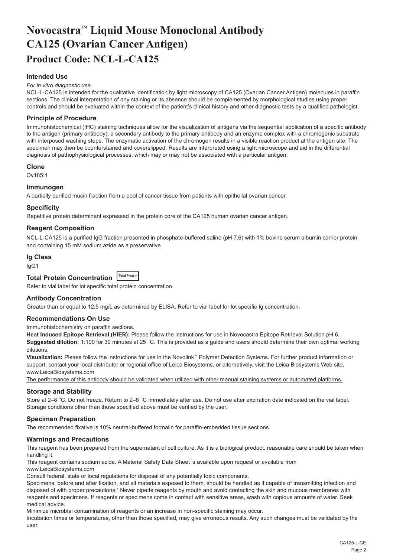# <span id="page-2-0"></span>**Novocastra™ Liquid Mouse Monoclonal Antibody CA125 (Ovarian Cancer Antigen) Product Code: NCL-L-CA125**

## **Intended Use**

#### *For in vitro diagnostic use.*

NCL-L-CA125 is intended for the qualitative identification by light microscopy of CA125 (Ovarian Cancer Antigen) molecules in paraffin sections. The clinical interpretation of any staining or its absence should be complemented by morphological studies using proper controls and should be evaluated within the context of the patient's clinical history and other diagnostic tests by a qualified pathologist.

#### **Principle of Procedure**

Immunohistochemical (IHC) staining techniques allow for the visualization of antigens via the sequential application of a specific antibody to the antigen (primary antibody), a secondary antibody to the primary antibody and an enzyme complex with a chromogenic substrate with interposed washing steps. The enzymatic activation of the chromogen results in a visible reaction product at the antigen site. The specimen may then be counterstained and coverslipped. Results are interpreted using a light microscope and aid in the differential diagnosis of pathophysiological processes, which may or may not be associated with a particular antigen.

#### **Clone**

Ov185:1

#### **Immunogen**

A partially purified mucin fraction from a pool of cancer tissue from patients with epithelial ovarian cancer.

#### **Specificity**

Repetitive protein determinant expressed in the protein core of the CA125 human ovarian cancer antigen.

## **Reagent Composition**

NCL-L-CA125 is a purified IgG fraction presented in phosphate-buffered saline (pH 7.6) with 1% bovine serum albumin carrier protein and containing 15 mM sodium azide as a preservative.

## **Ig Class**

IgG1

## **Total Protein Concentration Total Protein**

Refer to vial label for lot specific total protein concentration.

## **Antibody Concentration**

Greater than or equal to 12.5 mg/L as determined by ELISA. Refer to vial label for lot specific Ig concentration.

#### **Recommendations On Use**

Immunohistochemistry on paraffin sections.

**Heat Induced Epitope Retrieval (HIER):** Please follow the instructions for use in Novocastra Epitope Retrieval Solution pH 6. **Suggested dilution:** 1:100 for 30 minutes at 25 °C. This is provided as a guide and users should determine their own optimal working dilutions.

**Visualization:** Please follow the instructions for use in the Novolink™ Polymer Detection Systems. For further product information or support, contact your local distributor or regional office of Leica Biosystems, or alternatively, visit the Leica Biosystems Web site, www.LeicaBiosystems.com

The performance of this antibody should be validated when utilized with other manual staining systems or automated platforms.

### **Storage and Stability**

Store at 2–8 °C. Do not freeze. Return to 2–8 °C immediately after use. Do not use after expiration date indicated on the vial label. Storage conditions other than those specified above must be verified by the user.

### **Specimen Preparation**

The recommended fixative is 10% neutral-buffered formalin for paraffin-embedded tissue sections.

#### **Warnings and Precautions**

This reagent has been prepared from the supernatant of cell culture. As it is a biological product, reasonable care should be taken when handling it.

This reagent contains sodium azide. A Material Safety Data Sheet is available upon request or available from www.LeicaBiosystems.com

Consult federal, state or local regulations for disposal of any potentially toxic components.

Specimens, before and after fixation, and all materials exposed to them, should be handled as if capable of transmitting infection and disposed of with proper precautions.<sup>1</sup> Never pipette reagents by mouth and avoid contacting the skin and mucous membranes with reagents and specimens. If reagents or specimens come in contact with sensitive areas, wash with copious amounts of water. Seek medical advice.

Minimize microbial contamination of reagents or an increase in non-specific staining may occur.

Incubation times or temperatures, other than those specified, may give erroneous results. Any such changes must be validated by the user.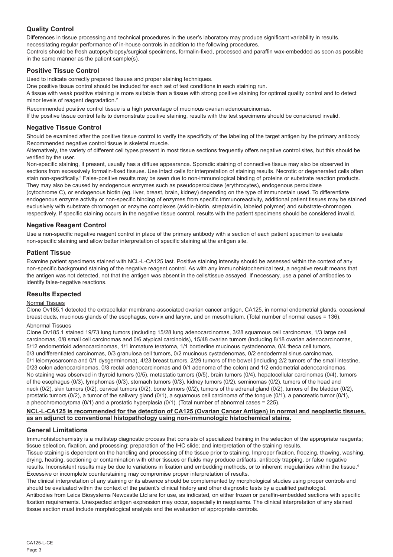## **Quality Control**

Differences in tissue processing and technical procedures in the user's laboratory may produce significant variability in results, necessitating regular performance of in-house controls in addition to the following procedures.

Controls should be fresh autopsy/biopsy/surgical specimens, formalin-fixed, processed and paraffin wax-embedded as soon as possible in the same manner as the patient sample(s).

## **Positive Tissue Control**

Used to indicate correctly prepared tissues and proper staining techniques.

One positive tissue control should be included for each set of test conditions in each staining run.

A tissue with weak positive staining is more suitable than a tissue with strong positive staining for optimal quality control and to detect minor levels of reagent degradation.<sup>2</sup>

Recommended positive control tissue is a high percentage of mucinous ovarian adenocarcinomas.

If the positive tissue control fails to demonstrate positive staining, results with the test specimens should be considered invalid.

### **Negative Tissue Control**

Should be examined after the positive tissue control to verify the specificity of the labeling of the target antigen by the primary antibody. Recommended negative control tissue is skeletal muscle.

Alternatively, the variety of different cell types present in most tissue sections frequently offers negative control sites, but this should be verified by the user.

Non-specific staining, if present, usually has a diffuse appearance. Sporadic staining of connective tissue may also be observed in sections from excessively formalin-fixed tissues. Use intact cells for interpretation of staining results. Necrotic or degenerated cells often stain non-specifically.<sup>3</sup> False-positive results may be seen due to non-immunological binding of proteins or substrate reaction products. They may also be caused by endogenous enzymes such as pseudoperoxidase (erythrocytes), endogenous peroxidase

(cytochrome C), or endogenous biotin (eg. liver, breast, brain, kidney) depending on the type of immunostain used. To differentiate endogenous enzyme activity or non-specific binding of enzymes from specific immunoreactivity, additional patient tissues may be stained exclusively with substrate chromogen or enzyme complexes (avidin-biotin, streptavidin, labeled polymer) and substrate-chromogen, respectively. If specific staining occurs in the negative tissue control, results with the patient specimens should be considered invalid.

## **Negative Reagent Control**

Use a non-specific negative reagent control in place of the primary antibody with a section of each patient specimen to evaluate non-specific staining and allow better interpretation of specific staining at the antigen site.

### **Patient Tissue**

Examine patient specimens stained with NCL-L-CA125 last. Positive staining intensity should be assessed within the context of any non-specific background staining of the negative reagent control. As with any immunohistochemical test, a negative result means that the antigen was not detected, not that the antigen was absent in the cells/tissue assayed. If necessary, use a panel of antibodies to identify false-negative reactions.

## **Results Expected**

### Normal Tissues

Clone Ov185.1 detected the extracellular membrane-associated ovarian cancer antigen, CA125, in normal endometrial glands, occasional breast ducts, mucinous glands of the esophagus, cervix and larynx, and on mesothelium. (Total number of normal cases = 136).

## Abnormal Tissues

Clone Ov185.1 stained 19/73 lung tumors (including 15/28 lung adenocarcinomas, 3/28 squamous cell carcinomas, 1/3 large cell carcinomas, 0/8 small cell carcinomas and 0/6 atypical carcinoids), 15/48 ovarian tumors (including 8/18 ovarian adenocarcinomas, 5/12 endometrioid adenocarcinomas, 1/1 immature teratoma, 1/1 borderline mucinous cystadenoma, 0/4 theca cell tumors, 0/3 undifferentiated carcinomas, 0/3 granulosa cell tumors, 0/2 mucinous cystadenomas, 0/2 endodermal sinus carcinomas, 0/1 leiomyosarcoma and 0/1 dysgerminoma), 4/23 breast tumors, 2/29 tumors of the bowel (including 2/2 tumors of the small intestine, 0/23 colon adenocarcinomas, 0/3 rectal adenocarcinomas and 0/1 adenoma of the colon) and 1/2 endometrial adenocarcinomas. No staining was observed in thyroid tumors (0/5), metastatic tumors (0/5), brain tumors (0/4), hepatocellular carcinomas (0/4), tumors of the esophagus (0/3), lymphomas (0/3), stomach tumors (0/3), kidney tumors (0/2), seminomas (0/2), tumors of the head and neck (0/2), skin tumors (0/2), cervical tumors (0/2), bone tumors (0/2), tumors of the adrenal gland (0/2), tumors of the bladder (0/2), prostatic tumors (0/2), a tumor of the salivary gland (0/1), a squamous cell carcinoma of the tongue (0/1), a pancreatic tumor (0/1), a pheochromocytoma (0/1) and a prostatic hyperplasia (0/1). (Total number of abnormal cases = 225).

### **NCL-L-CA125 is recommended for the detection of CA125 (Ovarian Cancer Antigen) in normal and neoplastic tissues, as an adjunct to conventional histopathology using non-immunologic histochemical stains.**

### **General Limitations**

Immunohistochemistry is a multistep diagnostic process that consists of specialized training in the selection of the appropriate reagents; tissue selection, fixation, and processing; preparation of the IHC slide; and interpretation of the staining results.

Tissue staining is dependent on the handling and processing of the tissue prior to staining. Improper fixation, freezing, thawing, washing, drying, heating, sectioning or contamination with other tissues or fluids may produce artifacts, antibody trapping, or false negative results. Inconsistent results may be due to variations in fixation and embedding methods, or to inherent irregularities within the tissue.4 Excessive or incomplete counterstaining may compromise proper interpretation of results.

The clinical interpretation of any staining or its absence should be complemented by morphological studies using proper controls and should be evaluated within the context of the patient's clinical history and other diagnostic tests by a qualified pathologist. Antibodies from Leica Biosystems Newcastle Ltd are for use, as indicated, on either frozen or paraffin-embedded sections with specific fixation requirements. Unexpected antigen expression may occur, especially in neoplasms. The clinical interpretation of any stained tissue section must include morphological analysis and the evaluation of appropriate controls.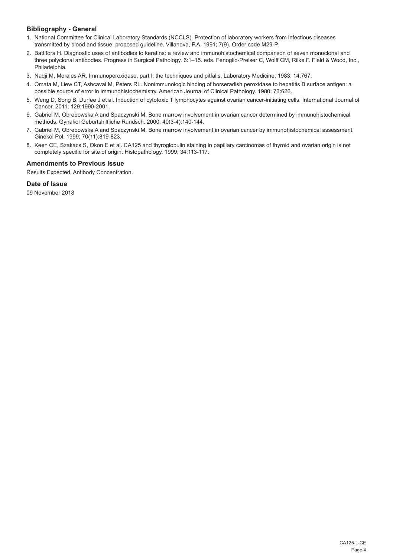## **Bibliography - General**

- 1. National Committee for Clinical Laboratory Standards (NCCLS). Protection of laboratory workers from infectious diseases transmitted by blood and tissue; proposed guideline. Villanova, P.A. 1991; 7(9). Order code M29-P.
- 2. Battifora H. Diagnostic uses of antibodies to keratins: a review and immunohistochemical comparison of seven monoclonal and three polyclonal antibodies. Progress in Surgical Pathology. 6:1–15. eds. Fenoglio-Preiser C, Wolff CM, Rilke F. Field & Wood, Inc., Philadelphia.
- 3. Nadji M, Morales AR. Immunoperoxidase, part I: the techniques and pitfalls. Laboratory Medicine. 1983; 14:767.
- 4. Omata M, Liew CT, Ashcavai M, Peters RL. Nonimmunologic binding of horseradish peroxidase to hepatitis B surface antigen: a possible source of error in immunohistochemistry. American Journal of Clinical Pathology. 1980; 73:626.
- 5. Weng D, Song B, Durfee J et al. Induction of cytotoxic T lymphocytes against ovarian cancer-initiating cells. International Journal of Cancer. 2011; 129:1990-2001.
- 6. Gabriel M, Obrebowska A and Spaczynski M. Bone marrow involvement in ovarian cancer determined by immunohistochemical methods. Gynakol Geburtshilfliche Rundsch. 2000; 40(3-4):140-144.
- 7. Gabriel M, Obrebowska A and Spaczynski M. Bone marrow involvement in ovarian cancer by immunohistochemical assessment. Ginekol Pol. 1999; 70(11):819-823.
- 8. Keen CE, Szakacs S, Okon E et al. CA125 and thyroglobulin staining in papillary carcinomas of thyroid and ovarian origin is not completely specific for site of origin. Histopathology. 1999; 34:113-117.

## **Amendments to Previous Issue**

Results Expected, Antibody Concentration.

## **Date of Issue**

09 November 2018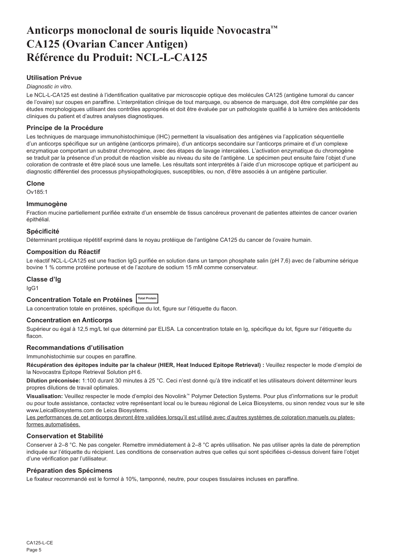# <span id="page-5-0"></span>**Anticorps monoclonal de souris liquide Novocastra™ CA125 (Ovarian Cancer Antigen) Référence du Produit: NCL-L-CA125**

## **Utilisation Prévue**

### *Diagnostic in vitro*.

Le NCL-L-CA125 est destiné à l'identification qualitative par microscopie optique des molécules CA125 (antigène tumoral du cancer de l'ovaire) sur coupes en paraffine. L'interprétation clinique de tout marquage, ou absence de marquage, doit être complétée par des études morphologiques utilisant des contrôles appropriés et doit être évaluée par un pathologiste qualifié à la lumière des antécédents cliniques du patient et d'autres analyses diagnostiques.

## **Principe de la Procédure**

Les techniques de marquage immunohistochimique (IHC) permettent la visualisation des antigènes via l'application séquentielle d'un anticorps spécifique sur un antigène (anticorps primaire), d'un anticorps secondaire sur l'anticorps primaire et d'un complexe enzymatique comportant un substrat chromogène, avec des étapes de lavage intercalées. L'activation enzymatique du chromogène se traduit par la présence d'un produit de réaction visible au niveau du site de l'antigène. Le spécimen peut ensuite faire l'objet d'une coloration de contraste et être placé sous une lamelle. Les résultats sont interprétés à l'aide d'un microscope optique et participent au diagnostic différentiel des processus physiopathologiques, susceptibles, ou non, d'être associés à un antigène particulier.

#### **Clone**

 $O<sub>1485:1</sub>$ 

#### **Immunogène**

Fraction mucine partiellement purifiée extraite d'un ensemble de tissus cancéreux provenant de patientes atteintes de cancer ovarien épithélial.

#### **Spécificité**

Déterminant protéique répétitif exprimé dans le noyau protéique de l'antigène CA125 du cancer de l'ovaire humain.

#### **Composition du Réactif**

Le réactif NCL-L-CA125 est une fraction IgG purifiée en solution dans un tampon phosphate salin (pH 7,6) avec de l'albumine sérique bovine 1 % comme protéine porteuse et de l'azoture de sodium 15 mM comme conservateur.

#### **Classe d'Ig**

IgG1

## **Concentration Totale en Protéines Total Protein**

La concentration totale en protéines, spécifique du lot, figure sur l'étiquette du flacon.

#### **Concentration en Anticorps**

Supérieur ou égal à 12,5 mg/L tel que déterminé par ELISA. La concentration totale en Ig, spécifique du lot, figure sur l'étiquette du flacon.

### **Recommandations d'utilisation**

Immunohistochimie sur coupes en paraffine.

**Récupération des épitopes induite par la chaleur (HIER, Heat Induced Epitope Retrieval) :** Veuillez respecter le mode d'emploi de la Novocastra Epitope Retrieval Solution pH 6.

**Dilution préconisée:** 1:100 durant 30 minutes à 25 °C. Ceci n'est donné qu'à titre indicatif et les utilisateurs doivent déterminer leurs propres dilutions de travail optimales.

**Visualisation:** Veuillez respecter le mode d'emploi des Novolink™ Polymer Detection Systems. Pour plus d'informations sur le produit ou pour toute assistance, contactez votre représentant local ou le bureau régional de Leica Biosystems, ou sinon rendez vous sur le site www.LeicaBiosystems.com de Leica Biosystems.

Les performances de cet anticorps devront être validées lorsqu'il est utilisé avec d'autres systèmes de coloration manuels ou platesformes automatisées.

#### **Conservation et Stabilité**

Conserver à 2–8 °C. Ne pas congeler. Remettre immédiatement à 2–8 °C après utilisation. Ne pas utiliser après la date de péremption indiquée sur l'étiquette du récipient. Les conditions de conservation autres que celles qui sont spécifiées ci-dessus doivent faire l'objet d'une vérification par l'utilisateur.

#### **Préparation des Spécimens**

Le fixateur recommandé est le formol à 10%, tamponné, neutre, pour coupes tissulaires incluses en paraffine.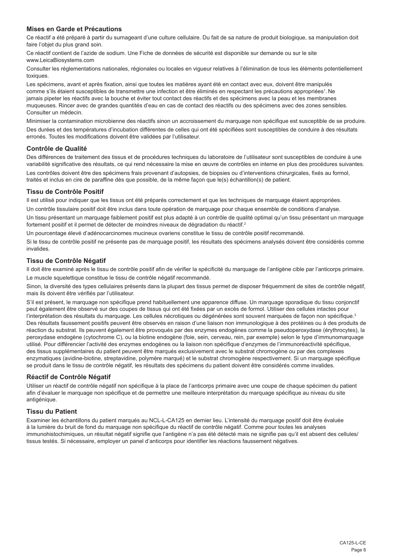## **Mises en Garde et Précautions**

Ce réactif a été préparé à partir du surnageant d'une culture cellulaire. Du fait de sa nature de produit biologique, sa manipulation doit faire l'objet du plus grand soin.

Ce réactif contient de l'azide de sodium. Une Fiche de données de sécurité est disponible sur demande ou sur le site www.LeicaBiosystems.com

Consulter les réglementations nationales, régionales ou locales en vigueur relatives à l'élimination de tous les éléments potentiellement toxiques.

Les spécimens, avant et après fixation, ainsi que toutes les matières ayant été en contact avec eux, doivent être manipulés comme s'ils étaient susceptibles de transmettre une infection et être éliminés en respectant les précautions appropriées<sup>1</sup>. Ne jamais pipeter les réactifs avec la bouche et éviter tout contact des réactifs et des spécimens avec la peau et les membranes muqueuses. Rincer avec de grandes quantités d'eau en cas de contact des réactifs ou des spécimens avec des zones sensibles. Consulter un médecin.

Minimiser la contamination microbienne des réactifs sinon un accroissement du marquage non spécifique est susceptible de se produire. Des durées et des températures d'incubation différentes de celles qui ont été spécifiées sont susceptibles de conduire à des résultats erronés. Toutes les modifications doivent être validées par l'utilisateur.

### **Contrôle de Qualité**

Des différences de traitement des tissus et de procédures techniques du laboratoire de l'utilisateur sont susceptibles de conduire à une variabilité significative des résultats, ce qui rend nécessaire la mise en œuvre de contrôles en interne en plus des procédures suivantes. Les contrôles doivent être des spécimens frais provenant d'autopsies, de biopsies ou d'interventions chirurgicales, fixés au formol, traités et inclus en cire de paraffine dès que possible, de la même façon que le(s) échantillon(s) de patient.

## **Tissu de Contrôle Positif**

Il est utilisé pour indiquer que les tissus ont été préparés correctement et que les techniques de marquage étaient appropriées.

Un contrôle tissulaire positif doit être inclus dans toute opération de marquage pour chaque ensemble de conditions d'analyse. Un tissu présentant un marquage faiblement positif est plus adapté à un contrôle de qualité optimal qu'un tissu présentant un marquage fortement positif et il permet de détecter de moindres niveaux de dégradation du réactif.<sup>2</sup>

Un pourcentage élevé d'adénocarcinomes mucineux ovariens constitue le tissu de contrôle positif recommandé.

Si le tissu de contrôle positif ne présente pas de marquage positif, les résultats des spécimens analysés doivent être considérés comme invalides.

## **Tissu de Contrôle Négatif**

Il doit être examiné après le tissu de contrôle positif afin de vérifier la spécificité du marquage de l'antigène cible par l'anticorps primaire. Le muscle squelettique constitue le tissu de contrôle négatif recommandé.

Sinon, la diversité des types cellulaires présents dans la plupart des tissus permet de disposer fréquemment de sites de contrôle négatif, mais ils doivent être vérifiés par l'utilisateur.

S'il est présent, le marquage non spécifique prend habituellement une apparence diffuse. Un marquage sporadique du tissu conjonctif peut également être observé sur des coupes de tissus qui ont été fixées par un excès de formol. Utiliser des cellules intactes pour l'interprétation des résultats du marquage. Les cellules nécrotiques ou dégénérées sont souvent marquées de façon non spécifique.<sup>3</sup> Des résultats faussement positifs peuvent être observés en raison d'une liaison non immunologique à des protéines ou à des produits de réaction du substrat. Ils peuvent également être provoqués par des enzymes endogènes comme la pseudoperoxydase (érythrocytes), la peroxydase endogène (cytochrome C), ou la biotine endogène (foie, sein, cerveau, rein, par exemple) selon le type d'immunomarquage utilisé. Pour différencier l'activité des enzymes endogènes ou la liaison non spécifique d'enzymes de l'immunoréactivité spécifique, des tissus supplémentaires du patient peuvent être marqués exclusivement avec le substrat chromogène ou par des complexes enzymatiques (avidine-biotine, streptavidine, polymère marqué) et le substrat chromogène respectivement. Si un marquage spécifique se produit dans le tissu de contrôle négatif, les résultats des spécimens du patient doivent être considérés comme invalides.

## **Réactif de Contrôle Négatif**

Utiliser un réactif de contrôle négatif non spécifique à la place de l'anticorps primaire avec une coupe de chaque spécimen du patient afin d'évaluer le marquage non spécifique et de permettre une meilleure interprétation du marquage spécifique au niveau du site antigénique.

## **Tissu du Patient**

Examiner les échantillons du patient marqués au NCL-L-CA125 en dernier lieu. L'intensité du marquage positif doit être évaluée à la lumière du bruit de fond du marquage non spécifique du réactif de contrôle négatif. Comme pour toutes les analyses immunohistochimiques, un résultat négatif signifie que l'antigène n'a pas été détecté mais ne signifie pas qu'il est absent des cellules/ tissus testés. Si nécessaire, employer un panel d'anticorps pour identifier les réactions faussement négatives.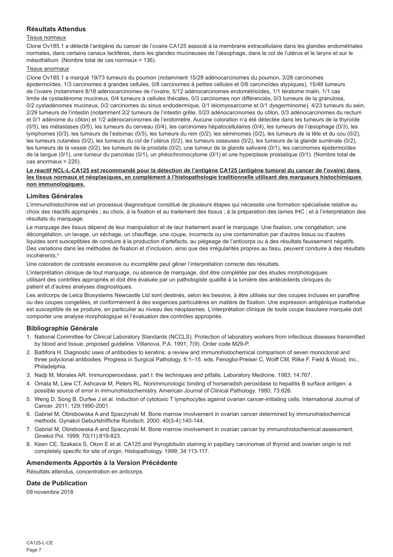## **Résultats Attendus**

#### Tissus normaux

Clone Ov185.1 a détecté l'antigène du cancer de l'ovaire CA125 associé à la membrane extracellulaire dans les glandes endométriales normales, dans certains canaux lactifères, dans les glandes mucineuses de l'œsophage, dans le col de l'utérus et le larynx et sur le mésothélium. (Nombre total de cas normaux = 136).

#### Tissus anormaux

Clone Ov185.1 a marqué 19/73 tumeurs du poumon (notamment 15/28 adénocarcinomes du poumon, 3/28 carcinomes épidermoïdes, 1/3 carcinomes à grandes cellules, 0/8 carcinomes à petites cellules et 0/6 carcinoïdes atypiques), 15/48 tumeurs de l'ovaire (notamment 8/18 adénocarcinomes de l'ovaire, 5/12 adénocarcinomes endométrioïdes, 1/1 tératome malin, 1/1 cas limite de cystadénome mucineux, 0/4 tumeurs à cellules thécales, 0/3 carcinomes non différenciés, 0/3 tumeurs de la granulosa, 0/2 cystadénomes mucineux, 0/2 carcinomes du sinus endodermique, 0/1 léiomyosarcome et 0/1 dysgerminome), 4/23 tumeurs du sein, 2/29 tumeurs de l'intestin (notamment 2/2 tumeurs de l'intestin grêle, 0/23 adénocarcinomes du côlon, 0/3 adénocarcinomes du rectum et 0/1 adénome du côlon) et 1/2 adénocarcinomes de l'endomètre. Aucune coloration n'a été détectée dans les tumeurs de la thyroïde  $(0/5)$ , les métastases  $(0/5)$ , les tumeurs du cerveau  $(0/4)$ , les carcinomes hépatocellulaires  $(0/4)$ , les tumeurs de l'œsophage  $(0/3)$ , les lymphomes (0/3), les tumeurs de l'estomac (0/3), les tumeurs du rein (0/2), les séminomes (0/2), les tumeurs de la tête et du cou (0/2), les tumeurs cutanées (0/2), les tumeurs du col de l'utérus (0/2), les tumeurs osseuses (0/2), les tumeurs de la glande surrénale (0/2), les tumeurs de la vessie (0/2), les tumeurs de la prostate (0/2), une tumeur de la glande salivaire (0/1), les carcinomes épidermoïdes de la langue (0/1), une tumeur du pancréas (0/1), un phéochromocytome (0/1) et une hyperplasie prostatique (0/1). (Nombre total de cas anormaux = 225).

#### **Le réactif NCL-L-CA125 est recommandé pour la détection de l'antigène CA125 (antigène tumoral du cancer de l'ovaire) dans les tissus normaux et néoplasiques, en complément à l'histopathologie traditionnelle utilisant des marqueurs histochimiques non immunologiques.**

### **Limites Générales**

L'immunohistochimie est un processus diagnostique constitué de plusieurs étapes qui nécessite une formation spécialisée relative au choix des réactifs appropriés ; au choix, à la fixation et au traitement des tissus ; à la préparation des lames IHC ; et à l'interprétation des résultats du marquage.

Le marquage des tissus dépend de leur manipulation et de leur traitement avant le marquage. Une fixation, une congélation, une décongélation, un lavage, un séchage, un chauffage, une coupe, incorrects ou une contamination par d'autres tissus ou d'autres liquides sont susceptibles de conduire à la production d'artefacts, au piégeage de l'anticorps ou à des résultats faussement négatifs. Des variations dans les méthodes de fixation et d'inclusion, ainsi que des irrégularités propres au tissu, peuvent conduire à des résultats incohérents<sup>4</sup>

Une coloration de contraste excessive ou incomplète peut gêner l'interprétation correcte des résultats.

L'interprétation clinique de tout marquage, ou absence de marquage, doit être complétée par des études morphologiques utilisant des contrôles appropriés et doit être évaluée par un pathologiste qualifié à la lumière des antécédents cliniques du patient et d'autres analyses diagnostiques.

Les anticorps de Leica Biosystems Newcastle Ltd sont destinés, selon les besoins, à être utilisés sur des coupes incluses en paraffine ou des coupes congelées, et conformément à des exigences particulières en matière de fixation. Une expression antigénique inattendue est susceptible de se produire, en particulier au niveau des néoplasmes. L'interprétation clinique de toute coupe tissulaire marquée doit comporter une analyse morphologique et l'évaluation des contrôles appropriés.

### **Bibliographie Générale**

- 1. National Committee for Clinical Laboratory Standards (NCCLS). Protection of laboratory workers from infectious diseases transmitted by blood and tissue; proposed guideline. Villanova, P.A. 1991; 7(9). Order code M29-P.
- 2. Battifora H. Diagnostic uses of antibodies to keratins: a review and immunohistochemical comparison of seven monoclonal and three polyclonal antibodies. Progress in Surgical Pathology. 6:1–15. eds. Fenoglio-Preiser C, Wolff CM, Rilke F. Field & Wood, Inc., Philadelphia.
- 3. Nadji M, Morales AR. Immunoperoxidase, part I: the techniques and pitfalls. Laboratory Medicine. 1983; 14:767.
- 4. Omata M, Liew CT, Ashcavai M, Peters RL. Nonimmunologic binding of horseradish peroxidase to hepatitis B surface antigen: a possible source of error in immunohistochemistry. American Journal of Clinical Pathology. 1980; 73:626.
- 5. Weng D, Song B, Durfee J et al. Induction of cytotoxic T lymphocytes against ovarian cancer-initiating cells. International Journal of Cancer. 2011; 129:1990-2001.
- 6. Gabriel M, Obrebowska A and Spaczynski M. Bone marrow involvement in ovarian cancer determined by immunohistochemical methods. Gynakol Geburtshilfliche Rundsch. 2000; 40(3-4):140-144.
- 7. Gabriel M, Obrebowska A and Spaczynski M. Bone marrow involvement in ovarian cancer by immunohistochemical assessment. Ginekol Pol. 1999; 70(11):819-823.
- 8. Keen CE, Szakacs S, Okon E et al. CA125 and thyroglobulin staining in papillary carcinomas of thyroid and ovarian origin is not completely specific for site of origin. Histopathology. 1999; 34:113-117.

## **Amendements Apportés à la Version Précédente**

Résultats attendus, concentration en anticorps.

## **Date de Publication**

09 novembre 2018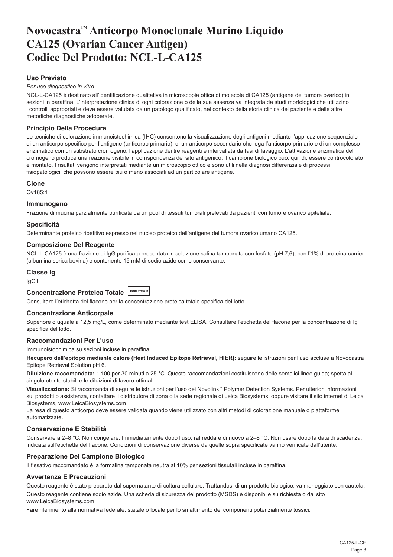# <span id="page-8-0"></span>**Novocastra™ Anticorpo Monoclonale Murino Liquido CA125 (Ovarian Cancer Antigen) Codice Del Prodotto: NCL-L-CA125**

## **Uso Previsto**

*Per uso diagnostico in vitro*.

NCL-L-CA125 è destinato all'identificazione qualitativa in microscopia ottica di molecole di CA125 (antigene del tumore ovarico) in sezioni in paraffina. L'interpretazione clinica di ogni colorazione o della sua assenza va integrata da studi morfologici che utilizzino i controlli appropriati e deve essere valutata da un patologo qualificato, nel contesto della storia clinica del paziente e delle altre metodiche diagnostiche adoperate.

### **Principio Della Procedura**

Le tecniche di colorazione immunoistochimica (IHC) consentono la visualizzazione degli antigeni mediante l'applicazione sequenziale di un anticorpo specifico per l'antigene (anticorpo primario), di un anticorpo secondario che lega l'anticorpo primario e di un complesso enzimatico con un substrato cromogeno; l'applicazione dei tre reagenti è intervallata da fasi di lavaggio. L'attivazione enzimatica del cromogeno produce una reazione visibile in corrispondenza del sito antigenico. Il campione biologico può, quindi, essere controcolorato e montato. I risultati vengono interpretati mediante un microscopio ottico e sono utili nella diagnosi differenziale di processi fisiopatologici, che possono essere più o meno associati ad un particolare antigene.

#### **Clone**

Ov185:1

## **Immunogeno**

Frazione di mucina parzialmente purificata da un pool di tessuti tumorali prelevati da pazienti con tumore ovarico epiteliale.

### **Specificità**

Determinante proteico ripetitivo espresso nel nucleo proteico dell'antigene del tumore ovarico umano CA125.

#### **Composizione Del Reagente**

NCL-L-CA125 è una frazione di IgG purificata presentata in soluzione salina tamponata con fosfato (pH 7,6), con l'1% di proteina carrier (albumina serica bovina) e contenente 15 mM di sodio azide come conservante.

#### **Classe Ig**

IgG1

## **Concentrazione Proteica Totale Total Protein**

Consultare l'etichetta del flacone per la concentrazione proteica totale specifica del lotto.

#### **Concentrazione Anticorpale**

Superiore o uguale a 12,5 mg/L, come determinato mediante test ELISA. Consultare l'etichetta del flacone per la concentrazione di Ig specifica del lotto.

#### **Raccomandazioni Per L'uso**

Immunoistochimica su sezioni incluse in paraffina.

Recupero dell'epitopo mediante calore (Heat Induced Epitope Retrieval, HIER): seguire le istruzioni per l'uso accluse a Novocastra Epitope Retrieval Solution pH 6.

**Diluizione raccomandata:** 1:100 per 30 minuti a 25 °C. Queste raccomandazioni costituiscono delle semplici linee guida; spetta al singolo utente stabilire le diluizioni di lavoro ottimali.

**Visualizzazione:** Si raccomanda di seguire le istruzioni per l'uso dei Novolink™ Polymer Detection Systems. Per ulteriori informazioni sui prodotti o assistenza, contattare il distributore di zona o la sede regionale di Leica Biosystems, oppure visitare il sito internet di Leica Biosystems, www.LeicaBiosystems.com

La resa di questo anticorpo deve essere validata quando viene utilizzato con altri metodi di colorazione manuale o piattaforme automatizzate.

#### **Conservazione E Stabilità**

Conservare a 2–8 °C. Non congelare. Immediatamente dopo l'uso, raffreddare di nuovo a 2–8 °C. Non usare dopo la data di scadenza, indicata sull'etichetta del flacone. Condizioni di conservazione diverse da quelle sopra specificate vanno verificate dall'utente.

### **Preparazione Del Campione Biologico**

Il fissativo raccomandato è la formalina tamponata neutra al 10% per sezioni tissutali incluse in paraffina.

### **Avvertenze E Precauzioni**

Questo reagente è stato preparato dal supernatante di coltura cellulare. Trattandosi di un prodotto biologico, va maneggiato con cautela.

Questo reagente contiene sodio azide. Una scheda di sicurezza del prodotto (MSDS) è disponibile su richiesta o dal sito www.LeicaBiosystems.com

Fare riferimento alla normativa federale, statale o locale per lo smaltimento dei componenti potenzialmente tossici.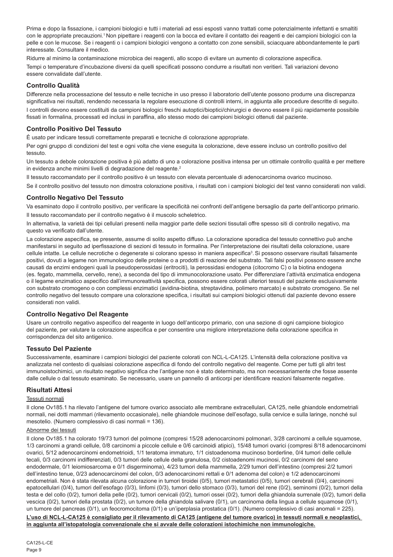Prima e dopo la fissazione, i campioni biologici e tutti i materiali ad essi esposti vanno trattati come potenzialmente infettanti e smaltiti con le appropriate precauzioni.<sup>1</sup> Non pipettare i reagenti con la bocca ed evitare il contatto dei reagenti e dei campioni biologici con la pelle e con le mucose. Se i reagenti o i campioni biologici vengono a contatto con zone sensibili, sciacquare abbondantemente le parti interessate. Consultare il medico.

Ridurre al minimo la contaminazione microbica dei reagenti, allo scopo di evitare un aumento di colorazione aspecifica. Tempi o temperature d'incubazione diversi da quelli specificati possono condurre a risultati non veritieri. Tali variazioni devono essere convalidate dall'utente.

## **Controllo Qualità**

Differenze nella processazione del tessuto e nelle tecniche in uso presso il laboratorio dell'utente possono produrre una discrepanza significativa nei risultati, rendendo necessaria la regolare esecuzione di controlli interni, in aggiunta alle procedure descritte di seguito.

I controlli devono essere costituiti da campioni biologici freschi autoptici/bioptici/chirurgici e devono essere il più rapidamente possibile fissati in formalina, processati ed inclusi in paraffina, allo stesso modo dei campioni biologici ottenuti dal paziente.

## **Controllo Positivo Del Tessuto**

È usato per indicare tessuti correttamente preparati e tecniche di colorazione appropriate.

Per ogni gruppo di condizioni del test e ogni volta che viene eseguita la colorazione, deve essere incluso un controllo positivo del tessuto.

Un tessuto a debole colorazione positiva è più adatto di uno a colorazione positiva intensa per un ottimale controllo qualità e per mettere in evidenza anche minimi livelli di degradazione del reagente.<sup>2</sup>

Il tessuto raccomandato per il controllo positivo è un tessuto con elevata percentuale di adenocarcinoma ovarico mucinoso.

Se il controllo positivo del tessuto non dimostra colorazione positiva, i risultati con i campioni biologici del test vanno considerati non validi.

### **Controllo Negativo Del Tessuto**

Va esaminato dopo il controllo positivo, per verificare la specificità nei confronti dell'antigene bersaglio da parte dell'anticorpo primario. Il tessuto raccomandato per il controllo negativo è il muscolo scheletrico.

In alternativa, la varietà dei tipi cellulari presenti nella maggior parte delle sezioni tissutali offre spesso siti di controllo negativo, ma questo va verificato dall'utente.

La colorazione aspecifica, se presente, assume di solito aspetto diffuso. La colorazione sporadica del tessuto connettivo può anche manifestarsi in seguito ad iperfissazione di sezioni di tessuto in formalina. Per l'interpretazione dei risultati della colorazione, usare cellule intatte. Le cellule necrotiche o degenerate si colorano spesso in maniera aspecifica<sup>3</sup>. Si possono osservare risultati falsamente positivi, dovuti a legame non immunologico delle proteine o a prodotti di reazione del substrato. Tali falsi positivi possono essere anche causati da enzimi endogeni quali la pseudoperossidasi (eritrociti), la perossidasi endogena (citocromo C) o la biotina endogena (es. fegato, mammella, cervello, rene), a seconda del tipo di immunocolorazione usato. Per differenziare l'attività enzimatica endogena o il legame enzimatico aspecifico dall'immunoreattività specifica, possono essere colorati ulteriori tessuti del paziente esclusivamente con substrato cromogeno o con complessi enzimatici (avidina-biotina, streptavidina, polimero marcato) e substrato cromogeno. Se nel controllo negativo del tessuto compare una colorazione specifica, i risultati sui campioni biologici ottenuti dal paziente devono essere considerati non validi.

### **Controllo Negativo Del Reagente**

Usare un controllo negativo aspecifico del reagente in luogo dell'anticorpo primario, con una sezione di ogni campione biologico del paziente, per valutare la colorazione aspecifica e per consentire una migliore interpretazione della colorazione specifica in corrispondenza del sito antigenico.

## **Tessuto Del Paziente**

Successivamente, esaminare i campioni biologici del paziente colorati con NCL-L-CA125. L'intensità della colorazione positiva va analizzata nel contesto di qualsiasi colorazione aspecifica di fondo del controllo negativo del reagente. Come per tutti gli altri test immunoistochimici, un risultato negativo significa che l'antigene non è stato determinato, ma non necessariamente che fosse assente dalle cellule o dal tessuto esaminato. Se necessario, usare un pannello di anticorpi per identificare reazioni falsamente negative.

## **Risultati Attesi**

#### Tessuti normali

Il clone Ov185.1 ha rilevato l'antigene del tumore ovarico associato alle membrane extracellulari, CA125, nelle ghiandole endometriali normali, nei dotti mammari (rilevamento occasionale), nelle ghiandole mucinose dell'esofago, sulla cervice e sulla laringe, nonché sul mesotelio. (Numero complessivo di casi normali = 136).

### Abnorme dei tessuti

Il clone Ov185.1 ha colorato 19/73 tumori del polmone (compresi 15/28 adenocarcinomi polmonari, 3/28 carcinomi a cellule squamose, 1/3 carcinomi a grandi cellule, 0/8 carcinomi a piccole cellule e 0/6 carcinoidi atipici), 15/48 tumori ovarici (compresi 8/18 adenocarcinomi ovarici, 5/12 adenocarcinomi endometrioidi, 1/1 teratoma immaturo, 1/1 cistoadenoma mucinoso borderline, 0/4 tumori delle cellule tecali, 0/3 carcinomi indifferenziati, 0/3 tumori delle cellule della granulosa, 0/2 cistoadenomi mucinosi, 0/2 carcinomi del seno endodermale, 0/1 leiomiosarcoma e 0/1 disgerminoma), 4/23 tumori della mammella, 2/29 tumori dell'intestino (compresi 2/2 tumori dell'intestino tenue, 0/23 adenocarcinomi del colon, 0/3 adenocarcinomi rettali e 0/1 adenoma del colon) e 1/2 adenocarcinomi endometriali. Non è stata rilevata alcuna colorazione in tumori tiroidei (0/5), tumori metastatici (0/5), tumori cerebrali (0/4), carcinomi epatocellulari (0/4), tumori dell'esofago (0/3), linfomi (0/3), tumori dello stomaco (0/3), tumori del rene (0/2), seminomi (0/2), tumori della testa e del collo (0/2), tumori della pelle (0/2), tumori cervicali (0/2), tumori ossei (0/2), tumori della ghiandola surrenale (0/2), tumori della vescica (0/2), tumori della prostata (0/2), un tumore della ghiandola salivare (0/1), un carcinoma della lingua a cellule squamose (0/1), un tumore del pancreas (0/1), un feocromocitoma (0/1) e un'iperplasia prostatica (0/1). (Numero complessivo di casi anomali = 225).

**L'uso di NCL-L-CA125 è consigliato per il rilevamento di CA125 (antigene del tumore ovarico) in tessuti normali e neoplastici, in aggiunta all'istopatologia convenzionale che si avvale delle colorazioni istochimiche non immunologiche.**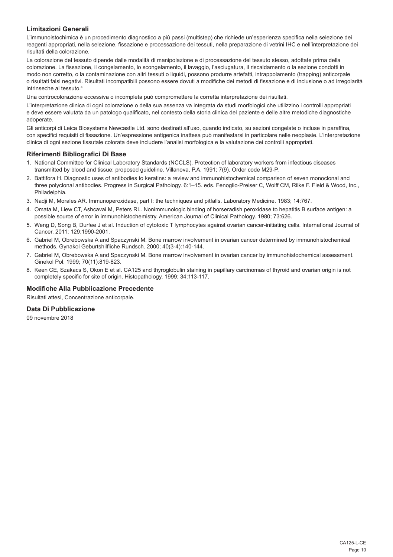## **Limitazioni Generali**

L'immunoistochimica è un procedimento diagnostico a più passi (multistep) che richiede un'esperienza specifica nella selezione dei reagenti appropriati, nella selezione, fissazione e processazione dei tessuti, nella preparazione di vetrini IHC e nell'interpretazione dei risultati della colorazione.

La colorazione del tessuto dipende dalle modalità di manipolazione e di processazione del tessuto stesso, adottate prima della colorazione. La fissazione, il congelamento, lo scongelamento, il lavaggio, l'asciugatura, il riscaldamento o la sezione condotti in modo non corretto, o la contaminazione con altri tessuti o liquidi, possono produrre artefatti, intrappolamento (trapping) anticorpale o risultati falsi negativi. Risultati incompatibili possono essere dovuti a modifiche dei metodi di fissazione e di inclusione o ad irregolarità intrinseche al tessuto.4

Una controcolorazione eccessiva o incompleta può compromettere la corretta interpretazione dei risultati.

L'interpretazione clinica di ogni colorazione o della sua assenza va integrata da studi morfologici che utilizzino i controlli appropriati e deve essere valutata da un patologo qualificato, nel contesto della storia clinica del paziente e delle altre metodiche diagnostiche adoperate.

Gli anticorpi di Leica Biosystems Newcastle Ltd. sono destinati all'uso, quando indicato, su sezioni congelate o incluse in paraffina, con specifici requisiti di fissazione. Un'espressione antigenica inattesa può manifestarsi in particolare nelle neoplasie. L'interpretazione clinica di ogni sezione tissutale colorata deve includere l'analisi morfologica e la valutazione dei controlli appropriati.

### **Riferimenti Bibliografici Di Base**

- 1. National Committee for Clinical Laboratory Standards (NCCLS). Protection of laboratory workers from infectious diseases transmitted by blood and tissue; proposed guideline. Villanova, P.A. 1991; 7(9). Order code M29-P.
- 2. Battifora H. Diagnostic uses of antibodies to keratins: a review and immunohistochemical comparison of seven monoclonal and three polyclonal antibodies. Progress in Surgical Pathology. 6:1–15. eds. Fenoglio-Preiser C, Wolff CM, Rilke F. Field & Wood, Inc., Philadelphia.
- 3. Nadji M, Morales AR. Immunoperoxidase, part I: the techniques and pitfalls. Laboratory Medicine. 1983; 14:767.
- 4. Omata M, Liew CT, Ashcavai M, Peters RL. Nonimmunologic binding of horseradish peroxidase to hepatitis B surface antigen: a possible source of error in immunohistochemistry. American Journal of Clinical Pathology. 1980; 73:626.
- 5. Weng D, Song B, Durfee J et al. Induction of cytotoxic T lymphocytes against ovarian cancer-initiating cells. International Journal of Cancer. 2011; 129:1990-2001.
- 6. Gabriel M, Obrebowska A and Spaczynski M. Bone marrow involvement in ovarian cancer determined by immunohistochemical methods. Gynakol Geburtshilfliche Rundsch. 2000; 40(3-4):140-144.
- 7. Gabriel M, Obrebowska A and Spaczynski M. Bone marrow involvement in ovarian cancer by immunohistochemical assessment. Ginekol Pol. 1999; 70(11):819-823.
- 8. Keen CE, Szakacs S, Okon E et al. CA125 and thyroglobulin staining in papillary carcinomas of thyroid and ovarian origin is not completely specific for site of origin. Histopathology. 1999; 34:113-117.

#### **Modifiche Alla Pubblicazione Precedente**

Risultati attesi, Concentrazione anticorpale.

## **Data Di Pubblicazione**

09 novembre 2018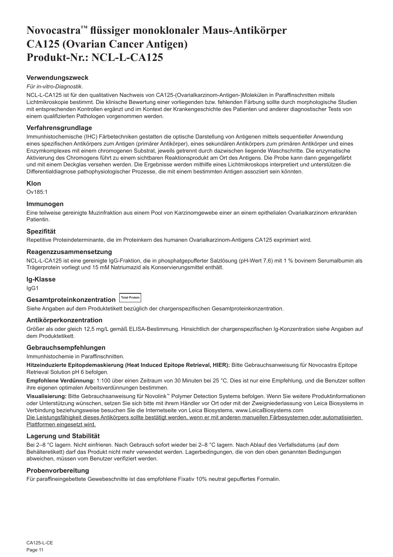# <span id="page-11-0"></span>**Novocastra™ flüssiger monoklonaler Maus-Antikörper CA125 (Ovarian Cancer Antigen) Produkt-Nr.: NCL-L-CA125**

### **Verwendungszweck**

#### *Für in-vitro-Diagnostik*.

NCL-L-CA125 ist für den qualitativen Nachweis von CA125-(Ovarialkarzinom-Antigen-)Molekülen in Paraffinschnitten mittels Lichtmikroskopie bestimmt. Die klinische Bewertung einer vorliegenden bzw. fehlenden Färbung sollte durch morphologische Studien mit entsprechenden Kontrollen ergänzt und im Kontext der Krankengeschichte des Patienten und anderer diagnostischer Tests von einem qualifizierten Pathologen vorgenommen werden.

#### **Verfahrensgrundlage**

Immunhistochemische (IHC) Färbetechniken gestatten die optische Darstellung von Antigenen mittels sequentieller Anwendung eines spezifischen Antikörpers zum Antigen (primärer Antikörper), eines sekundären Antikörpers zum primären Antikörper und eines Enzymkomplexes mit einem chromogenen Substrat, jeweils getrennt durch dazwischen liegende Waschschritte. Die enzymatische Aktivierung des Chromogens führt zu einem sichtbaren Reaktionsprodukt am Ort des Antigens. Die Probe kann dann gegengefärbt und mit einem Deckglas versehen werden. Die Ergebnisse werden mithilfe eines Lichtmikroskops interpretiert und unterstützen die Differentialdiagnose pathophysiologischer Prozesse, die mit einem bestimmten Antigen assoziiert sein könnten.

#### **Klon**

Ov185:1

## **Immunogen**

Eine teilweise gereinigte Muzinfraktion aus einem Pool von Karzinomgewebe einer an einem epithelialen Ovarialkarzinom erkrankten Patientin.

#### **Spezifität**

Repetitive Proteindeterminante, die im Proteinkern des humanen Ovarialkarzinom-Antigens CA125 exprimiert wird.

#### **Reagenzzusammensetzung**

NCL-L-CA125 ist eine gereinigte IgG-Fraktion, die in phosphatgepufferter Salzlösung (pH-Wert 7,6) mit 1 % bovinem Serumalbumin als Trägerprotein vorliegt und 15 mM Natriumazid als Konservierungsmittel enthält.

#### **Ig-Klasse**

IgG1

#### **Gesamtproteinkonzentration Total Protein**

Siehe Angaben auf dem Produktetikett bezüglich der chargenspezifischen Gesamtproteinkonzentration.

#### **Antikörperkonzentration**

Größer als oder gleich 12,5 mg/L gemäß ELISA-Bestimmung. Hinsichtlich der chargenspezifischen Ig-Konzentration siehe Angaben auf dem Produktetikett.

## **Gebrauchsempfehlungen**

Immunhistochemie in Paraffinschnitten.

**Hitzeinduzierte Epitopdemaskierung (Heat Induced Epitope Retrieval, HIER):** Bitte Gebrauchsanweisung für Novocastra Epitope Retrieval Solution pH 6 befolgen.

**Empfohlene Verdünnung:** 1:100 über einen Zeitraum von 30 Minuten bei 25 °C. Dies ist nur eine Empfehlung, und die Benutzer sollten ihre eigenen optimalen Arbeitsverdünnungen bestimmen.

**Visualisierung:** Bitte Gebrauchsanweisung für Novolink™ Polymer Detection Systems befolgen. Wenn Sie weitere Produktinformationen oder Unterstützung wünschen, setzen Sie sich bitte mit ihrem Händler vor Ort oder mit der Zweigniederlassung von Leica Biosystems in Verbindung beziehungsweise besuchen Sie die Internetseite von Leica Biosystems, www.LeicaBiosystems.com Die Leistungsfähigkeit dieses Antikörpers sollte bestätigt werden, wenn er mit anderen manuellen Färbesystemen oder automatisierten Plattformen eingesetzt wird.

## **Lagerung und Stabilität**

Bei 2–8 °C lagern. Nicht einfrieren. Nach Gebrauch sofort wieder bei 2–8 °C lagern. Nach Ablauf des Verfallsdatums (auf dem Behälteretikett) darf das Produkt nicht mehr verwendet werden. Lagerbedingungen, die von den oben genannten Bedingungen abweichen, müssen vom Benutzer verifiziert werden.

#### **Probenvorbereitung**

Für paraffineingebettete Gewebeschnitte ist das empfohlene Fixativ 10% neutral gepuffertes Formalin.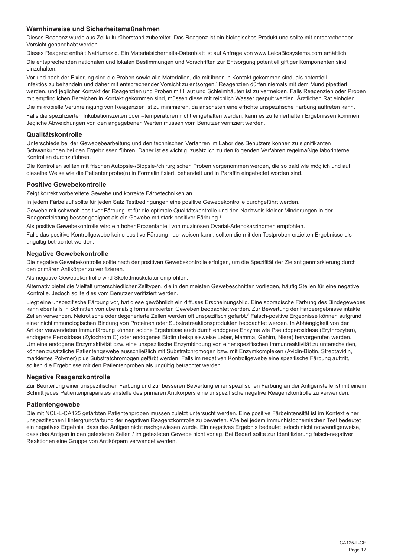### **Warnhinweise und Sicherheitsmaßnahmen**

Dieses Reagenz wurde aus Zellkulturüberstand zubereitet. Das Reagenz ist ein biologisches Produkt und sollte mit entsprechender Vorsicht gehandhabt werden.

Dieses Reagenz enthält Natriumazid. Ein Materialsicherheits-Datenblatt ist auf Anfrage von www.LeicaBiosystems.com erhältlich.

Die entsprechenden nationalen und lokalen Bestimmungen und Vorschriften zur Entsorgung potentiell giftiger Komponenten sind einzuhalten.

Vor und nach der Fixierung sind die Proben sowie alle Materialien, die mit ihnen in Kontakt gekommen sind, als potentiell infektiös zu behandeln und daher mit entsprechender Vorsicht zu entsorgen.<sup>1</sup> Reagenzien dürfen niemals mit dem Mund pipettiert werden, und jeglicher Kontakt der Reagenzien und Proben mit Haut und Schleimhäuten ist zu vermeiden. Falls Reagenzien oder Proben mit empfindlichen Bereichen in Kontakt gekommen sind, müssen diese mit reichlich Wasser gespült werden. Ärztlichen Rat einholen.

Die mikrobielle Verunreinigung von Reagenzien ist zu minimieren, da ansonsten eine erhöhte unspezifische Färbung auftreten kann.

Falls die spezifizierten Inkubationszeiten oder –temperaturen nicht eingehalten werden, kann es zu fehlerhaften Ergebnissen kommen. Jegliche Abweichungen von den angegebenen Werten müssen vom Benutzer verifiziert werden.

### **Qualitätskontrolle**

Unterschiede bei der Gewebebearbeitung und den technischen Verfahren im Labor des Benutzers können zu signifikanten Schwankungen bei den Ergebnissen führen. Daher ist es wichtig, zusätzlich zu den folgenden Verfahren regelmäßige laborinterne Kontrollen durchzuführen.

Die Kontrollen sollten mit frischen Autopsie-/Biopsie-/chirurgischen Proben vorgenommen werden, die so bald wie möglich und auf dieselbe Weise wie die Patientenprobe(n) in Formalin fixiert, behandelt und in Paraffin eingebettet worden sind.

### **Positive Gewebekontrolle**

Zeigt korrekt vorbereitete Gewebe und korrekte Färbetechniken an.

In jedem Färbelauf sollte für jeden Satz Testbedingungen eine positive Gewebekontrolle durchgeführt werden.

Gewebe mit schwach positiver Färbung ist für die optimale Qualitätskontrolle und den Nachweis kleiner Minderungen in der Reagenzleistung besser geeignet als ein Gewebe mit stark positiver Färbung.<sup>2</sup>

Als positive Gewebekontrolle wird ein hoher Prozentanteil von muzinösen Ovarial-Adenokarzinomen empfohlen.

Falls das positive Kontrollgewebe keine positive Färbung nachweisen kann, sollten die mit den Testproben erzielten Ergebnisse als ungültig betrachtet werden.

#### **Negative Gewebekontrolle**

Die negative Gewebekontrolle sollte nach der positiven Gewebekontrolle erfolgen, um die Spezifität der Zielantigenmarkierung durch den primären Antikörper zu verifizieren.

Als negative Gewebekontrolle wird Skelettmuskulatur empfohlen.

Alternativ bietet die Vielfalt unterschiedlicher Zelltypen, die in den meisten Gewebeschnitten vorliegen, häufig Stellen für eine negative Kontrolle. Jedoch sollte dies vom Benutzer verifiziert werden.

Liegt eine unspezifische Färbung vor, hat diese gewöhnlich ein diffuses Erscheinungsbild. Eine sporadische Färbung des Bindegewebes kann ebenfalls in Schnitten von übermäßig formalinfixierten Geweben beobachtet werden. Zur Bewertung der Färbeergebnisse intakte Zellen verwenden. Nekrotische oder degenerierte Zellen werden oft unspezifisch gefärbt.<sup>3</sup> Falsch-positive Ergebnisse können aufgrund einer nichtimmunologischen Bindung von Proteinen oder Substratreaktionsprodukten beobachtet werden. In Abhängigkeit von der Art der verwendeten Immunfärbung können solche Ergebnisse auch durch endogene Enzyme wie Pseudoperoxidase (Erythrozyten), endogene Peroxidase (Zytochrom C) oder endogenes Biotin (beispielsweise Leber, Mamma, Gehirn, Niere) hervorgerufen werden. Um eine endogene Enzymaktivität bzw. eine unspezifische Enzymbindung von einer spezifischen Immunreaktivität zu unterscheiden, können zusätzliche Patientengewebe ausschließlich mit Substratchromogen bzw. mit Enzymkomplexen (Avidin-Biotin, Streptavidin, markiertes Polymer) plus Substratchromogen gefärbt werden. Falls im negativen Kontrollgewebe eine spezifische Färbung auftritt, sollten die Ergebnisse mit den Patientenproben als ungültig betrachtet werden.

## **Negative Reagenzkontrolle**

Zur Beurteilung einer unspezifischen Färbung und zur besseren Bewertung einer spezifischen Färbung an der Antigenstelle ist mit einem Schnitt jedes Patientenpräparates anstelle des primären Antikörpers eine unspezifische negative Reagenzkontrolle zu verwenden.

### **Patientengewebe**

Die mit NCL-L-CA125 gefärbten Patientenproben müssen zuletzt untersucht werden. Eine positive Färbeintensität ist im Kontext einer unspezifischen Hintergrundfärbung der negativen Reagenzkontrolle zu bewerten. Wie bei jedem immunhistochemischen Test bedeutet ein negatives Ergebnis, dass das Antigen nicht nachgewiesen wurde. Ein negatives Ergebnis bedeutet jedoch nicht notwendigerweise, dass das Antigen in den getesteten Zellen / im getesteten Gewebe nicht vorlag. Bei Bedarf sollte zur Identifizierung falsch-negativer Reaktionen eine Gruppe von Antikörpern verwendet werden.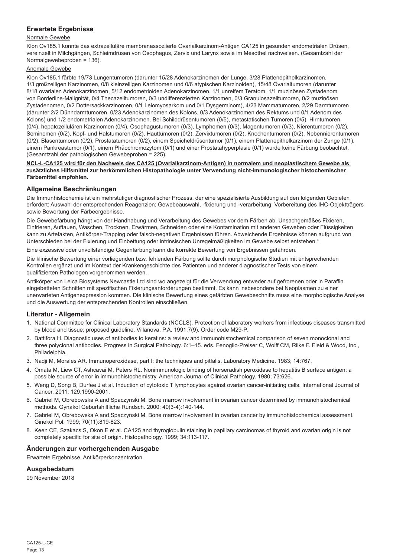## **Erwartete Ergebnisse**

## Normale Gewebe

Klon Ov185.1 konnte das extrazelluläre membranassoziierte Ovarialkarzinom-Antigen CA125 in gesunden endometrialen Drüsen, vereinzelt in Milchgängen, Schleimdrüsen von Ösophagus, Zervix und Larynx sowie im Mesothel nachweisen. (Gesamtzahl der Normalgewebeproben = 136).

## Anomale Gewebe

Klon Ov185.1 färbte 19/73 Lungentumoren (darunter 15/28 Adenokarzinomen der Lunge, 3/28 Plattenepithelkarzinomen, 1/3 großzelligen Karzinomen, 0/8 kleinzelligen Karzinomen und 0/6 atypischen Karzinoiden), 15/48 Ovarialtumoren (darunter 8/18 ovarialen Adenokarzinomen, 5/12 endometrioiden Adenokarzinomen, 1/1 unreifem Teratom, 1/1 muzinösen Zystadenom von Borderline-Malignität, 0/4 Thecazelltumoren, 0/3 undifferenzierten Karzinomen, 0/3 Granulosazelltumoren, 0/2 muzinösen Zystadenomen, 0/2 Dottersackkarzinomen, 0/1 Leiomyosarkom und 0/1 Dysgerminom), 4/23 Mammatumoren, 2/29 Darmtumoren (darunter 2/2 Dünndarmtumoren, 0/23 Adenokarzinomen des Kolons, 0/3 Adenokarzinomen des Rektums und 0/1 Adenom des Kolons) und 1/2 endometrialen Adenokarzinomen. Bei Schilddrüsentumoren (0/5), metastatischen Tumoren (0/5), Hirntumoren (0/4), hepatozellulären Karzinomen (0/4), Ösophagustumoren (0/3), Lymphomen (0/3), Magentumoren (0/3), Nierentumoren (0/2), Seminomen (0/2), Kopf- und Halstumoren (0/2), Hauttumoren (0/2), Zervixtumoren (0/2), Knochentumoren (0/2), Nebennierentumoren (0/2), Blasentumoren (0/2), Prostatatumoren (0/2), einem Speicheldrüsentumor (0/1), einem Plattenepithelkarzinom der Zunge (0/1), einem Pankreastumor (0/1), einem Phäochromozytom (0/1) und einer Prostatahyperplasie (0/1) wurde keine Färbung beobachtet. (Gesamtzahl der pathologischen Gewebeproben = 225).

#### **NCL-L-CA125 wird für den Nachweis des CA125 (Ovarialkarzinom-Antigen) in normalem und neoplastischem Gewebe als zusätzliches Hilfsmittel zur herkömmlichen Histopathologie unter Verwendung nicht-immunologischer histochemischer Färbemittel empfohlen.**

## **Allgemeine Beschränkungen**

Die Immunhistochemie ist ein mehrstufiger diagnostischer Prozess, der eine spezialisierte Ausbildung auf den folgenden Gebieten erfordert: Auswahl der entsprechenden Reagenzien; Gewebeauswahl, -fixierung und -verarbeitung; Vorbereitung des IHC-Objektträgers sowie Bewertung der Färbeergebnisse.

Die Gewebefärbung hängt von der Handhabung und Verarbeitung des Gewebes vor dem Färben ab. Unsachgemäßes Fixieren, Einfrieren, Auftauen, Waschen, Trocknen, Erwärmen, Schneiden oder eine Kontamination mit anderen Geweben oder Flüssigkeiten kann zu Artefakten, Antikörper-Trapping oder falsch-negativen Ergebnissen führen. Abweichende Ergebnisse können aufgrund von Unterschieden bei der Fixierung und Einbettung oder intrinsischen Unregelmäßigkeiten im Gewebe selbst entstehen.4

Eine exzessive oder unvollständige Gegenfärbung kann die korrekte Bewertung von Ergebnissen gefährden.

Die klinische Bewertung einer vorliegenden bzw. fehlenden Färbung sollte durch morphologische Studien mit entsprechenden Kontrollen ergänzt und im Kontext der Krankengeschichte des Patienten und anderer diagnostischer Tests von einem qualifizierten Pathologen vorgenommen werden.

Antikörper von Leica Biosystems Newcastle Ltd sind wo angezeigt für die Verwendung entweder auf gefrorenen oder in Paraffin eingebetteten Schnitten mit spezifischen Fixierungsanforderungen bestimmt. Es kann insbesondere bei Neoplasmen zu einer unerwarteten Antigenexpression kommen. Die klinische Bewertung eines gefärbten Gewebeschnitts muss eine morphologische Analyse und die Auswertung der entsprechenden Kontrollen einschließen.

## **Literatur - Allgemein**

- 1. National Committee for Clinical Laboratory Standards (NCCLS). Protection of laboratory workers from infectious diseases transmitted by blood and tissue; proposed guideline. Villanova, P.A. 1991;7(9). Order code M29-P.
- 2. Battifora H. Diagnostic uses of antibodies to keratins: a review and immunohistochemical comparison of seven monoclonal and three polyclonal antibodies. Progress in Surgical Pathology. 6:1–15. eds. Fenoglio-Preiser C, Wolff CM, Rilke F. Field & Wood, Inc., Philadelphia.
- 3. Nadji M, Morales AR. Immunoperoxidase, part I: the techniques and pitfalls. Laboratory Medicine. 1983; 14:767.
- 4. Omata M, Liew CT, Ashcavai M, Peters RL. Nonimmunologic binding of horseradish peroxidase to hepatitis B surface antigen: a possible source of error in immunohistochemistry. American Journal of Clinical Pathology. 1980; 73:626.
- 5. Weng D, Song B, Durfee J et al. Induction of cytotoxic T lymphocytes against ovarian cancer-initiating cells. International Journal of Cancer. 2011; 129:1990-2001.
- 6. Gabriel M, Obrebowska A and Spaczynski M. Bone marrow involvement in ovarian cancer determined by immunohistochemical methods. Gynakol Geburtshilfliche Rundsch. 2000; 40(3-4):140-144.
- 7. Gabriel M, Obrebowska A and Spaczynski M. Bone marrow involvement in ovarian cancer by immunohistochemical assessment. Ginekol Pol. 1999; 70(11):819-823.
- 8. Keen CE, Szakacs S, Okon E et al. CA125 and thyroglobulin staining in papillary carcinomas of thyroid and ovarian origin is not completely specific for site of origin. Histopathology. 1999; 34:113-117.

### **Änderungen zur vorhergehenden Ausgabe**

Erwartete Ergebnisse, Antikörperkonzentration.

### **Ausgabedatum**

09 November 2018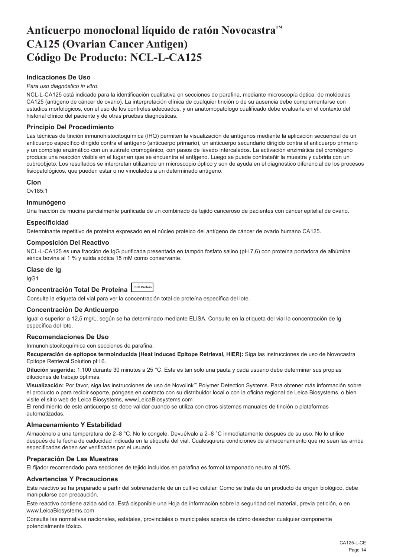# <span id="page-14-0"></span>**Anticuerpo monoclonal líquido de ratón Novocastra™ CA125 (Ovarian Cancer Antigen) Código De Producto: NCL-L-CA125**

## **Indicaciones De Uso**

#### *Para uso diagnóstico in vitro*.

NCL-L-CA125 está indicado para la identificación cualitativa en secciones de parafina, mediante microscopía óptica, de moléculas CA125 (antígeno de cáncer de ovario). La interpretación clínica de cualquier tinción o de su ausencia debe complementarse con estudios morfológicos, con el uso de los controles adecuados, y un anatomopatólogo cualificado debe evaluarla en el contexto del historial clínico del paciente y de otras pruebas diagnósticas.

## **Principio Del Procedimiento**

Las técnicas de tinción inmunohistocitoquímica (IHQ) permiten la visualización de antígenos mediante la aplicación secuencial de un anticuerpo específico dirigido contra el antígeno (anticuerpo primario), un anticuerpo secundario dirigido contra el anticuerpo primario y un complejo enzimático con un sustrato cromogénico, con pasos de lavado intercalados. La activación enzimática del cromógeno produce una reacción visible en el lugar en que se encuentra el antígeno. Luego se puede contrateñir la muestra y cubrirla con un cubreobjeto. Los resultados se interpretan utilizando un microscopio óptico y son de ayuda en el diagnóstico diferencial de los procesos fisiopatológicos, que pueden estar o no vinculados a un determinado antígeno.

#### **Clon**

Ov185:1

### **Inmunógeno**

Una fracción de mucina parcialmente purificada de un combinado de tejido canceroso de pacientes con cáncer epitelial de ovario.

#### **Especificidad**

Determinante repetitivo de proteína expresado en el núcleo proteico del antígeno de cáncer de ovario humano CA125.

#### **Composición Del Reactivo**

NCL-L-CA125 es una fracción de IgG purificada presentada en tampón fosfato salino (pH 7,6) con proteína portadora de albúmina sérica bovina al 1 % y azida sódica 15 mM como conservante.

#### **Clase de Ig**

IgG1

**Concentración Total De Proteína Total Protein**

Consulte la etiqueta del vial para ver la concentración total de proteína específica del lote.

#### **Concentración De Anticuerpo**

Igual o superior a 12,5 mg/L, según se ha determinado mediante ELISA. Consulte en la etiqueta del vial la concentración de Ig específica del lote.

#### **Recomendaciones De Uso**

Inmunohistocitoquímica con secciones de parafina.

**Recuperación de epítopos termoinducida (Heat Induced Epitope Retrieval, HIER):** Siga las instrucciones de uso de Novocastra Epitope Retrieval Solution pH 6.

**Dilución sugerida:** 1:100 durante 30 minutos a 25 °C. Esta es tan solo una pauta y cada usuario debe determinar sus propias diluciones de trabajo óptimas.

**Visualización:** Por favor, siga las instrucciones de uso de Novolink™ Polymer Detection Systems. Para obtener más información sobre el producto o para recibir soporte, póngase en contacto con su distribuidor local o con la oficina regional de Leica Biosystems, o bien visite el sitio web de Leica Biosystems, www.LeicaBiosystems.com

El rendimiento de este anticuerpo se debe validar cuando se utiliza con otros sistemas manuales de tinción o plataformas automatizadas.

### **Almacenamiento Y Estabilidad**

Almacénelo a una temperatura de 2–8 °C. No lo congele. Devuélvalo a 2–8 °C inmediatamente después de su uso. No lo utilice después de la fecha de caducidad indicada en la etiqueta del vial. Cualesquiera condiciones de almacenamiento que no sean las arriba especificadas deben ser verificadas por el usuario.

### **Preparación De Las Muestras**

El fijador recomendado para secciones de tejido incluidos en parafina es formol tamponado neutro al 10%.

## **Advertencias Y Precauciones**

Este reactivo se ha preparado a partir del sobrenadante de un cultivo celular. Como se trata de un producto de origen biológico, debe manipularse con precaución.

Este reactivo contiene azida sódica. Está disponible una Hoja de información sobre la seguridad del material, previa petición, o en www.LeicaBiosystems.com

Consulte las normativas nacionales, estatales, provinciales o municipales acerca de cómo desechar cualquier componente potencialmente tóxico.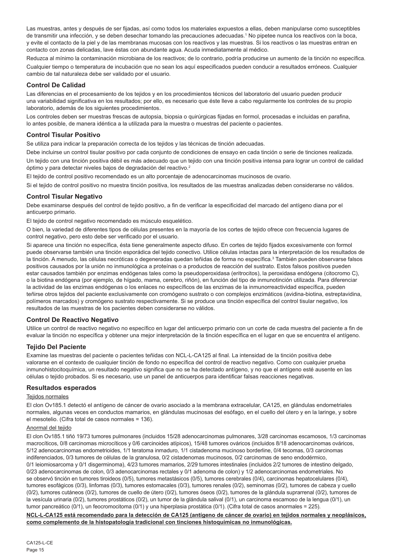Las muestras, antes y después de ser fijadas, así como todos los materiales expuestos a ellas, deben manipularse como susceptibles de transmitir una infección, y se deben desechar tomando las precauciones adecuadas.<sup>1</sup> No pipetee nunca los reactivos con la boca, y evite el contacto de la piel y de las membranas mucosas con los reactivos y las muestras. Si los reactivos o las muestras entran en contacto con zonas delicadas, lave éstas con abundante agua. Acuda inmediatamente al médico.

Reduzca al mínimo la contaminación microbiana de los reactivos; de lo contrario, podría producirse un aumento de la tinción no específica. Cualquier tiempo o temperatura de incubación que no sean los aquí especificados pueden conducir a resultados erróneos. Cualquier cambio de tal naturaleza debe ser validado por el usuario.

## **Control De Calidad**

Las diferencias en el procesamiento de los tejidos y en los procedimientos técnicos del laboratorio del usuario pueden producir una variabilidad significativa en los resultados; por ello, es necesario que éste lleve a cabo regularmente los controles de su propio laboratorio, además de los siguientes procedimientos.

Los controles deben ser muestras frescas de autopsia, biopsia o quirúrgicas fijadas en formol, procesadas e incluidas en parafina, lo antes posible, de manera idéntica a la utilizada para la muestra o muestras del paciente o pacientes.

## **Control Tisular Positivo**

Se utiliza para indicar la preparación correcta de los tejidos y las técnicas de tinción adecuadas.

Debe incluirse un control tisular positivo por cada conjunto de condiciones de ensayo en cada tinción o serie de tinciones realizada. Un tejido con una tinción positiva débil es más adecuado que un tejido con una tinción positiva intensa para lograr un control de calidad óptimo y para detectar niveles bajos de degradación del reactivo.<sup>2</sup>

El tejido de control positivo recomendado es un alto porcentaje de adenocarcinomas mucinosos de ovario.

Si el tejido de control positivo no muestra tinción positiva, los resultados de las muestras analizadas deben considerarse no válidos.

#### **Control Tisular Negativo**

Debe examinarse después del control de tejido positivo, a fin de verificar la especificidad del marcado del antígeno diana por el anticuerpo primario.

El tejido de control negativo recomendado es músculo esquelético.

O bien, la variedad de diferentes tipos de células presentes en la mayoría de los cortes de tejido ofrece con frecuencia lugares de control negativo, pero esto debe ser verificado por el usuario.

Si aparece una tinción no específica, ésta tiene generalmente aspecto difuso. En cortes de tejido fijados excesivamente con formol puede observarse también una tinción esporádica del tejido conectivo. Utilice células intactas para la interpretación de los resultados de la tinción. A menudo, las células necróticas o degeneradas quedan teñidas de forma no específica.<sup>3</sup> También pueden observarse falsos positivos causados por la unión no inmunológica a proteínas o a productos de reacción del sustrato. Estos falsos positivos pueden estar causados también por enzimas endógenas tales como la pseudoperoxidasa (eritrocitos), la peroxidasa endógena (citocromo C), o la biotina endógena (por ejemplo, de hígado, mama, cerebro, riñón), en función del tipo de inmunotinción utilizada. Para diferenciar la actividad de las enzimas endógenas o los enlaces no específicos de las enzimas de la inmunorreactividad específica, pueden teñirse otros tejidos del paciente exclusivamente con cromógeno sustrato o con complejos enzimáticos (avidina-biotina, estreptavidina, polímeros marcados) y cromógeno sustrato respectivamente. Si se produce una tinción específica del control tisular negativo, los resultados de las muestras de los pacientes deben considerarse no válidos.

## **Control De Reactivo Negativo**

Utilice un control de reactivo negativo no específico en lugar del anticuerpo primario con un corte de cada muestra del paciente a fin de evaluar la tinción no específica y obtener una mejor interpretación de la tinción específica en el lugar en que se encuentra el antígeno.

#### **Tejido Del Paciente**

Examine las muestras del paciente o pacientes teñidas con NCL-L-CA125 al final. La intensidad de la tinción positiva debe valorarse en el contexto de cualquier tinción de fondo no específica del control de reactivo negativo. Como con cualquier prueba inmunohistocitoquímica, un resultado negativo significa que no se ha detectado antígeno, y no que el antígeno esté ausente en las células o tejido probados. Si es necesario, use un panel de anticuerpos para identificar falsas reacciones negativas.

### **Resultados esperados**

#### Tejidos normales

El clon Ov185.1 detectó el antígeno de cáncer de ovario asociado a la membrana extracelular, CA125, en glándulas endometriales normales, algunas veces en conductos mamarios, en glándulas mucinosas del esófago, en el cuello del útero y en la laringe, y sobre el mesotelio. (Cifra total de casos normales = 136).

#### Anormal del tejido

El clon Ov185.1 tiñó 19/73 tumores pulmonares (incluidos 15/28 adenocarcinomas pulmonares, 3/28 carcinomas escamosos, 1/3 carcinomas macrocíticos, 0/8 carcinomas microcíticos y 0/6 carcinoides atípicos), 15/48 tumores ováricos (incluidos 8/18 adenocarcinomas ováricos, 5/12 adenocarcinomas endometrioides, 1/1 teratoma inmaduro, 1/1 cistadenoma mucinoso borderline, 0/4 tecomas, 0/3 carcinomas indiferenciados, 0/3 tumores de células de la granulosa, 0/2 cistadenomas mucinosos, 0/2 carcinomas de seno endodérmico, 0/1 leiomiosarcoma y 0/1 disgerminoma), 4/23 tumores mamarios, 2/29 tumores intestinales (incluidos 2/2 tumores de intestino delgado, 0/23 adenocarcinomas de colon, 0/3 adenocarcinomas rectales y 0/1 adenoma de colon) y 1/2 adenocarcinomas endometriales. No se observó tinción en tumores tiroideos (0/5), tumores metastásicos (0/5), tumores cerebrales (0/4), carcinomas hepatocelulares (0/4), tumores esofágicos (0/3), linfomas (0/3), tumores estomacales (0/3), tumores renales (0/2), seminomas (0/2), tumores de cabeza y cuello (0/2), tumores cutáneos (0/2), tumores de cuello de útero (0/2), tumores óseos (0/2), tumores de la glándula suprarrenal (0/2), tumores de la vesícula urinaria (0/2), tumores prostáticos (0/2), un tumor de la glándula salival (0/1), un carcinoma escamoso de la lengua (0/1), un tumor pancreático (0/1), un feocromocitoma (0/1) y una hiperplasia prostática (0/1). (Cifra total de casos anormales = 225).

**NCL-L-CA125 está recomendado para la detección de CA125 (antígeno de cáncer de ovario) en tejidos normales y neoplásicos, como complemento de la histopatología tradicional con tinciones histoquímicas no inmunológicas.**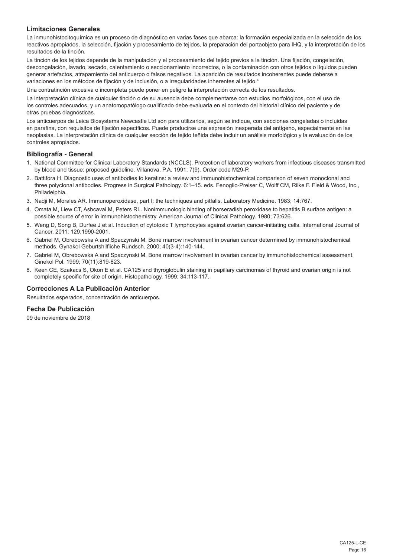## **Limitaciones Generales**

La inmunohistocitoquímica es un proceso de diagnóstico en varias fases que abarca: la formación especializada en la selección de los reactivos apropiados, la selección, fijación y procesamiento de tejidos, la preparación del portaobjeto para IHQ, y la interpretación de los resultados de la tinción.

La tinción de los tejidos depende de la manipulación y el procesamiento del tejido previos a la tinción. Una fijación, congelación, descongelación, lavado, secado, calentamiento o seccionamiento incorrectos, o la contaminación con otros tejidos o líquidos pueden generar artefactos, atrapamiento del anticuerpo o falsos negativos. La aparición de resultados incoherentes puede deberse a variaciones en los métodos de fijación y de inclusión, o a irregularidades inherentes al tejido.<sup>4</sup>

Una contratinción excesiva o incompleta puede poner en peligro la interpretación correcta de los resultados.

La interpretación clínica de cualquier tinción o de su ausencia debe complementarse con estudios morfológicos, con el uso de los controles adecuados, y un anatomopatólogo cualificado debe evaluarla en el contexto del historial clínico del paciente y de otras pruebas diagnósticas.

Los anticuerpos de Leica Biosystems Newcastle Ltd son para utilizarlos, según se indique, con secciones congeladas o incluidas en parafina, con requisitos de fijación específicos. Puede producirse una expresión inesperada del antígeno, especialmente en las neoplasias. La interpretación clínica de cualquier sección de tejido teñida debe incluir un análisis morfológico y la evaluación de los controles apropiados.

#### **Bibliografía - General**

- 1. National Committee for Clinical Laboratory Standards (NCCLS). Protection of laboratory workers from infectious diseases transmitted by blood and tissue; proposed guideline. Villanova, P.A. 1991; 7(9). Order code M29-P.
- 2. Battifora H. Diagnostic uses of antibodies to keratins: a review and immunohistochemical comparison of seven monoclonal and three polyclonal antibodies. Progress in Surgical Pathology. 6:1–15. eds. Fenoglio-Preiser C, Wolff CM, Rilke F. Field & Wood, Inc., Philadelphia.
- 3. Nadji M, Morales AR. Immunoperoxidase, part I: the techniques and pitfalls. Laboratory Medicine. 1983; 14:767.
- 4. Omata M, Liew CT, Ashcavai M, Peters RL. Nonimmunologic binding of horseradish peroxidase to hepatitis B surface antigen: a possible source of error in immunohistochemistry. American Journal of Clinical Pathology. 1980; 73:626.
- 5. Weng D, Song B, Durfee J et al. Induction of cytotoxic T lymphocytes against ovarian cancer-initiating cells. International Journal of Cancer. 2011; 129:1990-2001.
- 6. Gabriel M, Obrebowska A and Spaczynski M. Bone marrow involvement in ovarian cancer determined by immunohistochemical methods. Gynakol Geburtshilfliche Rundsch. 2000; 40(3-4):140-144.
- 7. Gabriel M, Obrebowska A and Spaczynski M. Bone marrow involvement in ovarian cancer by immunohistochemical assessment. Ginekol Pol. 1999; 70(11):819-823.
- 8. Keen CE, Szakacs S, Okon E et al. CA125 and thyroglobulin staining in papillary carcinomas of thyroid and ovarian origin is not completely specific for site of origin. Histopathology. 1999; 34:113-117.

#### **Correcciones A La Publicación Anterior**

Resultados esperados, concentración de anticuerpos.

## **Fecha De Publicación**

09 de noviembre de 2018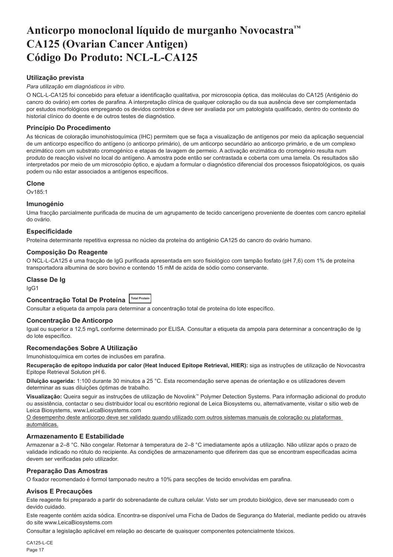# <span id="page-17-0"></span>**Anticorpo monoclonal líquido de murganho Novocastra™ CA125 (Ovarian Cancer Antigen) Código Do Produto: NCL-L-CA125**

## **Utilização prevista**

#### *Para utilização em diagnósticos in vitro*.

O NCL-L-CA125 foi concebido para efetuar a identificação qualitativa, por microscopia óptica, das moléculas do CA125 (Antigénio do cancro do ovário) em cortes de parafina. A interpretação clínica de qualquer coloração ou da sua ausência deve ser complementada por estudos morfológicos empregando os devidos controlos e deve ser avaliada por um patologista qualificado, dentro do contexto do historial clínico do doente e de outros testes de diagnóstico.

## **Princípio Do Procedimento**

As técnicas de coloração imunohistoquímica (IHC) permitem que se faça a visualização de antígenos por meio da aplicação sequencial de um anticorpo específico do antígeno (o anticorpo primário), de um anticorpo secundário ao anticorpo primário, e de um complexo enzimático com um substrato cromogénico e etapas de lavagem de permeio. A activação enzimática do cromogénio resulta num produto de reacção visível no local do antígeno. A amostra pode então ser contrastada e coberta com uma lamela. Os resultados são interpretados por meio de um microscópio óptico, e ajudam a formular o diagnóstico diferencial dos processos fisiopatológicos, os quais podem ou não estar associados a antígenos específicos.

#### **Clone**

 $O<sub>1485:1</sub>$ 

#### **Imunogénio**

Uma fracção parcialmente purificada de mucina de um agrupamento de tecido cancerígeno proveniente de doentes com cancro epitelial do ovário.

#### **Especificidade**

Proteína determinante repetitiva expressa no núcleo da proteína do antigénio CA125 do cancro do ovário humano.

## **Composição Do Reagente**

O NCL-L-CA125 é uma fracção de IgG purificada apresentada em soro fisiológico com tampão fosfato (pH 7,6) com 1% de proteína transportadora albumina de soro bovino e contendo 15 mM de azida de sódio como conservante.

#### **Classe De Ig**

IgG1

## **Concentração Total De Proteína Total Protein**

Consultar a etiqueta da ampola para determinar a concentração total de proteína do lote específico.

### **Concentração De Anticorpo**

Igual ou superior a 12,5 mg/L conforme determinado por ELISA. Consultar a etiqueta da ampola para determinar a concentração de Ig do lote específico.

#### **Recomendações Sobre A Utilização**

Imunohistoquímica em cortes de inclusões em parafina.

**Recuperação de epítopo induzida por calor (Heat Induced Epitope Retrieval, HIER):** siga as instruções de utilização de Novocastra Epitope Retrieval Solution pH 6.

**Diluição sugerida:** 1:100 durante 30 minutos a 25 °C. Esta recomendação serve apenas de orientação e os utilizadores devem determinar as suas diluições óptimas de trabalho.

**Visualização:** Queira seguir as instruções de utilização de Novolink™ Polymer Detection Systems. Para informação adicional do produto ou assistência, contactar o seu distribuidor local ou escritório regional de Leica Biosystems ou, alternativamente, visitar o sitio web de Leica Biosystems, www.LeicaBiosystems.com

O desempenho deste anticorpo deve ser validado quando utilizado com outros sistemas manuais de coloração ou plataformas automáticas.

## **Armazenamento E Estabilidade**

Armazenar a 2–8 °C. Não congelar. Retornar à temperatura de 2–8 °C imediatamente após a utilização. Não utilizar após o prazo de validade indicado no rótulo do recipiente. As condições de armazenamento que diferirem das que se encontram especificadas acima devem ser verificadas pelo utilizador.

### **Preparação Das Amostras**

O fixador recomendado é formol tamponado neutro a 10% para secções de tecido envolvidas em parafina.

### **Avisos E Precauções**

Este reagente foi preparado a partir do sobrenadante de cultura celular. Visto ser um produto biológico, deve ser manuseado com o devido cuidado.

Este reagente contém azida sódica. Encontra-se disponível uma Ficha de Dados de Segurança do Material, mediante pedido ou através do site www.LeicaBiosystems.com

Consultar a legislação aplicável em relação ao descarte de quaisquer componentes potencialmente tóxicos.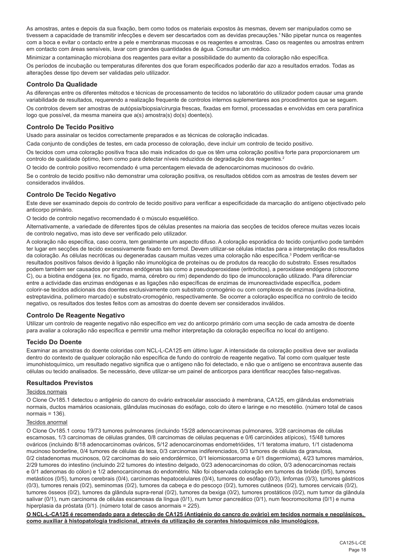As amostras, antes e depois da sua fixação, bem como todos os materiais expostos às mesmas, devem ser manipulados como se tivessem a capacidade de transmitir infecções e devem ser descartados com as devidas precauções.<sup>1</sup> Não pipetar nunca os reagentes com a boca e evitar o contacto entre a pele e membranas mucosas e os reagentes e amostras. Caso os reagentes ou amostras entrem em contacto com áreas sensíveis, lavar com grandes quantidades de água. Consultar um médico.

Minimizar a contaminação microbiana dos reagentes para evitar a possibilidade do aumento da coloração não específica.

Os períodos de incubação ou temperaturas diferentes dos que foram especificados poderão dar azo a resultados errados. Todas as alterações desse tipo devem ser validadas pelo utilizador.

#### **Controlo Da Qualidade**

As diferenças entre os diferentes métodos e técnicas de processamento de tecidos no laboratório do utilizador podem causar uma grande variabilidade de resultados, requerendo a realização frequente de controlos internos suplementares aos procedimentos que se seguem.

Os controlos devem ser amostras de autópsia/biopsia/cirurgia frescas, fixadas em formol, processadas e envolvidas em cera parafínica logo que possível, da mesma maneira que a(s) amostra(s) do(s) doente(s).

## **Controlo De Tecido Positivo**

Usado para assinalar os tecidos correctamente preparados e as técnicas de coloração indicadas.

Cada conjunto de condições de testes, em cada processo de coloração, deve incluir um controlo de tecido positivo.

Os tecidos com uma coloração positiva fraca são mais indicados do que os têm uma coloração positiva forte para proporcionarem um controlo de qualidade óptimo, bem como para detectar níveis reduzidos de degradação dos reagentes.<sup>2</sup>

O tecido de controlo positivo recomendado é uma percentagem elevada de adenocarcinomas mucinosos do ovário.

Se o controlo de tecido positivo não demonstrar uma coloração positiva, os resultados obtidos com as amostras de testes devem ser considerados inválidos.

## **Controlo De Tecido Negativo**

Este deve ser examinado depois do controlo de tecido positivo para verificar a especificidade da marcação do antígeno objectivado pelo anticorpo primário.

O tecido de controlo negativo recomendado é o músculo esquelético.

Alternativamente, a variedade de diferentes tipos de células presentes na maioria das secções de tecidos oferece muitas vezes locais de controlo negativo, mas isto deve ser verificado pelo utilizador.

A coloração não específica, caso ocorra, tem geralmente um aspecto difuso. A coloração esporádica do tecido conjuntivo pode também ter lugar em secções de tecido excessivamente fixado em formol. Devem utilizar-se células intactas para a interpretação dos resultados da coloração. As células necróticas ou degeneradas causam muitas vezes uma coloração não específica.3 Podem verificar-se resultados positivos falsos devido à ligação não imunológica de proteínas ou de produtos da reacção do substrato. Esses resultados podem também ser causados por enzimas endógenas tais como a pseudoperoxidase (eritrócitos), a peroxidase endógena (citocromo C), ou a biotina endógena (ex. no fígado, mama, cérebro ou rim) dependendo do tipo de imunocoloração utilizado. Para diferenciar entre a actividade das enzimas endógenas e as ligações não específicas de enzimas de imunoreactividade específica, podem colorir-se tecidos adicionais dos doentes exclusivamente com substrato cromogénio ou com complexos de enzimas (avidina-biotina, estreptavidina, polímero marcado) e substrato-cromogénio, respectivamente. Se ocorrer a coloração específica no controlo de tecido negativo, os resultados dos testes feitos com as amostras do doente devem ser considerados inválidos.

### **Controlo De Reagente Negativo**

Utilizar um controlo de reagente negativo não específico em vez do anticorpo primário com uma secção de cada amostra de doente para avaliar a coloração não específica e permitir uma melhor interpretação da coloração específica no local do antígeno.

### **Tecido Do Doente**

Examinar as amostras do doente coloridas com NCL-L-CA125 em último lugar. A intensidade da coloração positiva deve ser avaliada dentro do contexto de qualquer coloração não específica de fundo do controlo de reagente negativo. Tal como com qualquer teste imunohistoquímico, um resultado negativo significa que o antígeno não foi detectado, e não que o antígeno se encontrava ausente das células ou tecido analisados. Se necessário, deve utilizar-se um painel de anticorpos para identificar reacções falso-negativas.

### **Resultados Previstos**

#### Tecidos normais

O Clone Ov185.1 detectou o antigénio do cancro do ovário extracelular associado à membrana, CA125, em glândulas endometriais normais, ductos mamários ocasionais, glândulas mucinosas do esófago, colo do útero e laringe e no mesotélio. (número total de casos normais  $= 136$ ).

#### Tecidos anormal

O Clone Ov185.1 corou 19/73 tumores pulmonares (incluindo 15/28 adenocarcinomas pulmonares, 3/28 carcinomas de células escamosas, 1/3 carcinomas de células grandes, 0/8 carcinomas de células pequenas e 0/6 carcinóides atípicos), 15/48 tumores ováricos (incluindo 8/18 adenocarcinomas ováricos, 5/12 adenocarcinomas endometrióides, 1/1 teratoma imaturo, 1/1 cistadenoma mucinoso borderline, 0/4 tumores de células da teca, 0/3 carcinomas indiferenciados, 0/3 tumores de células da granulosa, 0/2 cistadenomas mucinosos, 0/2 carcinomas do seio endordérmico, 0/1 leiomiossarcoma e 0/1 disgermioma), 4/23 tumores mamários, 2/29 tumores do intestino (incluindo 2/2 tumores do intestino delgado, 0/23 adenocarcinomas do cólon, 0/3 adenocarcinomas rectais e 0/1 adenomas do cólon) e 1/2 adenocarcinomas do endométrio. Não foi observada coloração em tumores da tiróide (0/5), tumores metásticos (0/5), tumores cerebrais (0/4), carcinomas hepatocelulares (0/4), tumores do esófago (0/3), linfomas (0/3), tumores gástricos (0/3), tumores renais (0/2), seminomas (0/2), tumores da cabeça e do pescoço (0/2), tumores cutâneos (0/2), tumores cervicais (0/2), tumores ósseos (0/2), tumores da glândula supra-renal (0/2), tumores da bexiga (0/2), tumores prostáticos (0/2), num tumor da glândula salivar (0/1), num carcinoma de células escamosas da língua (0/1), num tumor pancreático (0/1), num feocromocitoma (0/1) e numa hiperplasia da próstata (0/1). (número total de casos anormais = 225).

**O NCL-L-CA125 é recomendado para a detecção de CA125 (Antigénio do cancro do ovário) em tecidos normais e neoplásicos, como auxiliar à histopatologia tradicional, através da utilização de corantes histoquímicos não imunológicos.**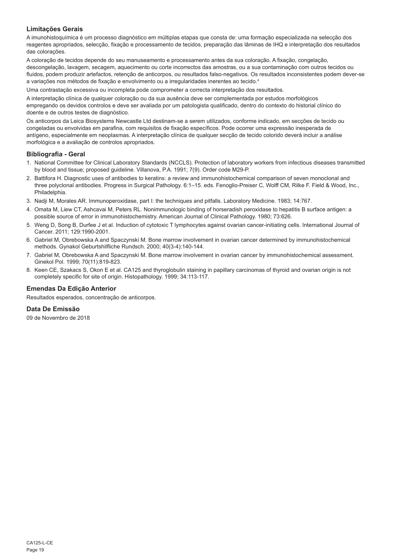## **Limitações Gerais**

A imunohistoquímica é um processo diagnóstico em múltiplas etapas que consta de: uma formação especializada na selecção dos reagentes apropriados, selecção, fixação e processamento de tecidos, preparação das lâminas de IHQ e interpretação dos resultados das colorações.

A coloração de tecidos depende do seu manuseamento e processamento antes da sua coloração. A fixação, congelação, descongelação, lavagem, secagem, aquecimento ou corte incorrectos das amostras, ou a sua contaminação com outros tecidos ou fluidos, podem produzir artefactos, retenção de anticorpos, ou resultados falso-negativos. Os resultados inconsistentes podem dever-se a variações nos métodos de fixação e envolvimento ou a irregularidades inerentes ao tecido.4

Uma contrastação excessiva ou incompleta pode comprometer a correcta interpretação dos resultados.

A interpretação clínica de qualquer coloração ou da sua ausência deve ser complementada por estudos morfológicos empregando os devidos controlos e deve ser avaliada por um patologista qualificado, dentro do contexto do historial clínico do doente e de outros testes de diagnóstico.

Os anticorpos da Leica Biosystems Newcastle Ltd destinam-se a serem utilizados, conforme indicado, em secções de tecido ou congeladas ou envolvidas em parafina, com requisitos de fixação específicos. Pode ocorrer uma expressão inesperada de antígeno, especialmente em neoplasmas. A interpretação clínica de qualquer secção de tecido colorido deverá incluir a análise morfológica e a avaliação de controlos apropriados.

#### **Bibliografia - Geral**

- 1. National Committee for Clinical Laboratory Standards (NCCLS). Protection of laboratory workers from infectious diseases transmitted by blood and tissue; proposed guideline. Villanova, P.A. 1991; 7(9). Order code M29-P.
- 2. Battifora H. Diagnostic uses of antibodies to keratins: a review and immunohistochemical comparison of seven monoclonal and three polyclonal antibodies. Progress in Surgical Pathology. 6:1–15. eds. Fenoglio-Preiser C, Wolff CM, Rilke F. Field & Wood, Inc., Philadelphia.
- 3. Nadji M, Morales AR. Immunoperoxidase, part I: the techniques and pitfalls. Laboratory Medicine. 1983; 14:767.
- 4. Omata M, Liew CT, Ashcavai M, Peters RL. Nonimmunologic binding of horseradish peroxidase to hepatitis B surface antigen: a possible source of error in immunohistochemistry. American Journal of Clinical Pathology. 1980; 73:626.
- 5. Weng D, Song B, Durfee J et al. Induction of cytotoxic T lymphocytes against ovarian cancer-initiating cells. International Journal of Cancer. 2011; 129:1990-2001.
- 6. Gabriel M, Obrebowska A and Spaczynski M. Bone marrow involvement in ovarian cancer determined by immunohistochemical methods. Gynakol Geburtshilfliche Rundsch. 2000; 40(3-4):140-144.
- 7. Gabriel M, Obrebowska A and Spaczynski M. Bone marrow involvement in ovarian cancer by immunohistochemical assessment. Ginekol Pol. 1999; 70(11):819-823.
- 8. Keen CE, Szakacs S, Okon E et al. CA125 and thyroglobulin staining in papillary carcinomas of thyroid and ovarian origin is not completely specific for site of origin. Histopathology. 1999; 34:113-117.

### **Emendas Da Edição Anterior**

Resultados esperados, concentração de anticorpos.

## **Data De Emissão**

09 de Novembro de 2018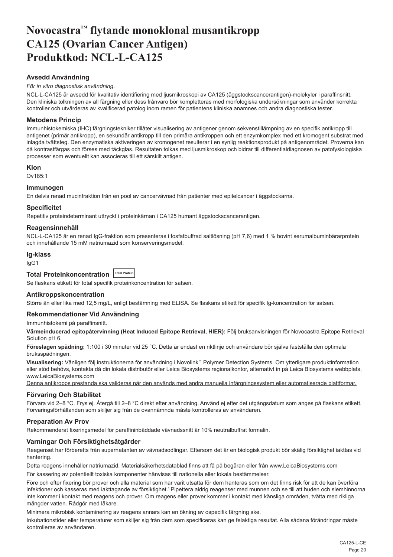# <span id="page-20-0"></span>**Novocastra™ flytande monoklonal musantikropp CA125 (Ovarian Cancer Antigen) Produktkod: NCL-L-CA125**

## **Avsedd Användning**

## *För in vitro diagnostisk användning*.

NCL-L-CA125 är avsedd för kvalitativ identifiering med ljusmikroskopi av CA125 (äggstockscancerantigen)-molekyler i paraffinsnitt. Den kliniska tolkningen av all färgning eller dess frånvaro bör kompletteras med morfologiska undersökningar som använder korrekta kontroller och utvärderas av kvalificerad patolog inom ramen för patientens kliniska anamnes och andra diagnostiska tester.

#### **Metodens Princip**

Immunhistokemiska (IHC) färgningstekniker tillåter visualisering av antigener genom sekvenstillämpning av en specifik antikropp till antigenet (primär antikropp), en sekundär antikropp till den primära antikroppen och ett enzymkomplex med ett kromogent substrat med inlagda tvättsteg. Den enzymatiska aktiveringen av kromogenet resulterar i en synlig reaktionsprodukt på antigenområdet. Proverna kan då kontrastfärgas och förses med täckglas. Resultaten tolkas med ljusmikroskop och bidrar till differentialdiagnosen av patofysiologiska processer som eventuellt kan associeras till ett särskilt antigen.

## **Klon**

Ov185:1

#### **Immunogen**

En delvis renad mucinfraktion från en pool av cancervävnad från patienter med epitelcancer i äggstockarna.

#### **Specificitet**

Repetitiv proteindeterminant uttryckt i proteinkärnan i CA125 humant äggstockscancerantigen.

## **Reagensinnehåll**

NCL-L-CA125 är en renad IgG-fraktion som presenteras i fosfatbuffrad saltlösning (pH 7,6) med 1 % bovint serumalbuminbärarprotein och innehållande 15 mM natriumazid som konserveringsmedel.

#### **Ig-klass**

IgG1

## **Total Proteinkoncentration Total Protein**

Se flaskans etikett för total specifik proteinkoncentration för satsen.

### **Antikroppskoncentration**

Större än eller lika med 12,5 mg/L, enligt bestämning med ELISA. Se flaskans etikett för specifik Ig-koncentration för satsen.

## **Rekommendationer Vid Användning**

Immunhistokemi på paraffinsnitt.

**Värmeinducerad epitopåtervinning (Heat Induced Epitope Retrieval, HIER):** Följ bruksanvisningen för Novocastra Epitope Retrieval Solution pH 6.

**Föreslagen spädning:** 1:100 i 30 minuter vid 25 °C. Detta är endast en riktlinje och användare bör själva fastställa den optimala bruksspädningen.

**Visualisering:** Vänligen följ instruktionerna för användning i Novolink™ Polymer Detection Systems. Om ytterligare produktinformation eller stöd behövs, kontakta då din lokala distributör eller Leica Biosystems regionalkontor, alternativt in på Leica Biosystems webbplats, www.LeicaBiosystems.com

Denna antikropps prestanda ska valideras när den används med andra manuella infärgningssystem eller automatiserade plattformar.

#### **Förvaring Och Stabilitet**

Förvara vid 2–8 °C. Frys ej. Återgå till 2–8 °C direkt efter användning. Använd ej efter det utgångsdatum som anges på flaskans etikett. Förvaringsförhållanden som skiljer sig från de ovannämnda måste kontrolleras av användaren.

### **Preparation Av Prov**

Rekommenderat fixeringsmedel för paraffininbäddade vävnadssnitt är 10% neutralbuffrat formalin.

## **Varningar Och Försiktighetsåtgärder**

Reagenset har förberetts från supernatanten av vävnadsodlingar. Eftersom det är en biologisk produkt bör skälig försiktighet iakttas vid hantering.

Detta reagens innehåller natriumazid. Materialsäkerhetsdatablad finns att få på begäran eller från www.LeicaBiosystems.com

För kassering av potentiellt toxiska komponenter hänvisas till nationella eller lokala bestämmelser.

Före och efter fixering bör prover och alla material som har varit utsatta för dem hanteras som om det finns risk för att de kan överföra infektioner och kasseras med iakttagande av försiktighet.<sup>1</sup> Pipettera aldrig reagenser med munnen och se till att huden och slemhinnorna inte kommer i kontakt med reagens och prover. Om reagens eller prover kommer i kontakt med känsliga områden, tvätta med rikliga mängder vatten. Rådgör med läkare.

Minimera mikrobisk kontaminering av reagens annars kan en ökning av ospecifik färgning ske.

Inkubationstider eller temperaturer som skiljer sig från dem som specificeras kan ge felaktiga resultat. Alla sådana förändringar måste kontrolleras av användaren.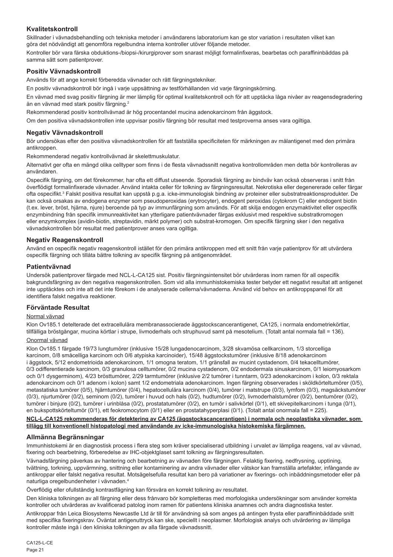## **Kvalitetskontroll**

Skillnader i vävnadsbehandling och tekniska metoder i användarens laboratorium kan ge stor variation i resultaten vilket kan göra det nödvändigt att genomföra regelbundna interna kontroller utöver följande metoder.

Kontroller bör vara färska obduktions-/biopsi-/kirurgiprover som snarast möjligt formalinfixeras, bearbetas och paraffininbäddas på samma sätt som patientprover.

## **Positiv Vävnadskontroll**

Används för att ange korrekt förberedda vävnader och rätt färgningstekniker.

En positiv vävnadskontroll bör ingå i varje uppsättning av testförhållanden vid varje färgningskörning.

En vävnad med svag positiv färgning är mer lämplig för optimal kvalitetskontroll och för att upptäcka låga nivåer av reagensdegradering än en vävnad med stark positiv färgning.<sup>2</sup>

Rekommenderad positiv kontrollvävnad är hög procentandel mucina adenokarcinom från äggstock.

Om den positiva vävnadskontrollen inte uppvisar positiv färgning bör resultat med testproverna anses vara ogiltiga.

### **Negativ Vävnadskontroll**

Bör undersökas efter den positiva vävnadskontrollen för att fastställa specificiteten för märkningen av målantigenet med den primära antikroppen.

Rekommenderad negativ kontrollvävnad är skelettmuskulatur.

Alternativt ger ofta en mängd olika celltyper som finns i de flesta vävnadssnitt negativa kontrollområden men detta bör kontrolleras av användaren.

Ospecifik färgning, om det förekommer, har ofta ett diffust utseende. Sporadisk färgning av bindväv kan också observeras i snitt från överflödigt formalinfixerade vävnader. Använd intakta celler för tolkning av färgningsresultat. Nekrotiska eller degenererade celler färgar ofta ospecifikt.<sup>s</sup> Falskt positiva resultat kan uppstå p.g.a. icke-immunologisk bindning av proteiner eller substratreaktionsprodukter. De kan också orsakas av endogena enzymer som pseudoperoxidas (erytrocyter), endogent peroxidas (cytokrom C) eller endogent biotin (t.ex. lever, bröst, hjärna, njure) beroende på typ av immunfärgning som används. För att skilja endogen enzymaktivitet eller ospecifik enzymbindning från specifik immunreaktivitet kan ytterligare patientvävnader färgas exklusivt med respektive substratkromogen eller enzymkomplex (avidin-biotin, streptavidin, märkt polymer) och substrat-kromogen. Om specifik färgning sker i den negativa vävnadskontrollen bör resultat med patientprover anses vara ogiltiga.

### **Negativ Reagenskontroll**

Använd en ospecifik negativ reagenskontroll istället för den primära antikroppen med ett snitt från varje patientprov för att utvärdera ospecifik färgning och tillåta bättre tolkning av specifik färgning på antigenområdet.

### **Patientvävnad**

Undersök patientprover färgade med NCL-L-CA125 sist. Positiv färgningsintensitet bör utvärderas inom ramen för all ospecifik bakgrundsfärgning av den negativa reagenskontrollen. Som vid alla immunhistokemiska tester betyder ett negativt resultat att antigenet inte upptäcktes och inte att det inte förekom i de analyserade cellerna/vävnaderna. Använd vid behov en antikroppspanel för att identifiera falskt negativa reaktioner.

### **Förväntade Resultat**

#### Normal vävnad

Klon Ov185.1 detelterade det extracellulära membranassocierade äggstockscancerantigenet, CA125, i normala endometriekörtlar, tillfälliga bröstgångar, mucina körtlar i strupe, livmoderhals och struphuvud samt på mesotelium. (Totalt antal normala fall = 136).

#### Onormal vävnad

Klon Ov185.1 färgade 19/73 lungtumörer (inklusive 15/28 lungadenocarcinom, 3/28 skvamösa cellkarcinom, 1/3 storcelliga karcinom, 0/8 småcelliga karcinom och 0/6 atypiska karcinoider), 15/48 äggstockstumörer (inklusive 8/18 adenokarcinom i äggstock, 5/12 endometrioida adenokarcinom, 1/1 omogna teratom, 1/1 gränsfall av mucint cystadenom, 0/4 tekacelltumörer, 0/3 odifferentierade karcinom, 0/3 granulosa celltumörer, 0/2 mucina cystadenom, 0/2 endodermala sinuskarcinom, 0/1 leiomyosarkom och 0/1 dysgerminom), 4/23 brösttumörer, 2/29 tarmtumörer (inklusive 2/2 tumörer i tunntarm, 0/23 adenokarcinom i kolon, 0/3 rektala adenokarcinom och 0/1 adenom i kolon) samt 1/2 endometriala adenokarcinom. Ingen färgning observerades i sköldkörteltumörer (0/5), metastatiska tumörer (0/5), hjärntumörer (0/4), hepatocellulära karcinom (0/4), tumörer i matstrupe (0/3), lymfom (0/3), magsäckstumörer (0/3), njurtumörer (0/2), seminom (0/2), tumörer i huvud och hals (0/2), hudtumörer (0/2), livmoderhalstumörer (0/2), bentumörer (0/2), tumörer i binjure (0/2), tumörer i urinblåsa (0/2), prostatatumörer (0/2), en tumör i salivkörtel (0/1), ett skivepitelkarcinom i tunga (0/1), en bukspottskörteltumör (0/1), ett feokromocytom (0/1) eller en prostatahyperplasi (0/1). (Totalt antal onormala fall = 225).

#### **NCL-L-CA125 rekommenderas för detektering av CA125 (äggstockscancerantigen) i normala och neoplastiska vävnader, som tillägg till konventionell histopatologi med användande av icke-immunologiska histokemiska färgämnen.**

### **Allmänna Begränsningar**

Immunhistokemi är en diagnostisk process i flera steg som kräver specialiserad utbildning i urvalet av lämpliga reagens, val av vävnad, fixering och bearbetning, förberedelse av IHC-objektglaset samt tolkning av färgningsresultaten.

Vävnadsfärgning påverkas av hantering och bearbetning av vävnaden före färgningen. Felaktig fixering, nedfrysning, upptining, tvättning, torkning, uppvärmning, snittning eller kontaminering av andra vävnader eller vätskor kan framställa artefakter, infångande av antikroppar eller falskt negativa resultat. Motsägelsefulla resultat kan bero på variationer av fixerings- och inbäddningsmetoder eller på naturliga oregelbundenheter i vävnaden.4

Överflödig eller ofullständig kontrastfägning kan försvåra en korrekt tolkning av resultatet.

Den kliniska tolkningen av all färgning eller dess frånvaro bör kompletteras med morfologiska undersökningar som använder korrekta kontroller och utvärderas av kvalificerad patolog inom ramen för patientens kliniska anamnes och andra diagnostiska tester.

Antikroppar från Leica Biosystems Newcastle Ltd är till för användning så som anges på antingen frysta eller paraffininbäddade snitt med specifika fixeringskrav. Oväntat antigenuttryck kan ske, speciellt i neoplasmer. Morfologisk analys och utvärdering av lämpliga kontroller måste ingå i den kliniska tolkningen av alla färgade vävnadssnitt.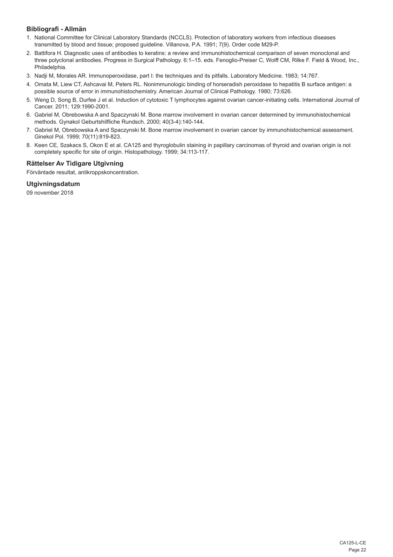## **Bibliografi - Allmän**

- 1. National Committee for Clinical Laboratory Standards (NCCLS). Protection of laboratory workers from infectious diseases transmitted by blood and tissue; proposed guideline. Villanova, P.A. 1991; 7(9). Order code M29-P.
- 2. Battifora H. Diagnostic uses of antibodies to keratins: a review and immunohistochemical comparison of seven monoclonal and three polyclonal antibodies. Progress in Surgical Pathology. 6:1–15. eds. Fenoglio-Preiser C, Wolff CM, Rilke F. Field & Wood, Inc., Philadelphia.
- 3. Nadji M, Morales AR. Immunoperoxidase, part I: the techniques and its pitfalls. Laboratory Medicine. 1983; 14:767.
- 4. Omata M, Liew CT, Ashcavai M, Peters RL. Nonimmunologic binding of horseradish peroxidase to hepatitis B surface antigen: a possible source of error in immunohistochemistry. American Journal of Clinical Pathology. 1980; 73:626.
- 5. Weng D, Song B, Durfee J et al. Induction of cytotoxic T lymphocytes against ovarian cancer-initiating cells. International Journal of Cancer. 2011; 129:1990-2001.
- 6. Gabriel M, Obrebowska A and Spaczynski M. Bone marrow involvement in ovarian cancer determined by immunohistochemical methods. Gynakol Geburtshilfliche Rundsch. 2000; 40(3-4):140-144.
- 7. Gabriel M, Obrebowska A and Spaczynski M. Bone marrow involvement in ovarian cancer by immunohistochemical assessment. Ginekol Pol. 1999; 70(11):819-823.
- 8. Keen CE, Szakacs S, Okon E et al. CA125 and thyroglobulin staining in papillary carcinomas of thyroid and ovarian origin is not completely specific for site of origin. Histopathology. 1999; 34:113-117.

## **Rättelser Av Tidigare Utgivning**

Förväntade resultat, antikroppskoncentration.

## **Utgivningsdatum**

09 november 2018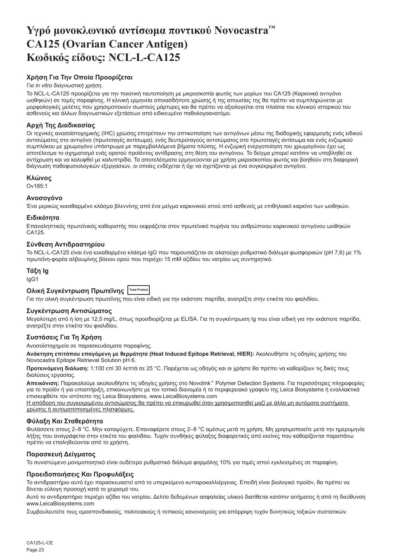# <span id="page-23-0"></span>**Υγρό μονοκλωνικό αντίσωμα ποντικού Novocastra™ CA125 (Ovarian Cancer Antigen) Κωδικός είδους: NCL-L-CA125**

## **Χρήση Για Την Οποία Προορίζεται**

#### *Για in vitro διαγνωστική χρήση*.

Το NCL-L-CA125 προορίζεται για την ποιοτική ταυτοποίηση με μικροσκοπία φωτός των μορίων του CA125 (Καρκινικό αντιγόνο ωοθηκών) σε τομές παραφίνης. Η κλινική ερμηνεία οποιασδήποτε χρώσης ή της απουσίας της θα πρέπει να συμπληρώνεται με μορφολογικές μελέτες που χρησιμοποιούν σωστούς μάρτυρες και θα πρέπει να αξιολογείται στα πλαίσια του κλινικού ιστορικού του ασθενούς και άλλων διαγνωστικών εξετάσεων από ειδικευμένο παθολογοανατόμο.

## **Αρχή Της Διαδικασίας**

Οι τεχνικές ανοσοϊστοχημικής (IHC) χρώσης επιτρέπουν την οπτικοποίηση των αντιγόνων μέσω της διαδοχικής εφαρμογής ενός ειδικού αντισώματος στο αντιγόνο (πρωτοταγές αντίσωμα), ενός δευτεροταγούς αντισώματος στο πρωτοταγές αντίσωμα και ενός ενζυμικού συμπλόκου με χρωμογόνο υπόστρωμα με παρεμβαλλόμενα βήματα πλύσης. Η ενζυμική ενεργοποίηση του χρωμογόνου έχει ως αποτέλεσμα το σχηματισμό ενός ορατού προϊόντος αντίδρασης στη θέση του αντιγόνου. Το δείγμα μπορεί κατόπιν να υποβληθεί σε αντίχρωση και να καλυφθεί με καλυπτρίδα. Τα αποτελέσματα ερμηνεύονται με χρήση μικροσκοπίου φωτός και βοηθούν στη διαφορική διάγνωση παθοφυσιολογικών εξεργασιών, οι οποίες ενδέχεται ή όχι να σχετίζονται με ένα συγκεκριμένο αντιγόνο.

### **Κλώνος**

Ov185:1

### **Ανοσογόνο**

Ένα μερικώς κεκαθαρμένο κλάσμα βλεννίνης από ένα μείγμα καρκινικού ιστού από ασθενείς με επιθηλιακό καρκίνο των ωοθηκών.

#### **Ειδικότητα**

Επαναληπτικός πρωτεϊνικός καθοριστής που εκφράζεται στον πρωτεϊνικό πυρήνα του ανθρώπινου καρκινικού αντιγόνου ωοθηκών CA125.

### **Σύνθεση Αντιδραστηρίου**

Το NCL-L-CA125 είναι ένα κεκαθαρμένο κλάσμα IgG που παρουσιάζεται σε αλατούχο ρυθμιστικό διάλυμα φωσφορικών (pH 7,6) με 1% πρωτεΐνη-φορέα αλβουμίνης βόειου ορού που περιέχει 15 mM αζιδίου του νατρίου ως συντηρητικό.

## **Τάξη Ig**

IgG1

## **Ολική Συγκέντρωση Πρωτεΐνης Total Protein**

Για την ολική συγκέντρωση πρωτεΐνης που είναι ειδική για την εκάστοτε παρτίδα, ανατρέξτε στην ετικέτα του φιαλιδίου.

### **Συγκέντρωση Αντισώματος**

Μεγαλύτερη από ή ίση με 12,5 mg/L, όπως προσδιορίζεται με ELISA. Για τη συγκέντρωση Ig που είναι ειδική για την εκάστοτε παρτίδα, ανατρέξτε στην ετικέτα του φιαλιδίου.

## **Συστάσεις Για Τη Χρήση**

Ανοσοϊστοχημεία σε παρασκευάσματα παραφίνης.

**Ανάκτηση επιτόπου επαγόμενη με θερμότητα (Heat Induced Epitope Retrieval, HIER):** Ακολουθήστε τις οδηγίες χρήσης του Novocastra Epitope Retrieval Solution pH 6.

**Προτεινόμενη διάλυση:** 1:100 επί 30 λεπτά σε 25 °C. Παρέχεται ως οδηγός και οι χρήστε θα πρέπει να καθορίζουν τις δικές τους διαλύσεις εργασίας.

**Απεικόνιση:** Παρακαλούμε ακολουθήστε τις οδηγίες χρήσης στο Novolink™ Polymer Detection Systems. Για περισσότερες πληροφορίες για το προϊόν ή για υποστήριξη, επικοινωνήστε με τον τοπικό διανομέα ή το περιφερειακό γραφείο της Leica Biosystems ή εναλλακτικά επισκεφθείτε τον ιστότοπο της Leica Biosystems, www.LeicaBiosystems.com

Η απόδοση του συγκεκριμένου αντισώματος θα πρέπει να επικυρωθεί όταν χρησιμοποιηθεί μαζί με άλλα μη αυτόματα συστήματα χρώσης ή αυτοματοποιημένες πλατφόρμες.

### **Φύλαξη Και Σταθερότητα**

Φυλάσσετε στους 2–8 °C. Μην καταψύχετε. Επαναφέρετε στους 2–8 °C αμέσως μετά τη χρήση. Μη χρησιμοποιείτε μετά την ημερομηνία λήξης που αναγράφεται στην ετικέτα του φιαλιδίου. Τυχόν συνθήκες φύλαξης διαφορετικές από εκείνες που καθορίζονται παραπάνω πρέπει να επαληθεύονται από το χρήστη.

### **Παρασκευή Δείγματος**

Το συνιστώμενο μονιμοποιητικό είναι ουδέτερο ρυθμιστικό διάλυμα φορμόλης 10% για τομές ιστού εγκλεισμένες σε παραφίνη.

### **Προειδοποιήσεις Και Προφυλάξεις**

Το αντιδραστήριο αυτό έχει παρασκευαστεί από το υπερκείμενο κυτταροκαλλιέργειας. Επειδή είναι βιολογικό προϊόν, θα πρέπει να δίνεται εύλογη προσοχή κατά το χειρισμό του.

Αυτό το αντιδραστήριο περιέχει αζίδιο του νατρίου. Δελτίο δεδομένων ασφαλείας υλικού διατίθεται κατόπιν αιτήματος ή από τη διεύθυνση www.LeicaBiosystems.com

Συμβουλευτείτε τους ομοσπονδιακούς, πολιτειακούς ή τοπικούς κανονισμούς για απόρριψη τυχόν δυνητικώς τοξικών συστατικών.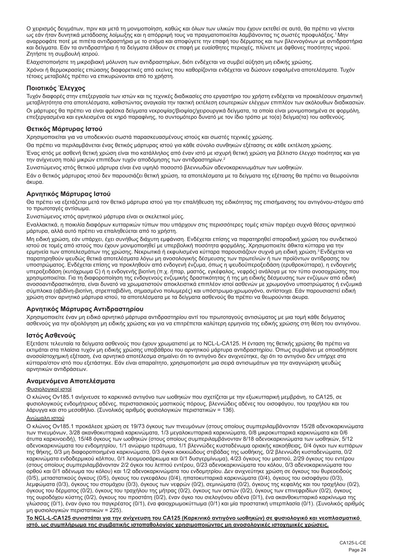Ο χειρισμός δειγμάτων, πριν και μετά τη μονιμοποίηση, καθώς και όλων των υλικών που έχουν εκτεθεί σε αυτά, θα πρέπει να γίνεται ως εάν ήταν δυνητικά μετάδοσης λοίμωξης και η απόρριψή τους να πραγματοποιείται λαμβάνοντας τις σωστές προφυλάξεις.<sup>1</sup>Μην αναρροφάτε ποτέ με πιπέτα αντιδραστήρια με το στόμα και αποφύγετε την επαφή του δέρματος και των βλεννογόνων με αντιδραστήρια και δείγματα. Εάν τα αντιδραστήρια ή τα δείγματα έλθουν σε επαφή με ευαίσθητες περιοχές, πλύνετε με άφθονες ποσότητες νερού. Ζητήστε τη συμβουλή ιατρού.

Ελαχιστοποιήστε τη μικροβιακή μόλυνση των αντιδραστηρίων, διότι ενδέχεται να συμβεί αύξηση μη ειδικής χρώσης.

Χρόνοι ή θερμοκρασίες επώασης διαφορετικές από εκείνες που καθορίζονται ενδέχεται να δώσουν εσφαλμένα αποτελέσματα. Τυχόν τέτοιες μεταβολές πρέπει να επικυρώνονται από το χρήστη.

## **Ποιοτικός Έλεγχος**

Τυχόν διαφορές στην επεξεργασία των ιστών και τις τεχνικές διαδικασίες στο εργαστήριο του χρήστη ενδέχεται να προκαλέσουν σημαντική μεταβλητότητα στα αποτελέσματα, καθιστώντας αναγκαία την τακτική εκτέλεση εσωτερικών ελέγχων επιπλέον των ακόλουθων διαδικασιών.

Οι μάρτυρες θα πρέπει να είναι φρέσκα δείγματα νεκροψίας/βιοψίας/χειρουργικά δείγματα, τα οποία είναι μονιμοποιημένα σε φορμόλη, επεξεργασμένα και εγκλεισμένα σε κηρό παραφίνης, το συντομότερο δυνατό με τον ίδιο τρόπο με το(α) δείγμα(τα) του ασθενούς.

## **Θετικός Μάρτυρας Ιστού**

Χρησιμοποιείται για να υποδεικνύει σωστά παρασκευασμένους ιστούς και σωστές τεχνικές χρώσης.

Θα πρέπει να περιλαμβάνεται ένας θετικός μάρτυρας ιστού για κάθε σύνολο συνθηκών εξέτασης σε κάθε εκτέλεση χρώσης.

Ένας ιστός με ασθενή θετική χρώση είναι πιο κατάλληλος από έναν ιστό με ισχυρή θετική χρώση για βέλτιστο έλεγχο ποιότητας και για την ανίχνευση πολύ μικρών επιπέδων τυχόν αποδόμησης των αντιδραστηρίων.<sup>2</sup>

Συνιστώμενος ιστός θετικού μάρτυρα είναι ένα υψηλό ποσοστό βλεννωδών αδενοκαρκινωμάτων των ωοθηκών. Εάν ο θετικός μάρτυρας ιστού δεν παρουσιάζει θετική χρώση, τα αποτελέσματα με τα δείγματα της εξέτασης θα πρέπει να θεωρούνται άκυρα.

### **Αρνητικός Μάρτυρας Ιστού**

Θα πρέπει να εξετάζεται μετά τον θετικό μάρτυρα ιστού για την επαλήθευση της ειδικότητας της επισήμανσης του αντιγόνου-στόχου από το πρωτοταγές αντίσωμα.

Συνιστώμενος ιστός αρνητικού μάρτυρα είναι οι σκελετικοί μύες.

Εναλλακτικά, η ποικιλία διαφόρων κυτταρικών τύπων που υπάρχουν στις περισσότερες τομές ιστών παρέχει συχνά θέσεις αρνητικού μάρτυρα, αλλά αυτό πρέπει να επαληθεύεται από το χρήστη.

Μη ειδική χρώση, εάν υπάρχει, έχει συνήθως διάχυτη εμφάνιση. Ενδέχεται επίσης να παρατηρηθεί σποραδική χρώση του συνδετικού ιστού σε τομές από ιστούς που έχουν μονιμοποιηθεί με υπερβολική ποσότητα φορμόλης. Χρησιμοποιείτε άθικτα κύτταρα για την ερμηνεία των αποτελεσμάτων της χρώσης. Νεκρωτικά ή εκφυλισμένα κύτταρα παρουσιάζουν συχνά μη ειδική χρώση.3 Ενδέχεται να παρατηρηθούν ψευδώς θετικά αποτελέσματα λόγω μη ανοσολογικής δέσμευσης των πρωτεϊνών ή των προϊόντων αντίδρασης του υποστρώματος. Ενδέχεται επίσης να προκληθούν από ενδογενή ένζυμα, όπως η ψευδοϋπεροξειδάση (ερυθροκύτταρα), η ενδογενής υπεροξειδάση (κυτόχρωμα C) ή η ενδογενής βιοτίνη (π.χ. ήπαρ, μαστός, εγκέφαλος, νεφρός) ανάλογα με τον τύπο ανοσοχρώσης που χρησιμοποιείται. Για τη διαφοροποίηση της ενδογενούς ενζυμικής δραστικότητας ή της μη ειδικής δέσμευσης των ενζύμων από ειδική ανοσοαντιδραστικότητα, είναι δυνατό να χρωματιστούν αποκλειστικά επιπλέον ιστοί ασθενών με χρωμογόνο υποστρώματος ή ενζυμικά σύμπλοκα (αβιδίνη-βιοτίνη, στρεπταβιδίνη, σημασμένο πολυμερές) και υπόστρωμα-χρωμογόνο, αντίστοιχα. Εάν παρουσιαστεί ειδική χρώση στον αρνητικό μάρτυρα ιστού, τα αποτελέσματα με τα δείγματα ασθενούς θα πρέπει να θεωρούνται άκυρα.

### **Αρνητικός Μάρτυρας Αντιδραστηρίου**

Χρησιμοποιείτε έναν μη ειδικό αρνητικό μάρτυρα αντιδραστηρίου αντί του πρωτοταγούς αντισώματος με μια τομή κάθε δείγματος ασθενούς για την αξιολόγηση μη ειδικής χρώσης και για να επιτρέπεται καλύτερη ερμηνεία της ειδικής χρώσης στη θέση του αντιγόνου.

### **Ιστός Ασθενούς**

Εξετάστε τελευταία τα δείγματα ασθενούς που έχουν χρωματιστεί με το NCL-L-CA125. Η ένταση της θετικής χρώσης θα πρέπει να εκτιμάται στα πλαίσια τυχόν μη ειδικής χρώσης υποβάθρου του αρνητικού μάρτυρα αντιδραστηρίου. Όπως συμβαίνει με οποιαδήποτε ανοσοϊστοχημική εξέταση, ένα αρνητικό αποτέλεσμα σημαίνει ότι το αντιγόνο δεν ανιχνεύτηκε, όχι ότι το αντιγόνο δεν υπήρχε στα κύτταρα/στον ιστό που εξετάστηκε. Εάν είναι απαραίτητο, χρησιμοποιήστε μια σειρά αντισωμάτων για την αναγνώριση ψευδώς αρνητικών αντιδράσεων.

### **Αναμενόμενα Αποτελέσματα**

#### Φυσιολογικοί ιστοί

Ο κλώνος Ov185.1 ανίχνευσε το καρκινικό αντιγόνο των ωοθηκών που σχετίζεται με την εξωκυτταρική μεμβράνη, το CA125, σε φυσιολογικούς ενδομήτριους αδένες, περιστασιακούς μαστικούς πόρους, βλεννώδεις αδένες του οισοφάγου, του τραχήλου και του λάρυγγα και στο μεσοθήλιο. (Συνολικός αριθμός φυσιολογικών περιστατικών = 136).

## Ανώμαλη ιστού

Ο κλώνος Ov185.1 προκάλεσε χρώση σε 19/73 όγκους των πνευμόνων (στους οποίους συμπεριλαμβάνονταν 15/28 αδενοκαρκινώματα των πνευμόνων, 3/28 ακανθοκυτταρικά καρκινώματα, 1/3 μεγαλοκυτταρικά καρκινώματα, 0/8 μικροκυτταρικά καρκινώματα και 0/6 άτυπα καρκινοειδή), 15/48 όγκους των ωοθηκών (στους οποίους συμπεριλαμβάνονταν 8/18 αδενοκαρκινώματα των ωοθηκών, 5/12 αδενοκαρκινώματα του ενδομητρίου, 1/1 ανώριμο τεράτωμα, 1/1 βλεννώδες κυσταδένωμα οριακής κακοήθειας, 0/4 όγκοι των κυττάρων της θήκης, 0/3 μη διαφοροποιημένα καρκινώματα, 0/3 όγκοι κοκκιώδους στιβάδας της ωοθήκης, 0/2 βλεννώδη κυσταδενώματα, 0/2 καρκινώματα ενδοδερμικού κόλπου, 0/1 λειομυοσάρκωμα και 0/1 δυσγερμίνωμα), 4/23 όγκους του μαστού, 2/29 όγκους του εντέρου (στους οποίους συμπεριλαμβάνονταν 2/2 όγκοι του λεπτού εντέρου, 0/23 αδενοκαρκινώματα του κόλου, 0/3 αδενοκαρκινώματα του ορθού και 0/1 αδένωμα του κόλου) και 1/2 αδενοκαρκινώματα του ενδομητρίου. Δεν ανιχνεύτηκε χρώση σε όγκους του θυρεοειδούς (0/5), μεταστατικούς όγκους (0/5), όγκους του εγκεφάλου (0/4), ηπατοκυτταρικά καρκινώματα (0/4), όγκους του οισοφάγου (0/3), λεμφώματα (0/3), όγκους του στομάχου (0/3), όγκους των νεφρών (0/2), σεμινώματα (0/2), όγκους της κεφαλής και του τραχήλου (0/2), όγκους του δέρματος (0/2), όγκους του τραχήλου της μήτρας (0/2), όγκους των οστών (0/2), όγκους των επινεφριδίων (0/2), όγκους της ουροδόχου κύστης (0/2), όγκους του προστάτη (0/2), έναν όγκο του σιελογόνου αδένα (0/1), ένα ακανθοκυτταρικό καρκίνωμα της γλώσσας (0/1), έναν όγκο του παγκρέατος (0/1), ένα φαιοχρωμοκύττωμα (0/1) και μία προστατική υπερπλασία (0/1). (Συνολικός αριθμός μη φυσιολογικών περιστατικών = 225).

**Το NCL-L-CA125 συνιστάται για την ανίχνευση του CA125 (Καρκινικό αντιγόνο ωοθηκών) σε φυσιολογικό και νεοπλασματικό ιστό, ως συμπλήρωμα της συμβατικής ιστοπαθολογίας χρησιμοποιώντας μη ανοσολογικές ιστοχημικές χρώσεις.**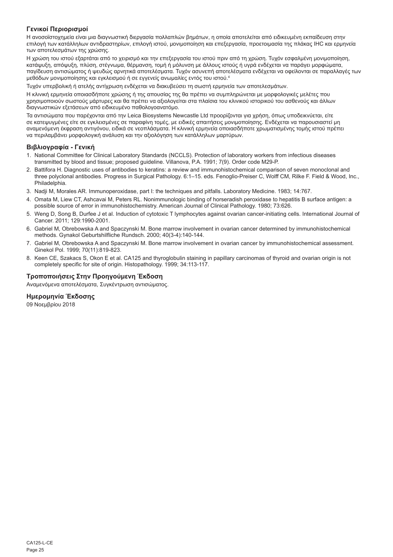## **Γενικοί Περιορισμοί**

Η ανοσοϊστοχημεία είναι μια διαγνωστική διεργασία πολλαπλών βημάτων, η οποία αποτελείται από ειδικευμένη εκπαίδευση στην επιλογή των κατάλληλων αντιδραστηρίων, επιλογή ιστού, μονιμοποίηση και επεξεργασία, προετοιμασία της πλάκας IHC και ερμηνεία των αποτελεσμάτων της χρώσης.

Η χρώση του ιστού εξαρτάται από το χειρισμό και την επεξεργασία του ιστού πριν από τη χρώση. Τυχόν εσφαλμένη μονιμοποίηση, κατάψυξη, απόψυξη, πλύση, στέγνωμα, θέρμανση, τομή ή μόλυνση με άλλους ιστούς ή υγρά ενδέχεται να παράγει μορφώματα, παγίδευση αντισώματος ή ψευδώς αρνητικά αποτελέσματα. Τυχόν ασυνεπή αποτελέσματα ενδέχεται να οφείλονται σε παραλλαγές των μεθόδων μονιμοποίησης και εγκλεισμού ή σε εγγενείς ανωμαλίες εντός του ιστού.4

Τυχόν υπερβολική ή ατελής αντίχρωση ενδέχεται να διακυβεύσει τη σωστή ερμηνεία των αποτελεσμάτων.

Η κλινική ερμηνεία οποιασδήποτε χρώσης ή της απουσίας της θα πρέπει να συμπληρώνεται με μορφολογικές μελέτες που χρησιμοποιούν σωστούς μάρτυρες και θα πρέπει να αξιολογείται στα πλαίσια του κλινικού ιστορικού του ασθενούς και άλλων διαγνωστικών εξετάσεων από ειδικευμένο παθολογοανατόμο.

Τα αντισώματα που παρέχονται από την Leica Biosystems Newcastle Ltd προορίζονται για χρήση, όπως υποδεικνύεται, είτε σε κατεψυγμένες είτε σε εγκλεισμένες σε παραφίνη τομές, με ειδικές απαιτήσεις μονιμοποίησης. Ενδέχεται να παρουσιαστεί μη αναμενόμενη έκφραση αντιγόνου, ειδικά σε νεοπλάσματα. Η κλινική ερμηνεία οποιασδήποτε χρωματισμένης τομής ιστού πρέπει να περιλαμβάνει μορφολογική ανάλυση και την αξιολόγηση των κατάλληλων μαρτύρων.

## **Βιβλιογραφία - Γενική**

- 1. National Committee for Clinical Laboratory Standards (NCCLS). Protection of laboratory workers from infectious diseases transmitted by blood and tissue; proposed guideline. Villanova, P.A. 1991; 7(9). Order code M29-P.
- 2. Battifora H. Diagnostic uses of antibodies to keratins: a review and immunohistochemical comparison of seven monoclonal and three polyclonal antibodies. Progress in Surgical Pathology. 6:1–15. eds. Fenoglio-Preiser C, Wolff CM, Rilke F. Field & Wood, Inc., Philadelphia.
- 3. Nadji M, Morales AR. Immunoperoxidase, part I: the techniques and pitfalls. Laboratory Medicine. 1983; 14:767.
- 4. Omata M, Liew CT, Ashcavai M, Peters RL. Nonimmunologic binding of horseradish peroxidase to hepatitis B surface antigen: a possible source of error in immunohistochemistry. American Journal of Clinical Pathology. 1980; 73:626.
- 5. Weng D, Song B, Durfee J et al. Induction of cytotoxic T lymphocytes against ovarian cancer-initiating cells. International Journal of Cancer. 2011; 129:1990-2001.
- 6. Gabriel M, Obrebowska A and Spaczynski M. Bone marrow involvement in ovarian cancer determined by immunohistochemical methods. Gynakol Geburtshilfliche Rundsch. 2000; 40(3-4):140-144.
- 7. Gabriel M, Obrebowska A and Spaczynski M. Bone marrow involvement in ovarian cancer by immunohistochemical assessment. Ginekol Pol. 1999; 70(11):819-823.
- 8. Keen CE, Szakacs S, Okon E et al. CA125 and thyroglobulin staining in papillary carcinomas of thyroid and ovarian origin is not completely specific for site of origin. Histopathology. 1999; 34:113-117.

## **Τροποποιήσεις Στην Προηγούμενη Έκδοση**

Αναμενόμενα αποτελέσματα, Συγκέντρωση αντισώματος.

## **Ημερομηνία Έκδοσης**

09 Νοεμβρίου 2018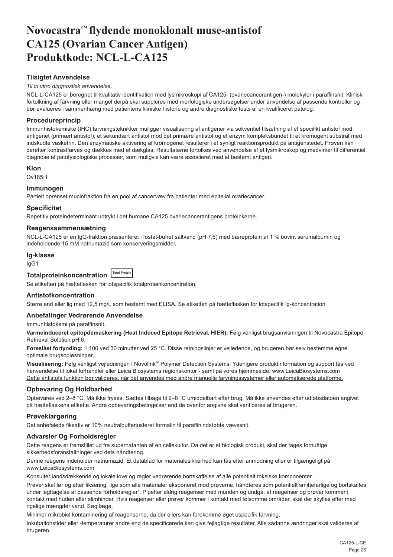# <span id="page-26-0"></span>**Novocastra™ flydende monoklonalt muse-antistof CA125 (Ovarian Cancer Antigen) Produktkode: NCL-L-CA125**

## **Tilsigtet Anvendelse**

#### *Til in vitro diagnostisk anvendelse*.

NCL-L-CA125 er beregnet til kvalitativ identifikation med lysmikroskopi af CA125- (ovariecancerantigen-) molekyler i paraffinsnit. Klinisk fortolkning af farvning eller mangel derpå skal suppleres med morfologiske undersøgelser under anvendelse af passende kontroller og bør evalueres i sammenhæng med patientens kliniske historie og andre diagnostiske tests af en kvalificeret patolog.

## **Procedureprincip**

Immunhistokemiske (IHC) farvningsteknikker muliggør visualisering af antigener via sekventiel tilsætning af et specifikt antistof mod antigenet (primært antistof), et sekundært antistof mod det primære antistof og et enzym kompleksbundet til et kromogent substrat med indskudte vasketrin. Den enzymatiske aktivering af kromogenet resulterer i et synligt reaktionsprodukt på antigenstedet. Prøven kan derefter kontrastfarves og dækkes med et dækglas. Resultaterne fortolkes ved anvendelse af et lysmikroskop og medvirker til differentiel diagnose af patofysiologiske processer, som muligvis kan være associeret med et bestemt antigen.

#### **Klon**

Ov185:1

### **Immunogen**

Partielt oprenset mucinfraktion fra en pool af cancervæv fra patienter med epitelial ovariecancer.

#### **Specificitet**

Repetitiv proteindeterminant udtrykt i det humane CA125 ovariecancerantigens proteinkerne.

## **Reagenssammensætning**

NCL-L-CA125 er en IgG-fraktion præsenteret i fosfat-bufret saltvand (pH 7,6) med bæreprotein af 1 % bovint serumalbumin og indeholdende 15 mM natriumazid som konserveringsmiddel.

#### **Ig-klasse**

IgG1

## **Totalproteinkoncentration Total Protein**

Se etiketten på hætteflasken for lotspecifik totalproteinkoncentration.

### **Antistofkoncentration**

Større end eller lig med 12,5 mg/L som bestemt med ELISA. Se etiketten på hætteflasken for lotspecifik Ig-koncentration.

## **Anbefalinger Vedrørende Anvendelse**

Immunhistokemi på paraffinsnit.

**Varmeinduceret epitopdemaskering (Heat Induced Epitope Retrieval, HIER):** Følg venligst brugsanvisningen til Novocastra Epitope Retrieval Solution pH 6.

**Foreslået fortynding:** 1:100 ved 30 minutter ved 25 °C. Disse retningslinjer er vejledende, og brugeren bør selv bestemme egne optimale brugsopløsninger.

**Visualisering:** Følg venligst vejledningen i Novolink™ Polymer Detection Systems. Yderligere produktinformation og support fås ved henvendelse til lokal forhandler eller Leica Biosystems regionskontor - samt på vores hjemmeside: www.LeicaBiosystems.com Dette antistofs funktion bør valideres, når det anvendes med andre manuelle farvningssystemer eller automatiserede platforme.

## **Opbevaring Og Holdbarhed**

Opbevares ved 2–8 °C. Må ikke fryses. Sættes tilbage til 2–8 °C umiddelbart efter brug. Må ikke anvendes efter udløbsdatoen angivet på hætteflaskens etikette. Andre opbevaringsbetingelser end de ovenfor angivne skal verificeres af brugeren.

### **Prøveklargøring**

Det anbefalede fiksativ er 10% neutralbufferjusteret formalin til paraffinindstøbte vævssnit.

### **Advarsler Og Forholdsregler**

Dette reagens er fremstillet ud fra supernatanten af en cellekultur. Da det er et biologisk produkt, skal der tages fornuftige sikkerhedsforanstaltninger ved dets håndtering.

Denne reagens indeholder natriumazid. Et datablad for materialesikkerhed kan fås efter anmodning eller er tilgængeligt på www.LeicaBiosystems.com

Konsulter landsdækkende og lokale love og regler vedrørende bortskaffelse af alle potentielt toksiske komponenter.

Prøver skal før og efter fiksering, lige som alle materialer eksponeret mod prøverne, håndteres som potentielt smittefarlige og bortskaffes under iagttagelse af passende forholdsregler<sup>1</sup>. Pipetter aldrig reagenser med munden og undgå, at reagenser og prøver kommer i kontakt med huden eller slimhinder. Hvis reagenser eller prøver kommer i kontakt med følsomme områder, skal der skylles efter med rigelige mængder vand. Søg læge.

Minimer mikrobiel kontaminering af reagenserne, da der ellers kan forekomme øget uspecifik farvning.

Inkubationstider eller -temperaturer andre end de specificerede kan give fejlagtige resultater. Alle sådanne ændringer skal valideres af brugeren.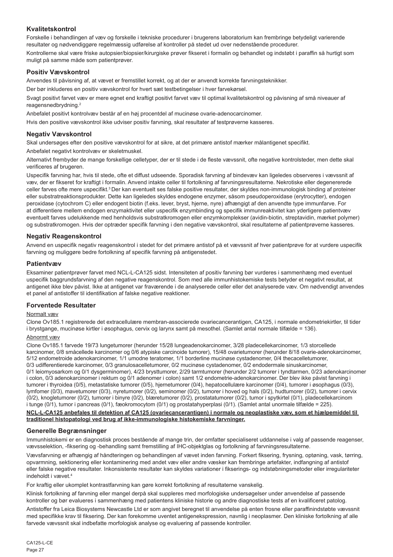## **Kvalitetskontrol**

Forskelle i behandlingen af væv og forskelle i tekniske procedurer i brugerens laboratorium kan frembringe betydeligt varierende resultater og nødvendiggøre regelmæssig udførelse af kontroller på stedet ud over nedenstående procedurer. Kontrollerne skal være friske autopsier/biopsier/kirurgiske prøver fikseret i formalin og behandlet og indstøbt i paraffin så hurtigt som muligt på samme måde som patientprøver.

## **Positiv Vævskontrol**

Anvendes til påvisning af, at vævet er fremstillet korrekt, og at der er anvendt korrekte farvningsteknikker.

Der bør inkluderes en positiv vævskontrol for hvert sæt testbetingelser i hver farvekørsel.

Svagt positivt farvet væv er mere egnet end kraftigt positivt farvet væv til optimal kvalitetskontrol og påvisning af små niveauer af reagensnedbrydning.<sup>2</sup>

Anbefalet positivt kontrolvæv består af en høj procentdel af mucinøse ovarie-adenocarcinomer.

Hvis den positive vævskontrol ikke udviser positiv farvning, skal resultater af testprøverne kasseres.

## **Negativ Vævskontrol**

Skal undersøges efter den positive vævskontrol for at sikre, at det primære antistof mærker målantigenet specifikt.

Anbefalet negativt kontrolvæv er skeletmuskel.

Alternativt frembyder de mange forskellige celletyper, der er til stede i de fleste vævssnit, ofte negative kontrolsteder, men dette skal verificeres af brugeren.

Uspecifik farvning har, hvis til stede, ofte et diffust udseende. Sporadisk farvning af bindevæv kan ligeledes observeres i vævssnit af væv, der er fikseret for kraftigt i formalin. Anvend intakte celler til fortolkning af farvningsresultaterne. Nekrotiske eller degenererede celler farves ofte mere uspecifikt.<sup>3</sup> Der kan eventuelt ses falske positive resultater, der skyldes non-immunologisk binding af proteiner eller substratreaktionsprodukter. Dette kan ligeledes skyldes endogene enzymer, såsom pseudoperoxidase (erytrocytter), endogen peroxidase (cytochrom C) eller endogent biotin (f.eks. lever, bryst, hjerne, nyre) afhængigt af den anvendte type immunfarve. For at differentiere mellem endogen enzymaktivitet eller uspecifik enzymbinding og specifik immunreaktivitet kan yderligere patientvæv eventuelt farves udelukkende med henholdsvis substratkromogen eller enzymkomplekser (avidin-biotin, streptavidin, mærket polymer) og substratkromogen. Hvis der optræder specifik farvning i den negative vævskontrol, skal resultaterne af patientprøverne kasseres.

## **Negativ Reagenskontrol**

Anvend en uspecifik negativ reagenskontrol i stedet for det primære antistof på et vævssnit af hver patientprøve for at vurdere uspecifik farvning og muliggøre bedre fortolkning af specifik farvning på antigenstedet.

### **Patientvæv**

Eksaminer patientprøver farvet med NCL-L-CA125 sidst. Intensiteten af positiv farvning bør vurderes i sammenhæng med eventuel uspecifik baggrundsfarvning af den negative reagenskontrol. Som med alle immunhistokemiske tests betyder et negativt resultat, at antigenet ikke blev påvist. Ikke at antigenet var fraværende i de analyserede celler eller det analyserede væv. Om nødvendigt anvendes et panel af antistoffer til identifikation af falske negative reaktioner.

### **Forventede Resultater**

### Normalt væv

Clone Ov185.1 registrerede det extracellulære membran-associerede ovariecancerantigen, CA125, i normale endometriekirtler, til tider i brystgange, mucinøse kirtler i øsophagus, cervix og larynx samt på mesothel. (Samlet antal normale tilfælde = 136).

### <u>Abnormt væv</u>

Clone Ov185.1 farvede 19/73 lungetumorer (herunder 15/28 lungeadenokarcinomer, 3/28 pladecellekarcinomer, 1/3 storcellede karcinomer, 0/8 småcellede karcinomer og 0/6 atypiske carcinoide tumorer), 15/48 ovarietumorer (herunder 8/18 ovarie-adenokarcinomer, 5/12 endometroide adenokarcinomer, 1/1 umodne teratomer, 1/1 borderline mucinøse cystadenomer, 0/4 thecacelletumorer, 0/3 udifferentierede karcinomer, 0/3 granulosacelletumorer, 0/2 mucinøse cystadenomer, 0/2 endodermale sinuskarcinomer, 0/1 leiomyosarkom og 0/1 dysgerminomer), 4/23 brysttumorer, 2/29 tarmtumorer (herunder 2/2 tumorer i tyndtarmen, 0/23 adenokarcinomer i colon, 0/3 adenokarcinomer i rektum og 0/1 adenomer i colon) samt 1/2 endometrie-adenokarcinomer. Der blev ikke påvist farvning i tumorer i thyroidea (0/5), metastatiske tumorer (0/5), hjernetumorer (0/4), hepatocellulære karcinomer (0/4), tumorer i øsophagus (0/3), lymfomer (0/3), mavetumorer (0/3), nyretumorer (0/2), seminomer (0/2), tumorer i hoved og hals (0/2), hudtumorer (0/2), tumorer i cervix (0/2), knogletumorer (0/2), tumorer i binyre (0/2), blæretumorer (0/2), prostatatumorer (0/2), tumor i spytkirtel (0/1), pladecellekarcinom i tunge (0/1), tumor i pancreas (0/1), fæokromocytom (0/1) og prostatahyperplasi (0/1). (Samlet antal unormale tilfælde = 225).

#### **NCL-L-CA125 anbefales til detektion af CA125 (ovariecancerantigen) i normale og neoplastiske væv, som et hjælpemiddel til traditionel histopatologi ved brug af ikke-immunologiske histokemiske farvninger.**

### **Generelle Begrænsninger**

Immunhistokemi er en diagnostisk proces bestående af mange trin, der omfatter specialiseret uddannelse i valg af passende reagenser, vævsselektion, -fiksering og -behandling samt fremstilling af IHC-objektglas og fortolkning af farvningsresultaterne.

Vævsfarvning er afhængig af håndteringen og behandlingen af vævet inden farvning. Forkert fiksering, frysning, optøning, vask, tørring, opvarmning, sektionering eller kontaminering med andet væv eller andre væsker kan frembringe artefakter, indfangning af antistof eller falske negative resultater. Inkonsistente resultater kan skyldes variationer i fikserings- og indstøbningsmetoder eller irregulariteter indeholdt i vævet.<sup>4</sup>

For kraftig eller ukomplet kontrastfarvning kan gøre korrekt fortolkning af resultaterne vanskelig.

Klinisk fortolkning af farvning eller mangel derpå skal suppleres med morfologiske undersøgelser under anvendelse af passende kontroller og bør evalueres i sammenhæng med patientens kliniske historie og andre diagnostiske tests af en kvalificeret patolog.

Antistoffer fra Leica Biosystems Newcastle Ltd er som angivet beregnet til anvendelse på enten frosne eller paraffinindstøbte vævssnit med specifikke krav til fiksering. Der kan forekomme uventet antigenekspression, navnlig i neoplasmer. Den kliniske fortolkning af alle farvede vævssnit skal indbefatte morfologisk analyse og evaluering af passende kontroller.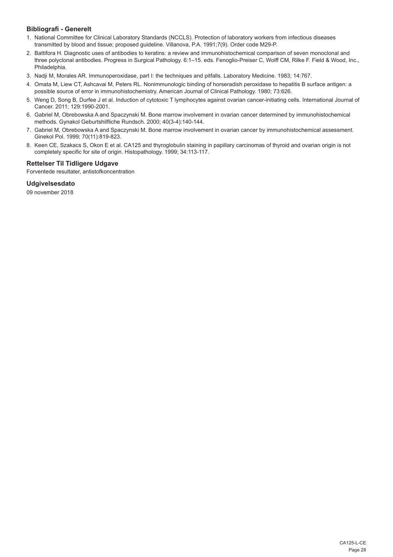## **Bibliografi - Generelt**

- 1. National Committee for Clinical Laboratory Standards (NCCLS). Protection of laboratory workers from infectious diseases transmitted by blood and tissue; proposed guideline. Villanova, P.A. 1991;7(9). Order code M29-P.
- 2. Battifora H. Diagnostic uses of antibodies to keratins: a review and immunohistochemical comparison of seven monoclonal and three polyclonal antibodies. Progress in Surgical Pathology. 6:1–15. eds. Fenoglio-Preiser C, Wolff CM, Rilke F. Field & Wood, Inc., Philadelphia.
- 3. Nadji M, Morales AR. Immunoperoxidase, part I: the techniques and pitfalls. Laboratory Medicine. 1983; 14:767.
- 4. Omata M, Liew CT, Ashcavai M, Peters RL. Nonimmunologic binding of horseradish peroxidase to hepatitis B surface antigen: a possible source of error in immunohistochemistry. American Journal of Clinical Pathology. 1980; 73:626.
- 5. Weng D, Song B, Durfee J et al. Induction of cytotoxic T lymphocytes against ovarian cancer-initiating cells. International Journal of Cancer. 2011; 129:1990-2001.
- 6. Gabriel M, Obrebowska A and Spaczynski M. Bone marrow involvement in ovarian cancer determined by immunohistochemical methods. Gynakol Geburtshilfliche Rundsch. 2000; 40(3-4):140-144.
- 7. Gabriel M, Obrebowska A and Spaczynski M. Bone marrow involvement in ovarian cancer by immunohistochemical assessment. Ginekol Pol. 1999; 70(11):819-823.
- 8. Keen CE, Szakacs S, Okon E et al. CA125 and thyroglobulin staining in papillary carcinomas of thyroid and ovarian origin is not completely specific for site of origin. Histopathology. 1999; 34:113-117.

## **Rettelser Til Tidligere Udgave**

Forventede resultater, antistofkoncentration

**Udgivelsesdato**

09 november 2018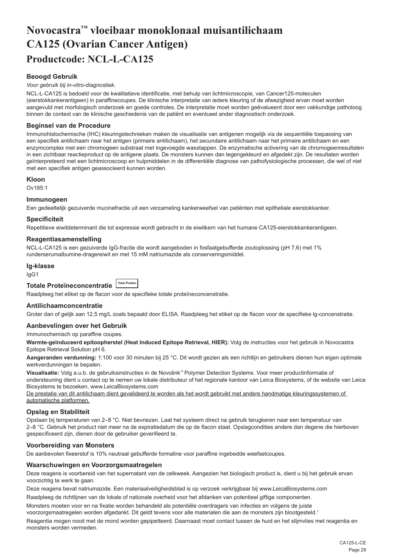# <span id="page-29-0"></span>**Novocastra™ vloeibaar monoklonaal muisantilichaam CA125 (Ovarian Cancer Antigen) Productcode: NCL-L-CA125**

## **Beoogd Gebruik**

#### *Voor gebruik bij in-vitro-diagnostiek.*

NCL-L-CA125 is bedoeld voor de kwalitatieve identificatie, met behulp van lichtmicroscopie, van Cancer125-moleculen (eierstokkankerantigeen) in paraffinecoupes. De klinische interpretatie van iedere kleuring of de afwezigheid ervan moet worden aangevuld met morfologisch onderzoek en goede controles. De interpretatie moet worden geëvalueerd door een vakkundige patholoog binnen de context van de klinische geschiedenis van de patiënt en eventueel ander diagnostisch onderzoek.

#### **Beginsel van de Procedure**

Immunohistochemische (IHC) kleuringstechnieken maken de visualisatie van antigenen mogelijk via de sequentiële toepassing van een specifiek antilichaam naar het antigen (primaire antilichaam), het secundaire antilichaam naar het primaire antilichaam en een enzymcomplex met een chromogeen substraat met ingevoegde wasstappen. De enzymatische activering van de chromogeenresultaten in een zichtbaar reactieproduct op de antigene plaats. De monsters kunnen dan tegengekleurd en afgedekt zijn. De resultaten worden geïnterpreteerd met een lichtmicroscoop en hulpmiddelen in de differentiële diagnose van pathofysiologische processen, die wel of niet met een specifiek antigen geassocieerd kunnen worden.

#### **Kloon**

Ov185:1

#### **Immunogeen**

Een gedeeltelijk gezuiverde mucinefractie uit een verzameling kankerweefsel van patiënten met epitheliale eierstokkanker.

#### **Specificiteit**

Repetitieve eiwitdeterminant die tot expressie wordt gebracht in de eiwitkern van het humane CA125-eierstokkankerantigeen.

#### **Reagentiasamenstelling**

NCL-L-CA125 is een gezuiverde IgG-fractie die wordt aangeboden in fosfaatgebufferde zoutoplossing (pH 7,6) met 1% runderserumalbumine-dragereiwit en met 15 mM natriumazide als conserveringsmiddel.

#### **Ig-klasse**

IgG1

| Totale Proteïneconcentratie I Total Protein |  |
|---------------------------------------------|--|
|                                             |  |

Raadpleeg het etiket op de flacon voor de specifieke totale proteïneconcenstratie.

#### **Antilichaamconcentratie**

Groter dan of gelijk aan 12,5 mg/L zoals bepaald door ELISA. Raadpleeg het etiket op de flacon voor de specifieke lg-concenstratie.

## **Aanbevelingen over het Gebruik**

Immunochemisch op paraffine coupes.

**Warmte-geïnduceerd epitoopherstel (Heat Induced Epitope Retrieval, HIER):** Volg de instructies voor het gebruik in Novocastra Epitope Retrieval Solution pH 6.

**Aangeranden verdunning:** 1:100 voor 30 minuten bij 25 °C. Dit wordt gezien als een richtlijn en gebruikers dienen hun eigen optimale werkverdunningen te bepalen.

**Visualisatie:** Volg a.u.b. de gebruiksinstructies in de Novolink™ Polymer Detection Systems. Voor meer productinformatie of ondersteuning dient u contact op te nemen uw lokale distributeur of het regionale kantoor van Leica Biosystems, of de website van Leica Biosystems te bezoeken, www.LeicaBiosystems.com

De prestatie van dit antilichaam dient gevalideerd te worden als het wordt gebruikt met andere handmatige kleuringssystemen of automatische platformen.

### **Opslag en Stabiliteit**

Opslaan bij temperaturen van 2–8 °C. Niet bevriezen. Laat het systeem direct na gebruik terugkeren naar een temperatuur van 2–8 °C. Gebruik het product niet meer na de expiratiedatum die op de flacon staat. Opslagcondities andere dan degene die hierboven gespecificeerd zijn, dienen door de gebruiker geverifieerd te.

### **Voorbereiding van Monsters**

De aanbevolen fixeerstof is 10% neutraal gebufferde formaline voor paraffine ingebedde weefselcoupes.

#### **Waarschuwingen en Voorzorgsmaatregelen**

Deze reagens is voorbereid van het supernatant van de celkweek. Aangezien het biologisch product is, dient u bij het gebruik ervan voorzichtig te werk te gaan.

Deze reagens bevat natriumazide. Een materiaalveiligheidsblad is op verzoek verkrijgbaar bij www.LeicaBiosystems.com

Raadpleeg de richtlijnen van de lokale of nationale overheid voor het afdanken van potentieel giftige componenten.

Monsters moeten voor en na fixatie worden behandeld als potentiële overdragers van infecties en volgens de juiste

voorzorgsmaatregelen worden afgedankt. Dit geldt tevens voor alle materialen die aan de monsters zijn blootgesteld.<sup>1</sup>

Reagentia mogen nooit met de mond worden gepipetteerd. Daarnaast moet contact tussen de huid en het slijmvlies met reagentia en monsters worden vermeden.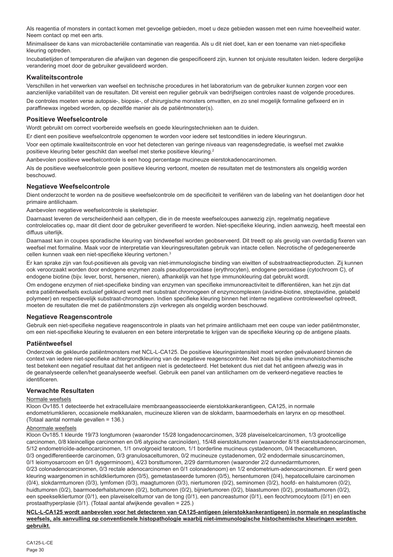Als reagentia of monsters in contact komen met gevoelige gebieden, moet u deze gebieden wassen met een ruime hoeveelheid water. Neem contact op met een arts.

Minimaliseer de kans van microbacteriële contaminatie van reagentia. Als u dit niet doet, kan er een toename van niet-specifieke kleuring optreden.

Incubatietijden of temperaturen die afwijken van degenen die gespecificeerd zijn, kunnen tot onjuiste resultaten leiden. Iedere dergelijke verandering moet door de gebruiker gevalideerd worden.

#### **Kwaliteitscontrole**

Verschillen in het verwerken van weefsel en technische procedures in het laboratorium van de gebruiker kunnen zorgen voor een aanzienlijke variabiliteit van de resultaten. Dit vereist een regulier gebruik van bedrijfseigen controles naast de volgende procedures. De controles moeten verse autopsie-, biopsie-, of chirurgische monsters omvatten, en zo snel mogelijk formaline gefixeerd en in paraffinewax ingebed worden, op dezelfde manier als de patiëntmonster(s).

#### **Positieve Weefselcontrole**

Wordt gebruikt om correct voorbereide weefsels en goede kleuringstechnieken aan te duiden.

Er dient een positieve weefselcontrole opgenomen te worden voor iedere set testcondities in iedere kleuringsrun.

Voor een optimale kwaliteitscontrole en voor het detecteren van geringe niveaus van reagensdegredatie, is weefsel met zwakke positieve kleuring beter geschikt dan weefsel met sterke positieve kleuring.<sup>2</sup>

Aanbevolen positieve weefselcontrole is een hoog percentage mucineuze eierstokadenocarcinomen.

Als de positieve weefselcontrole geen positieve kleuring vertoont, moeten de resultaten met de testmonsters als ongeldig worden beschouwd.

### **Negatieve Weefselcontrole**

Dient onderzocht te worden na de positieve weefselcontrole om de specificiteit te verifiëren van de labeling van het doelantigen door het primaire antilichaam.

Aanbevolen negatieve weefselcontrole is skeletspier.

Daarnaast leveren de verscheidenheid aan celtypen, die in de meeste weefselcoupes aanwezig zijn, regelmatig negatieve controlelocaties op, maar dit dient door de gebruiker geverifieerd te worden. Niet-specifieke kleuring, indien aanwezig, heeft meestal een diffuus uiterlijk.

Daarnaast kan in coupes sporadische kleuring van bindweefsel worden geobserveerd. Dit treedt op als gevolg van overdadig fixeren van weefsel met formaline. Maak voor de interpretatie van kleuringsresultaten gebruik van intacte cellen. Necrotische of gedegenereerde cellen kunnen vaak een niet-specifieke kleuring vertonen.3

Er kan sprake zijn van fout-positieven als gevolg van niet-immunologische binding van eiwitten of substraatreactieproducten. Zij kunnen ook veroorzaakt worden door endogene enzymen zoals pseudoperoxidase (erythrocyten), endogene peroxidase (cytochroom C), of endogene biotine (bijv. lever, borst, hersenen, nieren), afhankelijk van het type immunokleuring dat gebruikt wordt.

Om endogene enzymen of niet-specifieke binding van enzymen van specifieke immunoreactiviteit te differentiëren, kan het zijn dat extra patiëntweefsels exclusief gekleurd wordt met substraat chromogeen of enzymcomplexen (avidine-biotine, streptavidine, gelabeld polymeer) en respectievelijk substraat-chromogeen. Indien specifieke kleuring binnen het interne negatieve controleweefsel optreedt, moeten de resultaten die met de patiëntmonsters zijn verkregen als ongeldig worden beschouwd.

### **Negatieve Reagenscontrole**

Gebruik een niet-specifieke negatieve reagenscontrole in plaats van het primaire antilichaam met een coupe van ieder patiëntmonster, om een niet-specifieke kleuring te evalueren en een betere interpretatie te krijgen van de specifieke kleuring op de antigene plaats.

### **Patiëntweefsel**

Onderzoek de gekleurde patiëntmonsters met NCL-L-CA125. De positieve kleuringsintensiteit moet worden geëvalueerd binnen de context van iedere niet-specifieke achtergrondkleuring van de negatieve reagenscontrole. Net zoals bij elke immunohistochemische test betekent een negatief resultaat dat het antigeen niet is gedetecteerd. Het betekent dus niet dat het antigeen afwezig was in de geanalyseerde cellen/het geanalyseerde weefsel. Gebruik een panel van antilichamen om de verkeerd-negatieve reacties te identificeren.

## **Verwachte Resultaten**

#### Normale weefsels

Kloon Ov185.1 detecteerde het extracellulaire membraangeassocieerde eierstokkankerantigeen, CA125, in normale endometriumklieren, occasionele melkkanalen, mucineuze klieren van de slokdarm, baarmoederhals en larynx en op mesotheel. (Totaal aantal normale gevallen = 136.)

#### Abnormale weefsels

Kloon Ov185.1 kleurde 19/73 longtumoren (waaronder 15/28 longadenocarcinomen, 3/28 plaveiselcelcarcinomen, 1/3 grootcellige carcinomen, 0/8 kleincellige carcinomen en 0/6 atypische carcinoïden), 15/48 eierstoktumoren (waaronder 8/18 eierstokadenocarcinomen, 5/12 endometrioïde-adenocarcinomen, 1/1 onvolgroeid teratoom, 1/1 borderline mucineus cystadenoom, 0/4 thecaceltumoren, 0/3 ongedifferentieerde carcinomen, 0/3 granulosaceltumoren, 0/2 mucineuze cystadenomen, 0/2 endodermale sinuscarcinomen, 0/1 leiomyosarcoom en 0/1 dysgerminoom), 4/23 borsttumoren, 2/29 darmtumoren (waaronder 2/2 dunnedarmtumoren, 0/23 colonadenocarcinomen, 0/3 rectale adenocarcinomen en 0/1 colonadenoom) en 1/2 endometrium-adenocarcinomen. Er werd geen kleuring waargenomen in schildkliertumoren (0/5), gemetastaseerde tumoren (0/5), hersentumoren (0/4), hepatocellulaire carcinomen (0/4), slokdarmtumoren (0/3), lymfomen (0/3), maagtumoren (0/3), niertumoren (0/2), seminomen (0/2), hoofd- en halstumoren (0/2), huidtumoren (0/2), baarmoederhalstumoren (0/2), bottumoren (0/2), bijniertumoren (0/2), blaastumoren (0/2), prostaattumoren (0/2), een speekselkliertumor (0/1), een plaveiselceltumor van de tong (0/1), een pancreastumor (0/1), een feochromocytoom (0/1) en een prostaathyperplasie (0/1). (Totaal aantal afwijkende gevallen = 225.)

**NCL-L-CA125 wordt aanbevolen voor het detecteren van CA125-antigeen (eierstokkankerantigeen) in normale en neoplastische weefsels, als aanvulling op conventionele histopathologie waarbij niet-immunologische histochemische kleuringen worden gebruikt.**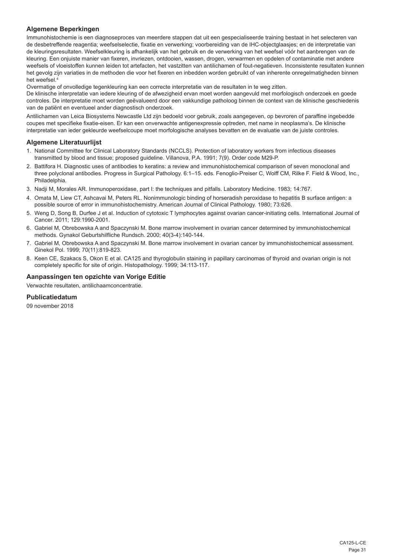## **Algemene Beperkingen**

Immunohistochemie is een diagnoseproces van meerdere stappen dat uit een gespecialiseerde training bestaat in het selecteren van de desbetreffende reagentia; weefselselectie, fixatie en verwerking; voorbereiding van de IHC-objectglaasjes; en de interpretatie van de kleuringsresultaten. Weefselkleuring is afhankelijk van het gebruik en de verwerking van het weefsel vóór het aanbrengen van de kleuring. Een onjuiste manier van fixeren, invriezen, ontdooien, wassen, drogen, verwarmen en opdelen of contaminatie met andere weefsels of vloeistoffen kunnen leiden tot artefacten, het vastzitten van antilichamen of fout-negatieven. Inconsistente resultaten kunnen het gevolg zijn variaties in de methoden die voor het fixeren en inbedden worden gebruikt of van inherente onregelmatigheden binnen het weefsel.4

Overmatige of onvolledige tegenkleuring kan een correcte interpretatie van de resultaten in te weg zitten.

De klinische interpretatie van iedere kleuring of de afwezigheid ervan moet worden aangevuld met morfologisch onderzoek en goede controles. De interpretatie moet worden geëvalueerd door een vakkundige patholoog binnen de context van de klinische geschiedenis van de patiënt en eventueel ander diagnostisch onderzoek.

Antilichamen van Leica Biosystems Newcastle Ltd zijn bedoeld voor gebruik, zoals aangegeven, op bevroren of paraffine ingebedde coupes met specifieke fixatie-eisen. Er kan een onverwachte antigenexpressie optreden, met name in neoplasma's. De klinische interpretatie van ieder gekleurde weefselcoupe moet morfologische analyses bevatten en de evaluatie van de juiste controles.

### **Algemene Literatuurlijst**

- 1. National Committee for Clinical Laboratory Standards (NCCLS). Protection of laboratory workers from infectious diseases transmitted by blood and tissue; proposed guideline. Villanova, P.A. 1991; 7(9). Order code M29-P.
- 2. Battifora H. Diagnostic uses of antibodies to keratins: a review and immunohistochemical comparison of seven monoclonal and three polyclonal antibodies. Progress in Surgical Pathology. 6:1–15. eds. Fenoglio-Preiser C, Wolff CM, Rilke F. Field & Wood, Inc., **Philadelphia**
- 3. Nadji M, Morales AR. Immunoperoxidase, part I: the techniques and pitfalls. Laboratory Medicine. 1983; 14:767.
- 4. Omata M, Liew CT, Ashcavai M, Peters RL. Nonimmunologic binding of horseradish peroxidase to hepatitis B surface antigen: a possible source of error in immunohistochemistry. American Journal of Clinical Pathology. 1980; 73:626.
- 5. Weng D, Song B, Durfee J et al. Induction of cytotoxic T lymphocytes against ovarian cancer-initiating cells. International Journal of Cancer. 2011; 129:1990-2001.
- 6. Gabriel M, Obrebowska A and Spaczynski M. Bone marrow involvement in ovarian cancer determined by immunohistochemical methods. Gynakol Geburtshilfliche Rundsch. 2000; 40(3-4):140-144.
- 7. Gabriel M, Obrebowska A and Spaczynski M. Bone marrow involvement in ovarian cancer by immunohistochemical assessment. Ginekol Pol. 1999; 70(11):819-823.
- 8. Keen CE, Szakacs S, Okon E et al. CA125 and thyroglobulin staining in papillary carcinomas of thyroid and ovarian origin is not completely specific for site of origin. Histopathology. 1999; 34:113-117.

#### **Aanpassingen ten opzichte van Vorige Editie**

Verwachte resultaten, antilichaamconcentratie.

#### **Publicatiedatum**

09 november 2018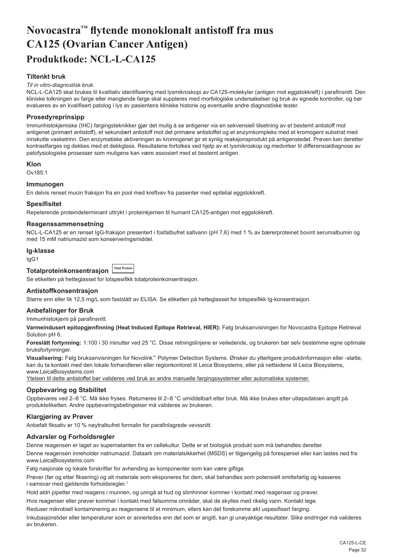# <span id="page-32-0"></span>**Novocastra™ flytende monoklonalt antistoff fra mus CA125 (Ovarian Cancer Antigen) Produktkode: NCL-L-CA125**

## **Tiltenkt bruk**

#### *Til in vitro-diagnostisk bruk.*

NCL-L-CA125 skal brukes til kvalitativ identifisering med lysmikroskopi av CA125-molekyler (antigen mot eggstokkreft) i parafinsnitt. Den kliniske tolkningen av farge eller manglende farge skal suppleres med morfologiske undersøkelser og bruk av egnede kontroller, og bør evalueres av en kvalifisert patolog i lys av pasientens kliniske historie og eventuelle andre diagnostiske tester.

#### **Prosedyreprinsipp**

Immunhistokjemiske (IHC) fargingsteknikker gjør det mulig å se antigener via en sekvensiell tilsetning av et bestemt antistoff mot antigenet (primært antistoff), et sekundært antistoff mot det primære antistoffet og et enzymkompleks med et kromogent substrat med innskutte vasketrinn. Den enzymatiske aktiveringen av kromogenet gir et synlig reaksjonsprodukt på antigenstedet. Prøven kan deretter kontrastfarges og dekkes med et dekkglass. Resultatene fortolkes ved hjelp av et lysmikroskop og medvirker til differensialdiagnose av patofysiologiske prosesser som muligens kan være assosiert med et bestemt antigen.

**Klon**

Ov185:1

#### **Immunogen**

En delvis renset mucin fraksjon fra en pool med kreftvev fra pasienter med epitelial eggstokkreft.

#### **Spesifisitet**

Repeterende proteindeterminant uttrykt i proteinkjernen til humant CA125-antigen mot eggstokkreft.

#### **Reagenssammensetning**

NCL-L-CA125 er en renset IgG-fraksjon presentert i fosfatbufret saltvann (pH 7,6) med 1 % av bærerproteinet bovint serumalbumin og med 15 mM natriumazid som konserveringsmiddel.

## **Ig-klasse**

IgG1

## **Totalproteinkonsentrasjon Total Protein**

Se etiketten på hetteglasset for lotspesifikk totalproteinkonsentrasjon.

#### **Antistoffkonsentrasjon**

Større enn eller lik 12,5 mg/L som fastslått av ELISA. Se etiketten på hetteglasset for lotspesifikk Ig-konsentrasjon.

#### **Anbefalinger for Bruk**

Immunhistokjemi på parafinsnitt.

**Varmeindusert epitopgjenfinning (Heat Induced Epitope Retrieval, HIER):** Følg bruksanvisningen for Novocastra Epitope Retrieval Solution pH 6.

**Foreslått fortynning:** 1:100 i 30 minutter ved 25 °C. Disse retningslinjene er veiledende, og brukeren bør selv bestemme egne optimale bruksfortynninger.

**Visualisering:** Følg bruksanvisningen for Novolink™ Polymer Detection Systems. Ønsker du ytterligere produktinformasjon eller -støtte, kan du ta kontakt med den lokale forhandleren eller regionkontoret til Leica Biosystems, eller på nettsidene til Leica Biosystems, www.LeicaBiosystems.com

Ytelsen til dette antistoffet bør valideres ved bruk av andre manuelle fargingssystemer eller automatiske systemer.

#### **Oppbevaring og Stabilitet**

Oppbevares ved 2–8 °C. Må ikke fryses. Returneres til 2–8 °C umiddelbart etter bruk. Må ikke brukes etter utløpsdatoen angitt på produktetiketten. Andre oppbevaringsbetingelser må valideres av brukeren.

#### **Klargjøring av Prøver**

Anbefalt fiksativ er 10 % nøytralbufret formalin for parafinlagrede vevssnitt.

#### **Advarsler og Forholdsregler**

Denne reagensen er laget av supernatanten fra en cellekultur. Dette er et biologisk produkt som må behandles deretter.

Denne reagensen inneholder natriumazid. Dataark om materialsikkerhet (MSDS) er tilgjengelig på forespørsel eller kan lastes ned fra www.LeicaBiosystems.com

Følg nasjonale og lokale forskrifter for avhending av komponenter som kan være giftige.

Prøver (før og etter fiksering) og alt materiale som eksponeres for dem, skal behandles som potensielt smittefarlig og kasseres i samsvar med gjeldende forholdsregler.<sup>1</sup>

Hold aldri pipetter med reagens i munnen, og unngå at hud og slimhinner kommer i kontakt med reagenser og prøver.

Hvis reagenser eller prøver kommer i kontakt med følsomme områder, skal de skylles med rikelig vann. Kontakt lege.

Reduser mikrobiell kontaminering av reagensene til et minimum, ellers kan det forekomme økt uspesifisert farging.

Inkubasjonstider eller temperaturer som er annerledes enn det som er angitt, kan gi unøyaktige resultater. Slike endringer må valideres av brukeren.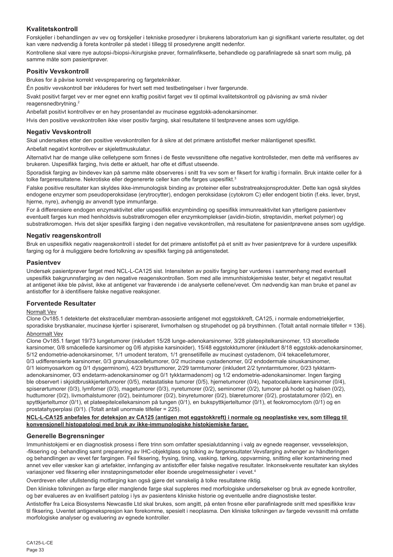## **Kvalitetskontroll**

Forskjeller i behandlingen av vev og forskjeller i tekniske prosedyrer i brukerens laboratorium kan gi signifikant varierte resultater, og det kan være nødvendig å foreta kontroller på stedet i tillegg til prosedyrene angitt nedenfor.

Kontrollene skal være nye autopsi-/biopsi-/kirurgiske prøver, formalinfikserte, behandlede og parafinlagrede så snart som mulig, på samme måte som pasientprøver.

## **Positiv Vevskontroll**

Brukes for å påvise korrekt vevspreparering og fargeteknikker.

Én positiv vevskontroll bør inkluderes for hvert sett med testbetingelser i hver fargerunde.

Svakt positivt farget vev er mer egnet enn kraftig positivt farget vev til optimal kvalitetskontroll og påvisning av små nivåer reagensnedbrytning.<sup>2</sup>

Anbefalt positivt kontrollvev er en høy prosentandel av mucinøse eggstokk-adenokarsinomer.

Hvis den positive vevskontrollen ikke viser positiv farging, skal resultatene til testprøvene anses som ugyldige.

## **Negativ Vevskontroll**

Skal undersøkes etter den positive vevskontrollen for å sikre at det primære antistoffet merker målantigenet spesifikt.

Anbefalt negativt kontrollvev er skjelettmuskulatur.

Alternativt har de mange ulike celletypene som finnes i de fleste vevssnittene ofte negative kontrollsteder, men dette må verifiseres av brukeren. Uspesifikk farging, hvis dette er aktuelt, har ofte et diffust utseende.

Sporadisk farging av bindevev kan på samme måte observeres i snitt fra vev som er fiksert for kraftig i formalin. Bruk intakte celler for å tolke fargeresultatene. Nekrotiske eller degenererte celler kan ofte farges uspesifikt.<sup>3</sup>

Falske positive resultater kan skyldes ikke-immunologisk binding av proteiner eller substratreaksjonsprodukter. Dette kan også skyldes endogene enzymer som pseudoperoksidase (erytrocytter), endogen peroksidase (cytokrom C) eller endogent biotin (f.eks. lever, bryst, hjerne, nyre), avhengig av anvendt type immunfarge.

For å differensiere endogen enzymaktivitet eller uspesifikk enzymbinding og spesifikk immunreaktivitet kan ytterligere pasientvev eventuelt farges kun med henholdsvis substratkromogen eller enzymkomplekser (avidin-biotin, streptavidin, merket polymer) og substratkromogen. Hvis det skjer spesifikk farging i den negative vevskontrollen, må resultatene for pasientprøvene anses som ugyldige.

## **Negativ reagenskontroll**

Bruk en uspesifikk negativ reagenskontroll i stedet for det primære antistoffet på et snitt av hver pasientprøve for å vurdere uspesifikk farging og for å muliggjøre bedre fortolkning av spesifikk farging på antigenstedet.

### **Pasientvev**

Undersøk pasientprøver farget med NCL-L-CA125 sist. Intensiteten av positiv farging bør vurderes i sammenheng med eventuell uspesifikk bakgrunnsfarging av den negative reagenskontrollen. Som med alle immunhistokjemiske tester, betyr et negativt resultat at antigenet ikke ble påvist, ikke at antigenet var fraværende i de analyserte cellene/vevet. Om nødvendig kan man bruke et panel av antistoffer for å identifisere falske negative reaksjoner.

### **Forventede Resultater**

#### Normalt Vev

Clone Ov185.1 detekterte det ekstracellulær membran-assosierte antigenet mot eggstokkreft, CA125, i normale endometriekjertler, sporadiske brystkanaler, mucinøse kjertler i spiserøret, livmorhalsen og strupehodet og på brysthinnen. (Totalt antall normale tilfeller = 136).

## Abnormalt Vev

Clone Ov185.1 farget 19/73 lungetumorer (inkludert 15/28 lunge-adenokarsinomer, 3/28 plateepitelkarsinomer, 1/3 storcellede karsinomer, 0/8 småcellede karsinomer og 0/6 atypiske karsinoider), 15/48 eggstokktumorer (inkludert 8/18 eggstokk-adenokarsinomer, 5/12 endometrie-adenokarsinomer, 1/1 umodent teratom, 1/1 grensetilfelle av mucinøst cystadenom, 0/4 tekacelletumorer, 0/3 udifferensierte karsinomer, 0/3 granulosacelletumorer, 0/2 mucinøse cystadenomer, 0/2 endodermale sinuskarsinomer, 0/1 leiomyosarkom og 0/1 dysgerminom), 4/23 brysttumorer, 2/29 tarmtumorer (inkludert 2/2 tynntarmtumorer, 0/23 tykktarmadenokarsinomer, 0/3 endetarm-adenokarsinomer og 0/1 tykktarmadenom) og 1/2 endometrie-adenokarsinomer. Ingen farging ble observert i skjoldbruskkjerteltumorer (0/5), metastatiske tumorer (0/5), hjernetumorer (0/4), hepatocellulære karsinomer (0/4), spiserørtumorer (0/3), lymfomer (0/3), magetumorer (0/3), nyretumorer (0/2), seminomer (0/2), tumorer på hodet og halsen (0/2), hudtumorer (0/2), livmorhalstumorer (0/2), beintumorer (0/2), binyretumorer (0/2), blæretumorer (0/2), prostatatumorer (0/2), en spyttkjerteltumor (0/1), et plateepitelcellekarsinom på tungen (0/1), en bukspyttkjerteltumor (0/1), et feokromocytom (0/1) og en prostatahyperplasi (0/1). (Totalt antall unormale tilfeller = 225).

#### **NCL-L-CA125 anbefales for deteksjon av CA125 (antigen mot eggstokkreft) i normale og neoplastiske vev, som tillegg til konvensjonell histopatologi med bruk av ikke-immunologiske histokjemiske farger.**

## **Generelle Begrensninger**

Immunhistokjemi er en diagnostisk prosess i flere trinn som omfatter spesialutdanning i valg av egnede reagenser, vevsseleksjon, -fiksering og -behandling samt preparering av IHC-objektglass og tolking av fargeresultater.Vevsfarging avhenger av håndteringen og behandlingen av vevet før fargingen. Feil fiksering, frysing, tining, vasking, tørking, oppvarming, snitting eller kontaminering med annet vev eller væsker kan gi artefakter, innfanging av antistoffer eller falske negative resultater. Inkonsekvente resultater kan skyldes variasjoner ved fiksering eller innstøpningsmetoder eller iboende uregelmessigheter i vevet.4

Overdreven eller ufullstendig motfarging kan også gjøre det vanskelig å tolke resultatene riktig.

Den kliniske tolkningen av farge eller manglende farge skal suppleres med morfologiske undersøkelser og bruk av egnede kontroller, og bør evalueres av en kvalifisert patolog i lys av pasientens kliniske historie og eventuelle andre diagnostiske tester.

Antistoffer fra Leica Biosystems Newcastle Ltd skal brukes, som angitt, på enten frosne eller parafinlagrede snitt med spesifikke krav til fiksering. Uventet antigenekspresjon kan forekomme, spesielt i neoplasma. Den kliniske tolkningen av fargede vevssnitt må omfatte morfologiske analyser og evaluering av egnede kontroller.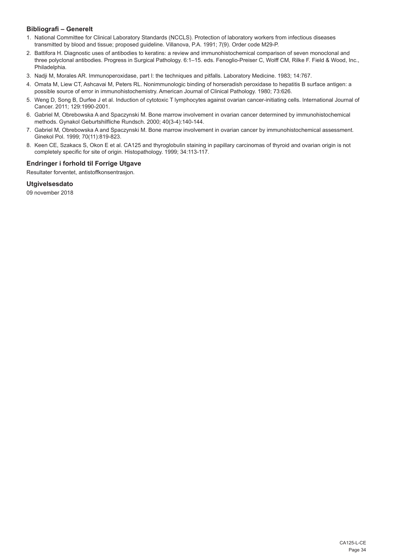## **Bibliografi – Generelt**

- 1. National Committee for Clinical Laboratory Standards (NCCLS). Protection of laboratory workers from infectious diseases transmitted by blood and tissue; proposed guideline. Villanova, P.A. 1991; 7(9). Order code M29-P.
- 2. Battifora H. Diagnostic uses of antibodies to keratins: a review and immunohistochemical comparison of seven monoclonal and three polyclonal antibodies. Progress in Surgical Pathology. 6:1–15. eds. Fenoglio-Preiser C, Wolff CM, Rilke F. Field & Wood, Inc., Philadelphia.
- 3. Nadji M, Morales AR. Immunoperoxidase, part I: the techniques and pitfalls. Laboratory Medicine. 1983; 14:767.
- 4. Omata M, Liew CT, Ashcavai M, Peters RL. Nonimmunologic binding of horseradish peroxidase to hepatitis B surface antigen: a possible source of error in immunohistochemistry. American Journal of Clinical Pathology. 1980; 73:626.
- 5. Weng D, Song B, Durfee J et al. Induction of cytotoxic T lymphocytes against ovarian cancer-initiating cells. International Journal of Cancer. 2011; 129:1990-2001.
- 6. Gabriel M, Obrebowska A and Spaczynski M. Bone marrow involvement in ovarian cancer determined by immunohistochemical methods. Gynakol Geburtshilfliche Rundsch. 2000; 40(3-4):140-144.
- 7. Gabriel M, Obrebowska A and Spaczynski M. Bone marrow involvement in ovarian cancer by immunohistochemical assessment. Ginekol Pol. 1999; 70(11):819-823.
- 8. Keen CE, Szakacs S, Okon E et al. CA125 and thyroglobulin staining in papillary carcinomas of thyroid and ovarian origin is not completely specific for site of origin. Histopathology. 1999; 34:113-117.

## **Endringer i forhold til Forrige Utgave**

Resultater forventet, antistoffkonsentrasjon.

## **Utgivelsesdato**

09 november 2018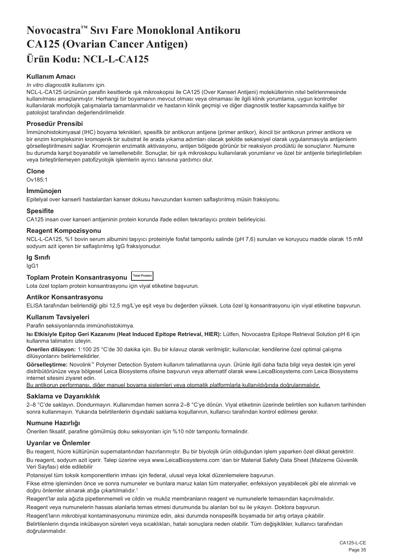# <span id="page-35-0"></span>**Novocastra™ Sıvı Fare Monoklonal Antikoru CA125 (Ovarian Cancer Antigen) Ürün Kodu: NCL-L-CA125**

## **Kullanım Amacı**

#### *In vitro diagnostik kullanımı için.*

NCL-L-CA125 ürününün parafin kesitlerde ışık mikroskopisi ile CA125 (Over Kanseri Antijeni) moleküllerinin nitel belirlenmesinde kullanılması amaçlanmıştır. Herhangi bir boyamanın mevcut olması veya olmaması ile ilgili klinik yorumlama, uygun kontroller kullanılarak morfolojik çalışmalarla tamamlanmalıdır ve hastanın klinik geçmişi ve diğer diagnostik testler kapsamında kalifiye bir patolojist tarafından değerlendirilmelidir.

#### **Prosedür Prensibi**

İmmünohistokimyasal (IHC) boyama teknikleri, spesifik bir antikorun antijene (primer antikor), ikincil bir antikorun primer antikora ve bir enzim kompleksinin kromojenik bir substrat ile arada yıkama adımları olacak şekilde sekansiyel olarak uygulanmasıyla antijenlerin görselleştirilmesini sağlar. Kromojenin enzimatik aktivasyonu, antijen bölgede görünür bir reaksiyon prodüktü ile sonuçlanır. Numune bu durumda karşıt boyanabilir ve lamellenebilir. Sonuçlar, bir ışık mikroskopu kullanılarak yorumlanır ve özel bir antijenle birleştirilebilen veya birleştirilemeyen patofizyolojik işlemlerin ayırıcı tanısına yardımcı olur.

#### **Clone**

Ov185:1

#### **İmmünojen**

Epitelyal over kanserli hastalardan kanser dokusu havuzundan kısmen saflaştırılmış müsin fraksiyonu.

#### **Spesifite**

CA125 insan over kanseri antijeninin protein korunda ifade edilen tekrarlayıcı protein belirleyicisi.

## **Reagent Kompozisyonu**

NCL-L-CA125, %1 bovin serum albumini taşıyıcı proteiniyle fosfat tamponlu salinde (pH 7,6) sunulan ve koruyucu madde olarak 15 mM sodyum azit içeren bir saflaştırılmış IgG fraksiyonudur.

#### **Ig Sınıfı**

IgG1

## **Toplam Protein Konsantrasyonu Total Protein**

Lota özel toplam protein konsantrasyonu için viyal etiketine başvurun.

#### **Antikor Konsantrasyonu**

ELISA tarafından belirlendiği gibi 12,5 mg/L'ye eşit veya bu değerden yüksek. Lota özel lg konsantrasyonu için viyal etiketine başvurun.

#### **Kullanım Tavsiyeleri**

Parafin seksiyonlarında immünohistokimya.

**Isı Etkisiyle Epitop Geri Kazanımı (Heat Induced Epitope Retrieval, HIER):** Lütfen, Novocastra Epitope Retrieval Solution pH 6 için kullanma talimatını izleyin.

**Önerilen dilüsyon:** 1:100 25 °C'de 30 dakika için. Bu bir kılavuz olarak verilmiştir; kullanıcılar, kendilerine özel optimal çalışma dilüsyonlarını belirlemelidirler.

**Görselleştirme:** Novolink™ Polymer Detection System kullanım talimatlarına uyun. Ürünle ilgili daha fazla bilgi veya destek için yerel distribütörünüze veya bölgesel Leica Biosystems ofisine başvurun veya alternatif olarak www.LeicaBiosystems.com Leica Biosystems internet sitesini ziyaret edin.

Bu antikorun performansı, diğer manuel boyama sistemleri veya otomatik platformlarla kullanıldığında doğrulanmalıdır.

#### **Saklama ve Dayanıklılık**

2–8 °C'de saklayın. Dondurmayın. Kullanımdan hemen sonra 2–8 °C'ye dönün. Viyal etiketinin üzerinde belirtilen son kullanım tarihinden sonra kullanmayın. Yukarıda belirtilenlerin dışındaki saklama koşullarının, kullanıcı tarafından kontrol edilmesi gerekir.

## **Numune Hazırlığı**

Önerilen fiksatif, parafine gömülmüş doku seksiyonları için %10 nötr tamponlu formalindir.

#### **Uyarılar ve Önlemler**

Bu reagent, hücre kültürünün supernatantından hazırlanmıştır. Bu bir biyolojik ürün olduğundan işlem yaparken özel dikkat gerektirir. Bu reagent, sodyum azit içerir. Talep üzerine veya www.LeicaBiosystems.com 'dan bir Material Safety Data Sheet (Malzeme Güvenlik Veri Sayfası) elde edilebilir

Potansiyel tüm toksik komponentlerin imhası için federal, ulusal veya lokal düzenlemelere başvurun.

Fikse etme işleminden önce ve sonra numuneler ve bunlara maruz kalan tüm materyaller, enfeksiyon yayabilecek gibi ele alınmalı ve doğru önlemler alınarak atığa çıkartılmalıdır.<sup>1</sup>

Reagent'lar asla ağızla pipetlenmemeli ve cildin ve muköz membranların reagent ve numunelerle temasından kaçınılmalıdır. Reagent veya numunelerin hassas alanlarla temas etmesi durumunda bu alanları bol su ile yıkayın. Doktora başvurun.

Reagent'ların mikrobiyal kontaminasyonunu minimize edin, aksi durumda nonspesifik boyamada bir artış ortaya çıkabilir.

Belirtilenlerin dışında inkübasyon süreleri veya sıcaklıkları, hatalı sonuçlara neden olabilir. Tüm değişiklikler, kullanıcı tarafından doğrulanmalıdır.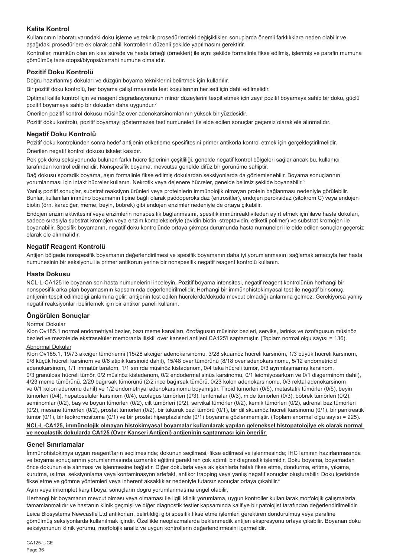## **Kalite Kontrol**

Kullanıcının laboratuvarındaki doku işleme ve teknik prosedürlerdeki değişiklikler, sonuçlarda önemli farklılıklara neden olabilir ve aşağıdaki prosedürlere ek olarak dahili kontrollerin düzenli şekilde yapılmasını gerektirir.

Kontroller, mümkün olan en kısa sürede ve hasta örneği (örnekleri) ile aynı şekilde formalinle fikse edilmiş, işlenmiş ve parafin mumuna gömülmüş taze otopsi/biyopsi/cerrahi numune olmalıdır.

### **Pozitif Doku Kontrolü**

Doğru hazırlanmış dokuları ve düzgün boyama tekniklerini belirtmek için kullanılır.

Bir pozitif doku kontrolü, her boyama çalıştırmasında test koşullarının her seti için dahil edilmelidir.

Optimal kalite kontrol için ve reagent degradasyonunun minör düzeylerini tespit etmek için zayıf pozitif boyamaya sahip bir doku, güçlü pozitif boyamaya sahip bir dokudan daha uygundur.<sup>2</sup>

Önerilen pozitif kontrol dokusu müsinöz over adenokarsinomlarının yüksek bir yüzdesidir.

Pozitif doku kontrolü, pozitif boyamayı göstermezse test numuneleri ile elde edilen sonuçlar geçersiz olarak ele alınmalıdır.

### **Negatif Doku Kontrolü**

Pozitif doku kontrolünden sonra hedef antijenin etiketleme spesifitesini primer antikorla kontrol etmek için gerçekleştirilmelidir. Önerilen negatif kontrol dokusu iskelet kasıdır.

Pek çok doku seksiyonunda bulunan farklı hücre tiplerinin çeşitliliği, genelde negatif kontrol bölgeleri sağlar ancak bu, kullanıcı tarafından kontrol edilmelidir. Nonspesifik boyama, mevcutsa genelde difüz bir görünüme sahiptir.

Bağ dokusu sporadik boyama, aşırı formalinle fikse edilmiş dokulardan seksiyonlarda da gözlemlenebilir. Boyama sonuçlarının yorumlanması için intakt hücreler kullanın. Nekrotik veya dejenere hücreler, genelde belirsiz şekilde boyanabilir.3

Yanlış pozitif sonuçlar, substrat reaksiyon ürünleri veya proteinlerin immünolojik olmayan protein bağlanması nedeniyle görülebilir. Bunlar, kullanılan immüno boyamanın tipine bağlı olarak psödoperoksidaz (eritrositler), endojen peroksidaz (sitokrom C) veya endojen biotin (örn. karaciğer, meme, beyin, böbrek) gibi endojen enzimler nedeniyle de ortaya çıkabilir.

Endojen enzim aktivitesini veya enzimlerin nonspesifik bağlanmasını, spesifik immünreaktiviteden ayırt etmek için ilave hasta dokuları, sadece sırasıyla substrat kromojen veya enzim kompleksleriyle (avidin biotin, streptavidin, etiketli polimer) ve substrat kromojen ile boyanabilir. Spesifik boyamanın, negatif doku kontrolünde ortaya çıkması durumunda hasta numuneleri ile elde edilen sonuçlar geçersiz olarak ele alınmalıdır.

### **Negatif Reagent Kontrolü**

Antijen bölgede nonspesifik boyamanın değerlendirilmesi ve spesifik boyamanın daha iyi yorumlanmasını sağlamak amacıyla her hasta numunesinin bir seksiyonu ile primer antikorun yerine bir nonspesifik negatif reagent kontrolü kullanın.

### **Hasta Dokusu**

NCL-L-CA125 ile boyanan son hasta numunelerini inceleyin. Pozitif boyama intensitesi, negatif reagent kontrolünün herhangi bir nonspesifik arka plan boyamasının kapsamında değerlendirilmelidir. Herhangi bir immünohistokimyasal test ile negatif bir sonuç, antijenin tespit edilmediği anlamına gelir; antijenin test edilen hücrelerde/dokuda mevcut olmadığı anlamına gelmez. Gerekiyorsa yanlış negatif reaksiyonları belirlemek için bir antikor paneli kullanın.

## **Öngörülen Sonuçlar**

#### Normal Dokular

Klon Ov185.1 normal endometriyal bezler, bazı meme kanalları, özofagusun müsinöz bezleri, serviks, larinks ve özofagusun müsinöz bezleri ve mezotelde ekstraselüler membranla ilişkili over kanseri antijeni CA125'i saptamıştır. (Toplam normal olgu sayısı = 136).

## Abnormal Dokular

Klon Ov185.1, 19/73 akciğer tümörlerini (15/28 akciğer adenokarsinomu, 3/28 skuamöz hücreli karsinom, 1/3 büyük hücreli karsinom, 0/8 küçük hücreli karsinom ve 0/6 atipik karsinoid dahil), 15/48 over tümörünü (8/18 over adenokarsinomu, 5/12 endometrioid adenokarsinom, 1/1 immatür teratom, 1/1 sınırda müsinöz kistadenom, 0/4 teka hücreli tümör, 0/3 ayrımlaşmamış karsinom, 0/3 granülosa hücreli tümör, 0/2 müsinöz kistadenom, 0/2 endodermal sinüs karsinomu, 0/1 leiomiyosarkom ve 0/1 disgerminom dahil), 4/23 meme tümörünü, 2/29 bağırsak tümörünü (2/2 ince bağırsak tümörü, 0/23 kolon adenokarsinomu, 0/3 rektal adenokarsinom ve 0/1 kolon adenomu dahil) ve 1/2 endometriyal adenokarsinomu boyamıştır. Tiroid tümörleri (0/5), metastatik tümörler (0/5), beyin tümörleri (0/4), hepatoselüler karsinom (0/4), özofagus tümörleri (0/3), lenfomalar (0/3), mide tümörleri (0/3), böbrek tümörleri (0/2), seminomlar (0/2), baş ve boyun tümörleri (0/2), cilt tümörleri (0/2), servikal tümörler (0/2), kemik tümörleri (0/2), adrenal bez tümörleri (0/2), mesane tümörleri (0/2), prostat tümörleri (0/2), bir tükürük bezi tümörü (0/1), bir dil skuamöz hücreli karsinomu (0/1), bir pankreatik tümör (0/1), bir feokromositoma (0/1) ve bir prostat hiperplazisinde (0/1) boyanma gözlenmemiştir. (Toplam anormal olgu sayısı = 225).

#### **NCL-L-CA125, immünolojik olmayan histokimyasal boyamalar kullanılarak yapılan geleneksel histopatolojiye ek olarak normal ve neoplastik dokularda CA125 (Over Kanseri Antijeni) antijeninin saptanması için önerilir.**

### **Genel Sınırlamalar**

İmmünohistokimya uygun reagent'ların seçilmesinde; dokunun seçilmesi, fikse edilmesi ve işlenmesinde; IHC lamının hazırlanmasında ve boyama sonuçlarının yorumlanmasında uzmanlık eğitimi gerektiren çok adımlı bir diagnostik işlemidir. Doku boyama, boyamadan önce dokunun ele alınması ve işlenmesine bağlıdır. Diğer dokularla veya akışkanlarla hatalı fikse etme, dondurma, eritme, yıkama, kurutma, ısıtma, seksiyonlama veya kontaminasyon artefakt, antikor trapping veya yanlış negatif sonuçlar oluşturabilir. Doku içerisinde fikse etme ve gömme yöntemleri veya inherent aksaklıklar nedeniyle tutarsız sonuçlar ortaya çıkabilir. 4

Aşırı veya inkomplet karşıt boya, sonuçların doğru yorumlanmasına engel olabilir.

Herhangi bir boyamanın mevcut olması veya olmaması ile ilgili klinik yorumlama, uygun kontroller kullanılarak morfolojik çalışmalarla tamamlanmalıdır ve hastanın klinik geçmişi ve diğer diagnostik testler kapsamında kalifiye bir patolojist tarafından değerlendirilmelidir.

Leica Biosystems Newcastle Ltd antikorları, belirtildiği gibi spesifik fikse etme işlemleri gerektiren dondurulmuş veya parafine gömülmüş seksiyonlarda kullanılmak içindir. Özellikle neoplazmalarda beklenmedik antijen ekspresyonu ortaya çıkabilir. Boyanan doku seksiyonunun klinik yorumu, morfolojik analiz ve uygun kontrollerin değerlendirmesini içermelidir.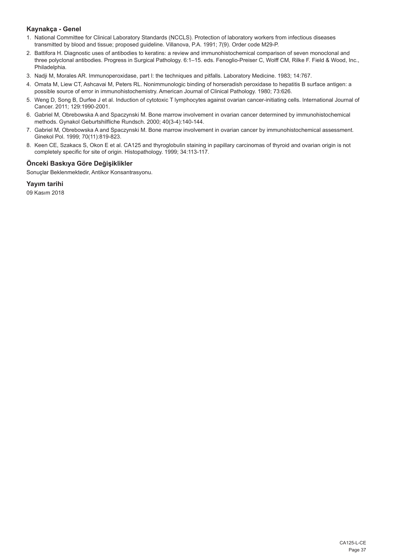## **Kaynakça - Genel**

- 1. National Committee for Clinical Laboratory Standards (NCCLS). Protection of laboratory workers from infectious diseases transmitted by blood and tissue; proposed guideline. Villanova, P.A. 1991; 7(9). Order code M29-P.
- 2. Battifora H. Diagnostic uses of antibodies to keratins: a review and immunohistochemical comparison of seven monoclonal and three polyclonal antibodies. Progress in Surgical Pathology. 6:1–15. eds. Fenoglio-Preiser C, Wolff CM, Rilke F. Field & Wood, Inc., Philadelphia.
- 3. Nadji M, Morales AR. Immunoperoxidase, part I: the techniques and pitfalls. Laboratory Medicine. 1983; 14:767.
- 4. Omata M, Liew CT, Ashcavai M, Peters RL. Nonimmunologic binding of horseradish peroxidase to hepatitis B surface antigen: a possible source of error in immunohistochemistry. American Journal of Clinical Pathology. 1980; 73:626.
- 5. Weng D, Song B, Durfee J et al. Induction of cytotoxic T lymphocytes against ovarian cancer-initiating cells. International Journal of Cancer. 2011; 129:1990-2001.
- 6. Gabriel M, Obrebowska A and Spaczynski M. Bone marrow involvement in ovarian cancer determined by immunohistochemical methods. Gynakol Geburtshilfliche Rundsch. 2000; 40(3-4):140-144.
- 7. Gabriel M, Obrebowska A and Spaczynski M. Bone marrow involvement in ovarian cancer by immunohistochemical assessment. Ginekol Pol. 1999; 70(11):819-823.
- 8. Keen CE, Szakacs S, Okon E et al. CA125 and thyroglobulin staining in papillary carcinomas of thyroid and ovarian origin is not completely specific for site of origin. Histopathology. 1999; 34:113-117.

## **Önceki Baskıya Göre Değişiklikler**

Sonuçlar Beklenmektedir, Antikor Konsantrasyonu.

**Yayım tarihi**

09 Kasım 2018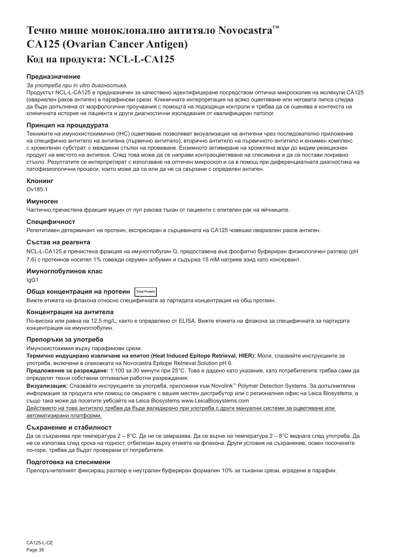# <span id="page-38-0"></span>**Течно мише моноклонално антитяло Novocastra™ CA125 (Ovarian Cancer Antigen) Код на продукта: NCL-L-CA125**

### **Предназначение**

#### *За употреба при in vitro диагностика.*

Продуктът NCL-L-CA125 е предназначен за качествено идентифициране посредством оптична микроскопия на молекули CA125 (овариален раков антиген) в парафинови срези. Клиничната интерпретация на всяко оцветяване или неговата липса следва да бъде допълнена от морфологични проучвания с помощта на подходящи контроли и трябва да се оценява в контекста на клиничната история на пациента и други диагностични изследвания от квалифициран патолог.

#### **Принцип на процедурата**

Техниките на имунохистохимично (IHC) оцветяване позволяват визуализация на антигени чрез последователно приложение на специфично антитяло на антигена (първично антитяло), вторично антитяло на първичното антитяло и ензимен комплекс с хромогенен субстрат, с междинни стъпки на промиване. Ензимното активиране на хромогена води до видим реакционен продукт на мястото на антигена. След това може да се направи контраоцветяване на спесимена и да се постави покривно стъкло. Резултатите се интерпретират с използване на оптичен микроскоп и са в помощ при диференциалната диагностика на патофизиологични процеси, които може да са или да не са свързани с определен антиген.

#### **Клонинг**

Ov185:1

### **Имуноген**

Частично пречистена фракция муцин от пул ракова тъкан от пациенти с епителен рак на яйчниците.

#### **Специфичност**

Репетитивен детерминант на протеин, експресиран в сърцевината на CA125 човешки овариален раков антиген.

#### **Състав на реагента**

NCL-L-CA125 е пречистена фракция на имуноглобулин G, предоставена във фосфатно буфериран физиологичен разтвор (pH 7,6) с протеинов носител 1% говежди серумен албумин и съдържа 15 mM натриев азид като консервант.

#### **Имуноглобулинов клас**

IgG1

#### **Обща концентрация на протеин Total Protein**

Вижте етикета на флакона относно специфичната за партидата концентрация на общ протеин.

#### **Концентрация на антитела**

По-висока или равна на 12,5 mg/L, както е определено от ELISA. Вижте етикета на флакона за специфичната за партидата концентрация на имуноглобулин.

#### **Препоръки за употреба**

Имунохистохимия върху парафинови срези.

**Термично индуцирано извличане на епитоп (Heat Induced Epitope Retrieval, HIER):** Моля, спазвайте инструкциите за употреба, включени в опаковката на Novocastra Epitope Retrieval Solution pH 6.

**Предложение за разреждане:** 1:100 за 30 минути при 25°C. Това е дадено като указание, като потребителите трябва сами да определят техни собствени оптимални работни разреждания.

**Визуализация:** Спазвайте инструкциите за употреба, приложени към Novolink™ Polymer Detection Systems. За допълнителна информация за продукта или помощ се свържете с вашия местен дистрибутор или с регионалния офис на Leica Biosystems, а също така може да посетите уебсайта на Leica Biosystems www.LeicaBiosystems.com

Действието на това антитяло трябва да бъде валидирано при употреба с други мануални системи за оцветяване или автоматизирани платформи.

#### **Съхранение и стабилност**

Да се съхранява при температура 2 – 8°C. Да не се замразява. Да се върне на температура 2 – 8°C веднага след употреба. Да не се използва след срока на годност, отбелязан върху етикета на флакона. Други условия на съхранение, освен посочените по-горе, трябва да бъдат проверени от потребителя.

#### **Подготовка на спесимени**

Препоръчителният фиксиращ разтвор е неутрален буфериран формалин 10% за тъканни срези, вградени в парафин.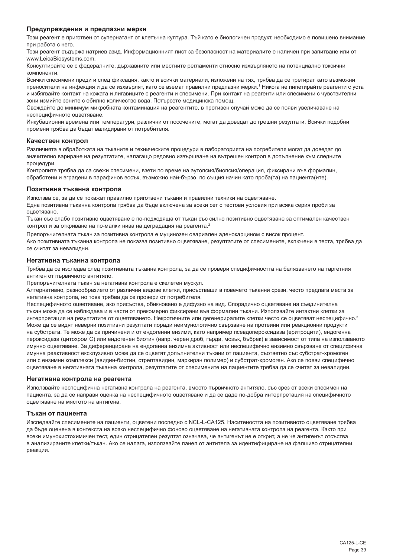#### **Предупреждения и предпазни мерки**

Този реагент е приготвен от супернатант от клетъчна култура. Тъй като е биологичен продукт, необходимо е повишено внимание при работа с него.

Този реагент съдържа натриев азид. Информационният лист за безопасност на материалите е наличен при запитване или от www.LeicaBiosystems.com.

Консултирайте се с федералните, държавните или местните регламенти относно изхвърлянето на потенциално токсични компоненти.

Всички спесимени преди и след фиксация, както и всички материали, изложени на тях, трябва да се третират като възможни преносители на инфекция и да се изхвърлят, като се вземат правилни предпазни мерки.' Никога не пипетирайте реагенти с уста и избягвайте контакт на кожата и лигавиците с реагенти и спесимени. При контакт на реагенти или спесимени с чувствителни зони измийте зоните с обилно количество вода. Потърсете медицинска помощ.

Свеждайте до минимум микробната контаминация на реагентите, в противен случай може да се появи увеличаване на неспецифичното оцветяване.

Инкубационни времена или температури, различни от посочените, могат да доведат до грешни резултати. Всички подобни промени трябва да бъдат валидирани от потребителя.

#### **Качествен контрол**

Различията в обработката на тъканите и техническите процедури в лабораторията на потребителя могат да доведат до значително вариране на резултатите, налагащо редовно извършване на вътрешен контрол в допълнение към следните процедури.

Контролите трябва да са свежи спесимени, взети по време на аутопсия/биопсия/операция, фиксирани във формалин, обработени и вградени в парафинов восък, възможно най-бързо, по същия начин като проба(та) на пациента(ите).

#### **Позитивна тъканна контрола**

Използва се, за да се покажат правилно приготвени тъкани и правилни техники на оцветяване. Една позитивна тъканна контрола трябва да бъде включена за всеки сет с тестови условия при всяка серия проби за оцветяване.

Тъкан със слабо позитивно оцветяване е по-подходяща от тъкан със силно позитивно оцветяване за оптимален качествен контрол и за откриване на по-малки нива на деградация на реагента.<sup>2</sup>

Препоръчителната тъкан за позитивна контрола е муцинозен овариален аденокарцином с висок процент. Ако позитивната тъканна контрола не показва позитивно оцветяване, резултатите от спесимените, включени в теста, трябва да се считат за невалидни.

#### **Негативна тъканна контрола**

Трябва да се изследва след позитивната тъканна контрола, за да се провери специфичността на белязването на таргетния антиген от първичното антитяло.

Препоръчителната тъкан за негативна контрола e скелетен мускул.

Алтернативно, разнообразието от различни видове клетки, присъстващи в повечето тъканни срези, често предлага места за негативна контрола, но това трябва да се провери от потребителя.

Неспецифичното оцветяване, ако присъства, обикновено е дифузно на вид. Спорадично оцветяване на съединителна тъкан може да се наблюдава и в части от прекомерно фиксирани във формалин тъкани. Използвайте интактни клетки за интерпретация на резултатите от оцветяването. Некротичните или дегенериралите клетки често се оцветяват неспецифично.3 Може да се видят неверни позитивни резултати поради неимунологично свързване на протеини или реакционни продукти на субстрата. Те може да са причинени и от ендогенни ензими, като например псевдопероксидаза (еритроцити), ендогенна пероксидаза (цитохром C) или ендогенен биотин (напр. черен дроб, гърда, мозък, бъбрек) в зависимост от типа на използваното имунно оцветяване. За диференциране на ендогенна ензимна активност или неспецифично ензимно свързване от специфична имунна реактивност ексклузивно може да се оцветят допълнителни тъкани от пациента, съответно със субстрат-хромоген или с ензимни комплекси (авидин-биотин, стрептавидин, маркиран полимер) и субстрат-хромоген. Ако се появи специфично оцветяване в негативната тъканна контрола, резултатите от спесимените на пациентите трябва да се считат за невалидни.

#### **Негативна контрола на реагента**

Използвайте неспецифична негативна контрола на реагента, вместо първичното антитяло, със срез от всеки спесимен на пациента, за да се направи оценка на неспецифичното оцветяване и да се даде по-добра интерпретация на специфичното оцветяване на мястото на антигена.

### **Тъкан от пациента**

Изследвайте спесимените на пациенти, оцветени последно с NCL-L-CA125. Наситеността на позитивното оцветяване трябва да бъде оценена в контекста на всяко неспецифично фоново оцветяване на негативната контрола на реагента. Както при всеки имунохистохимичен тест, един отрицателен резултат означава, че антигенът не е открит, а не че антигенът отсъства в анализираните клетки/тъкан. Ако се налага, използвайте панел от антитела за идентифициране на фалшиво отрицателни реакции.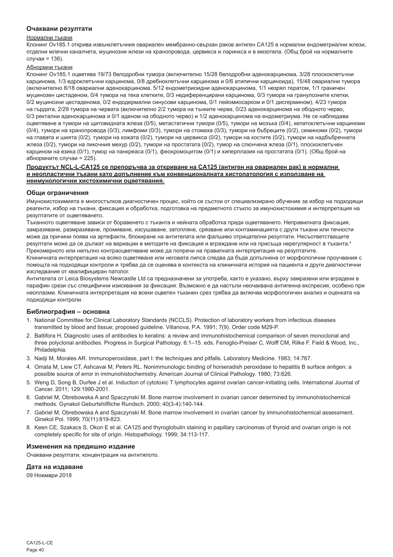#### **Очаквани резултати**

#### Нормални тъкани

Клонинг Ov185.1 открива извънклетъчния овариален мембранно-свързан раков антиген CA125 в нормални ендометриални жлези, отделни млечни каналчета, муцинозни жлези на хранопровода, цервикса и ларинкса и в мезотела. (Общ брой на нормалните случаи = 136).

#### Абнормни тъкани

Клонинг Ov185.1 оцветява 19/73 белодробни тумора (включително 15/28 белодробни аденокарцинома, 3/28 плоскоклетъчни карцинома, 1/3 едроклетъчни карцинома, 0/8 дребноклетъчни карцинома и 0/6 атипични карциноида), 15/48 овариални тумора (включително 8/18 овариални аденокарцинома, 5/12 ендометриоидни аденокарцинома, 1/1 незрял тератом, 1/1 граничен муцинозен цистаденом, 0/4 тумора на тека клетките, 0/3 недиференцирани карцинома, 0/3 тумора на гранулозните клетки, 0/2 муцинозни цестаденома, 0/2 ендодермални синусови карцинома, 0/1 лейомиосарком и 0/1 дисгермином), 4/23 тумора на гърдата, 2/29 тумора на червата (включително 2/2 тумора на тънките черва, 0/23 аденокарцинома на ободното черво, 0/3 ректални аденокарцинома и 0/1 аденом на ободното черво) и 1/2 аденокарцинома на ендометриума. Не се наблюдава оцветяване в тумори на щитовидната жлеза (0/5), метастатични тумори (0/5), тумори на мозъка (0/4), хепатоклетъчни карциноми (0/4), тумори на хранопровода (0/3), лимфоми (0/3), тумори на стомаха (0/3), тумори на бъбреците (0/2), семиноми (0/2), тумори на главата и шията (0/2), тумори на кожата (0/2), тумори на цервикса (0/2), тумори на костите (0/2), тумори на надбъбречната жлеза (0/2), тумори на пикочния мехур (0/2), тумори на простатата (0/2), тумор на слюнчена жлеза (0/1), плоскоклетъчен карцином на езика (0/1), тумор на панкреаса (0/1), феохромоцитом (0/1) и хиперплазия на простатата (0/1). (Общ брой на абнормните случаи = 225).

#### **Продуктът NCL-L-CA125 се препоръчва за откриване на CA125 (антиген на овариален рак) в нормални и неопластични тъкани като допълнение към конвенционалната хистопатология с използване на неимунологични хистохимични оцветявания.**

#### **Общи ограничения**

Имунохистохимията е многостъпков диагностичен процес, който се състои от специализирано обучение за избор на подходящи реагенти, избор на тъкани, фиксация и обработка, подготовка на предметното стъкло за имунохистохимия и интерпретация на резултатите от оцветяването.

Тъканното оцветяване зависи от боравенето с тъканта и нейната обработка преди оцветяването. Неправилната фиксация, замразяване, размразяване, промиване, изсушаване, затопляне, срязване или контаминацията с други тъкани или течности може да причини поява на артефакти, блокиране на антителата или фалшиво отрицателни резултати. Несъответстващите резултати може да се дължат на вариации в методите на фиксация и вграждане или на присъща нерегулярност в тъканта.4 Прекомерното или непълно контраоцветяване може да попречи на правилната интерпретация на резултатите.

Клиничната интерпретация на всяко оцветяване или неговата липса следва да бъде допълнена от морфологични проучвания с помощта на подходящи контроли и трябва да се оценява в контекста на клиничната история на пациента и други диагностични изследвания от квалифициран патолог.

Антителата от Leica Biosystems Newcastle Ltd са предназначени за употреба, както е указано, върху замразени или вградени в парафин срези със специфични изисквания за фиксация. Възможно е да настъпи неочаквана антигенна експресия, особено при неоплазми. Клиничната интерпретация на всеки оцветен тъканен срез трябва да включва морфологичен анализ и оценката на подходящи контроли.

### **Библиография – основна**

- 1. National Committee for Clinical Laboratory Standards (NCCLS). Protection of laboratory workers from infectious diseases transmitted by blood and tissue; proposed guideline. Villanova, P.A. 1991; 7(9). Order code M29-P.
- 2. Battifora H. Diagnostic uses of antibodies to keratins: a review and immunohistochemical comparison of seven monoclonal and three polyclonal antibodies. Progress in Surgical Pathology. 6:1–15. eds. Fenoglio-Preiser C, Wolff CM, Rilke F. Field & Wood, Inc., Philadelphia.
- 3. Nadji M, Morales AR. Immunoperoxidase, part I: the techniques and pitfalls. Laboratory Medicine. 1983; 14:767.
- 4. Omata M, Liew CT, Ashcavai M, Peters RL. Nonimmunologic binding of horseradish peroxidase to hepatitis B surface antigen: a possible source of error in immunohistochemistry. American Journal of Clinical Pathology. 1980; 73:626.
- 5. Weng D, Song B, Durfee J et al. Induction of cytotoxic T lymphocytes against ovarian cancer-initiating cells. International Journal of Cancer. 2011; 129:1990-2001.
- 6. Gabriel M, Obrebowska A and Spaczynski M. Bone marrow involvement in ovarian cancer determined by immunohistochemical methods. Gynakol Geburtshilfliche Rundsch. 2000; 40(3-4):140-144.
- 7. Gabriel M, Obrebowska A and Spaczynski M. Bone marrow involvement in ovarian cancer by immunohistochemical assessment. Ginekol Pol. 1999; 70(11):819-823.
- 8. Keen CE, Szakacs S, Okon E et al. CA125 and thyroglobulin staining in papillary carcinomas of thyroid and ovarian origin is not completely specific for site of origin. Histopathology. 1999; 34:113-117.

### **Изменения на предишно издание**

Очаквани резултати, концентрация на антитялото.

### **Дата на издаване**

09 Ноември 2018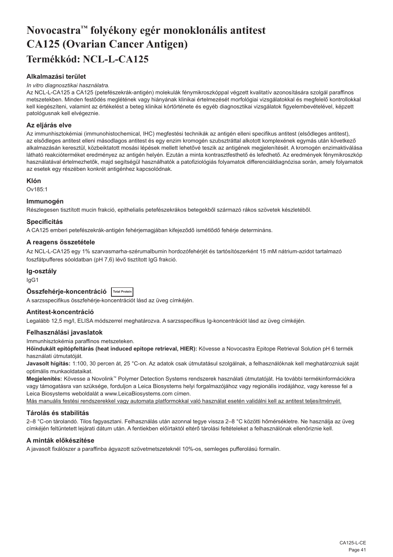# <span id="page-41-0"></span>**Novocastra™ folyékony egér monoklonális antitest CA125 (Ovarian Cancer Antigen) Termékkód: NCL-L-CA125**

## **Alkalmazási terület**

#### *In vitro diagnosztikai használatra.*

Az NCL-L-CA125 a CA125 (petefészekrák-antigén) molekulák fénymikroszkóppal végzett kvalitatív azonosítására szolgál paraffinos metszetekben. Minden festődés meglétének vagy hiányának klinikai értelmezését morfológiai vizsgálatokkal és megfelelő kontrollokkal kell kiegészíteni, valamint az értékelést a beteg klinikai kórtörténete és egyéb diagnosztikai vizsgálatok figyelembevételével, képzett patológusnak kell elvégeznie.

#### **Az eljárás elve**

Az immunhisztokémiai (immunohistochemical, IHC) megfestési technikák az antigén elleni specifikus antitest (elsődleges antitest), az elsődleges antitest elleni másodlagos antitest és egy enzim kromogén szubsztráttal alkotott komplexének egymás után következő alkalmazásán keresztül, közbeiktatott mosási lépések mellett lehetővé teszik az antigének megjelenítését. A kromogén enzimaktiválása látható reakcióterméket eredményez az antigén helyén. Ezután a minta kontrasztfesthető és lefedhető. Az eredmények fénymikroszkóp használatával értelmezhetők, majd segítségül használhatók a patofiziológiás folyamatok differenciáldiagnózisa során, amely folyamatok az esetek egy részében konkrét antigénhez kapcsolódnak.

## **Klón**

Ov185:1

#### **Immunogén**

Részlegesen tisztított mucin frakció, epithelialis petefészekrákos betegekből származó rákos szövetek készletéből.

#### **Specificitás**

A CA125 emberi petefészekrák-antigén fehérjemagjában kifejeződő ismétlődő fehérje determináns.

## **A reagens összetétele**

Az NCL-L-CA125 egy 1% szarvasmarha-szérumalbumin hordozófehérjét és tartósítószerként 15 mM nátrium-azidot tartalmazó foszfátpufferes sóoldatban (pH 7,6) lévő tisztított IgG frakció.

## **Ig-osztály**

IgG1

**Összfehérje-koncentráció Total Protein**

A sarzsspecifikus összfehérje-koncentrációt lásd az üveg címkéjén.

## **Antitest-koncentráció**

Legalább 12,5 mg/l, ELISA módszerrel meghatározva. A sarzsspecifikus Ig-koncentrációt lásd az üveg címkéjén.

#### **Felhasználási javaslatok**

Immunhisztokémia paraffinos metszeteken.

**Hőindukált epitópfeltárás (heat induced epitope retrieval, HIER):** Kövesse a Novocastra Epitope Retrieval Solution pH 6 termék használati útmutatóját.

**Javasolt hígítás:** 1:100, 30 percen át, 25 °C-on. Az adatok csak útmutatásul szolgálnak, a felhasználóknak kell meghatározniuk saját optimális munkaoldataikat.

**Megjelenítés:** Kövesse a Novolink™ Polymer Detection Systems rendszerek használati útmutatóját. Ha további termékinformációkra vagy támogatásra van szüksége, forduljon a Leica Biosystems helyi forgalmazójához vagy regionális irodájához, vagy keresse fel a Leica Biosystems weboldalát a www.LeicaBiosystems.com címen.

Más manuális festési rendszerekkel vagy automata platformokkal való használat esetén validálni kell az antitest teljesítményét.

## **Tárolás és stabilitás**

2–8 °C-on tárolandó. Tilos fagyasztani. Felhasználás után azonnal tegye vissza 2–8 °C közötti hőmérsékletre. Ne használja az üveg címkéjén feltüntetett lejárati dátum után. A fentiekben előírtaktól eltérő tárolási feltételeket a felhasználónak ellenőriznie kell.

## **A minták előkészítése**

A javasolt fixálószer a paraffinba ágyazott szövetmetszeteknél 10%-os, semleges pufferolású formalin.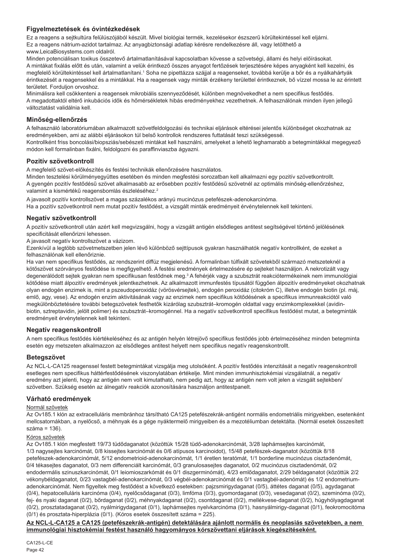## **Figyelmeztetések és óvintézkedések**

Ez a reagens a sejtkultúra felülúszójából készült. Mivel biológiai termék, kezelésekor észszerű körültekintéssel kell eljárni. Ez a reagens nátrium-azidot tartalmaz. Az anyagbiztonsági adatlap kérésre rendelkezésre áll, vagy letölthető a www.LeicaBiosystems.com oldalról.

Minden potenciálisan toxikus összetevő ártalmatlanításával kapcsolatban kövesse a szövetségi, állami és helyi előírásokat. A mintákat fixálás előtt és után, valamint a velük érintkező összes anyagot fertőzések terjesztésére képes anyagként kell kezelni, és megfelelő körültekintéssel kell ártalmatlanítani.' Soha ne pipettázza szájjal a reagenseket, továbbá kerülje a bőr és a nyálkahártyák érintkezését a reagensekkel és a mintákkal. Ha a reagensek vagy minták érzékeny területtel érintkeznek, bő vízzel mossa le az érintett területet. Forduljon orvoshoz.

Minimálisra kell csökkenteni a reagensek mikrobiális szennyeződését, különben megnövekedhet a nem specifikus festődés. A megadottaktól eltérő inkubációs idők és hőmérsékletek hibás eredményekhez vezethetnek. A felhasználónak minden ilyen jellegű változtatást validálnia kell.

## **Minőség-ellenőrzés**

A felhasználó laboratóriumában alkalmazott szövetfeldolgozási és technikai eljárások eltérései jelentős különbséget okozhatnak az eredményekben, ami az alábbi eljárásokon túl belső kontrollok rendszeres futtatását teszi szükségessé. Kontrollként friss boncolási/biopsziás/sebészeti mintákat kell használni, amelyeket a lehető leghamarabb a betegmintákkal megegyező módon kell formalinban fixálni, feldolgozni és paraffinviaszba ágyazni.

### **Pozitív szövetkontroll**

A megfelelő szövet-előkészítés és festési technikák ellenőrzésére használatos.

Minden tesztelési körülményegyüttes esetében és minden megfestési sorozatban kell alkalmazni egy pozitív szövetkontrollt. A gyengén pozitív festődésű szövet alkalmasabb az erősebben pozitív festődésű szövetnél az optimális minőség-ellenőrzéshez, valamint a kismértékű reagensbomlás észleléséhez.<sup>2</sup>

A javasolt pozitív kontrollszövet a magas százalékos arányú mucinózus petefészek-adenokarcinóma. Ha a pozitív szövetkontroll nem mutat pozitív festődést, a vizsgált minták eredményeit érvénytelennek kell tekinteni.

## **Negatív szövetkontroll**

A pozitív szövetkontroll után azért kell megvizsgálni, hogy a vizsgált antigén elsődleges antitest segítségével történő jelölésének specificitását ellenőrizni lehessen.

A javasolt negatív kontrollszövet a vázizom.

Ezenkívül a legtöbb szövetmetszetben jelen lévő különböző sejttípusok gyakran használhatók negatív kontrollként, de ezeket a felhasználónak kell ellenőriznie.

Ha van nem specifikus festődés, az rendszerint diffúz megjelenésű. A formalinban túlfixált szövetekből származó metszeteknél a kötőszövet szórványos festődése is megfigyelhető. A festési eredmények értelmezésére ép sejteket használjon. A nekrotizált vagy degenerálódott sejtek gyakran nem specifikusan festődnek meg.<sup>3</sup> A fehérjék vagy a szubsztrát reakciótermékeinek nem immunológiai kötődése miatt álpozitív eredmények jelentkezhetnek. Az alkalmazott immunfestés típusától függően álpozitív eredményeket okozhatnak olyan endogén enzimek is, mint a pszeudoperoxidáz (vörösvérsejtek), endogén peroxidáz (citokróm C), illetve endogén biotin (pl. máj, emlő, agy, vese). Az endogén enzim aktivitásának vagy az enzimek nem specifikus kötődésének a specifikus immunreakciótól való megkülönböztetésére további betegszövetek festhetők kizárólag szubsztrát–kromogén oldattal vagy enzimkomplexekkel (avidinbiotin, sztreptavidin, jelölt polimer) és szubsztrát–kromogénnel. Ha a negatív szövetkontroll specifikus festődést mutat, a betegminták eredményeit érvénytelennek kell tekinteni.

## **Negatív reagenskontroll**

A nem specifikus festődés kiértékeléséhez és az antigén helyén létrejövő specifikus festődés jobb értelmezéséhez minden betegminta esetén egy metszeten alkalmazzon az elsődleges antitest helyett nem specifikus negatív reagenskontrollt.

### **Betegszövet**

Az NCL-L-CA125 reagenssel festett betegmintákat vizsgálja meg utolsóként. A pozitív festődés intenzitását a negatív reagenskontroll esetleges nem specifikus háttérfestődésének viszonylatában értékelje. Mint minden immunhisztokémiai vizsgálatnál, a negatív eredmény azt jelenti, hogy az antigén nem volt kimutatható, nem pedig azt, hogy az antigén nem volt jelen a vizsgált sejtekben/ szövetben. Szükség esetén az álnegatív reakciók azonosítására használjon antitestpanelt.

### **Várható eredmények**

## Normál szövetek

Az Ov185.1 klón az extracelluláris membránhoz társítható CA125 petefészekrák-antigént normális endometriális mirigyekben, esetenként mellcsatornákban, a nyelőcső, a méhnyak és a gége nyáktermelő mirigyeiben és a mezotéliumban detektálta. (Normál esetek összesített száma = 136).

### Kóros szövetek

Az Ov185.1 klón megfestett 19/73 tüdődaganatot (közöttük 15/28 tüdő-adenokarcinómát, 3/28 laphámsejtes karcinómát, 1/3 nagysejtes karcinómát, 0/8 kissejtes karcinómát és 0/6 atípusos karcinoidot), 15/48 petefészek-daganatot (közöttük 8/18 petefészek-adenokarcinómát, 5/12 endometrioid-adenokarcinómát, 1/1 éretlen teratómát, 1/1 borderline mucinózus cisztadenómát, 0/4 tékasejtes daganatot, 0/3 nem differenciált karcinómát, 0/3 granulosasejtes daganatot, 0/2 mucinózus cisztadenómát, 0/2 endodermális szinuszkarcinómát, 0/1 leiomioszarkómát és 0/1 diszgerminómát), 4/23 emlődaganatot, 2/29 béldaganatot (közöttük 2/2 vékonybéldaganatot, 0/23 vastagbél-adenokarcinómát, 0/3 végbél-adenokarcinómát és 0/1 vastagbél-adenómát) és 1/2 endometriumadenokarcinómát. Nem figyeltek meg festődést a következő esetekben: pajzsmirigydaganat (0/5), áttétes daganat (0/5), agydaganat (0/4), hepatocelluláris karcinóma (0/4), nyelőcsődaganat (0/3), limfóma (0/3), gyomordaganat (0/3), vesedaganat (0/2), szeminóma (0/2), fej- és nyaki daganat (0/2), bőrdaganat (0/2), méhnyakdaganat (0/2), csontdaganat (0/2), mellékvese-daganat (0/2), húgyhólyagdaganat (0/2), prosztatadaganat (0/2), nyálmirigydaganat (0/1), laphámsejtes nyelvkarcinóma (0/1), hasnyálmirigy-daganat (0/1), feokromocitóma (0/1) és prosztata-hiperplázia (0/1). (Kóros esetek összesített száma = 225).

### **Az NCL-L-CA125 a CA125 (petefészekrák-antigén) detektálására ajánlott normális és neoplasiás szövetekben, a nem immunológiai hisztokémiai festést használó hagyományos kórszövettani eljárások kiegészítéseként.**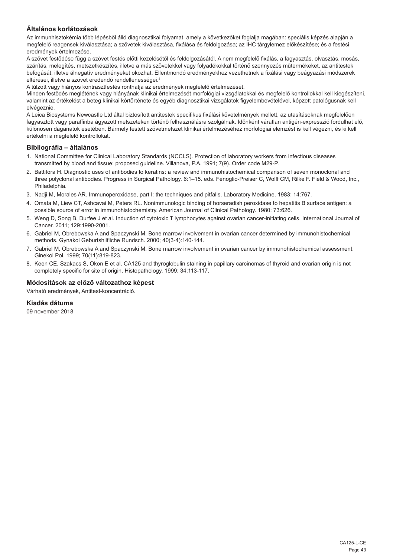## **Általános korlátozások**

Az immunhisztokémia több lépésből álló diagnosztikai folyamat, amely a következőket foglalja magában: speciális képzés alapján a megfelelő reagensek kiválasztása; a szövetek kiválasztása, fixálása és feldolgozása; az IHC tárgylemez előkészítése; és a festési eredmények értelmezése.

A szövet festődése függ a szövet festés előtti kezelésétől és feldolgozásától. A nem megfelelő fixálás, a fagyasztás, olvasztás, mosás, szárítás, melegítés, metszetkészítés, illetve a más szövetekkel vagy folyadékokkal történő szennyezés műtermékeket, az antitestek befogását, illetve álnegatív eredményeket okozhat. Ellentmondó eredményekhez vezethetnek a fixálási vagy beágyazási módszerek eltérései, illetve a szövet eredendő rendellenességei.4

A túlzott vagy hiányos kontrasztfestés ronthatja az eredmények megfelelő értelmezését.

Minden festődés meglétének vagy hiányának klinikai értelmezését morfológiai vizsgálatokkal és megfelelő kontrollokkal kell kiegészíteni, valamint az értékelést a beteg klinikai kórtörténete és egyéb diagnosztikai vizsgálatok figyelembevételével, képzett patológusnak kell elvégeznie.

A Leica Biosystems Newcastle Ltd által biztosított antitestek specifikus fixálási követelmények mellett, az utasításoknak megfelelően fagyasztott vagy paraffinba ágyazott metszeteken történő felhasználásra szolgálnak. Időnként váratlan antigén-expresszió fordulhat elő, különösen daganatok esetében. Bármely festett szövetmetszet klinikai értelmezéséhez morfológiai elemzést is kell végezni, és ki kell értékelni a megfelelő kontrollokat.

### **Bibliográfia – általános**

- 1. National Committee for Clinical Laboratory Standards (NCCLS). Protection of laboratory workers from infectious diseases transmitted by blood and tissue; proposed guideline. Villanova, P.A. 1991; 7(9). Order code M29-P.
- 2. Battifora H. Diagnostic uses of antibodies to keratins: a review and immunohistochemical comparison of seven monoclonal and three polyclonal antibodies. Progress in Surgical Pathology. 6:1–15. eds. Fenoglio-Preiser C, Wolff CM, Rilke F. Field & Wood, Inc., Philadelphia.
- 3. Nadji M, Morales AR. Immunoperoxidase, part I: the techniques and pitfalls. Laboratory Medicine. 1983; 14:767.
- 4. Omata M, Liew CT, Ashcavai M, Peters RL. Nonimmunologic binding of horseradish peroxidase to hepatitis B surface antigen: a possible source of error in immunohistochemistry. American Journal of Clinical Pathology. 1980; 73:626.
- 5. Weng D, Song B, Durfee J et al. Induction of cytotoxic T lymphocytes against ovarian cancer-initiating cells. International Journal of Cancer. 2011; 129:1990-2001.
- 6. Gabriel M, Obrebowska A and Spaczynski M. Bone marrow involvement in ovarian cancer determined by immunohistochemical methods. Gynakol Geburtshilfliche Rundsch. 2000; 40(3-4):140-144.
- 7. Gabriel M, Obrebowska A and Spaczynski M. Bone marrow involvement in ovarian cancer by immunohistochemical assessment. Ginekol Pol. 1999; 70(11):819-823.
- 8. Keen CE, Szakacs S, Okon E et al. CA125 and thyroglobulin staining in papillary carcinomas of thyroid and ovarian origin is not completely specific for site of origin. Histopathology. 1999; 34:113-117.

## **Módosítások az előző változathoz képest**

Várható eredmények, Antitest-koncentráció.

## **Kiadás dátuma**

09 november 2018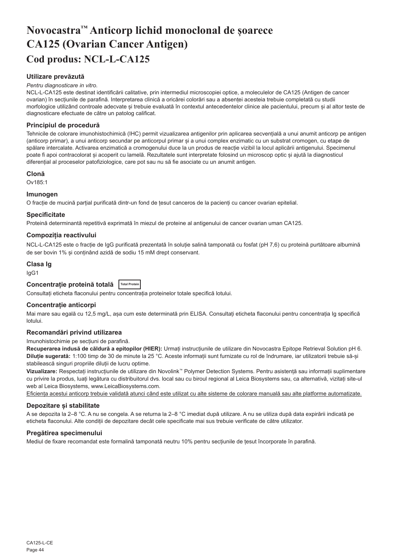# <span id="page-44-0"></span>**Novocastra™ Anticorp lichid monoclonal de șoarece CA125 (Ovarian Cancer Antigen) Cod produs: NCL-L-CA125**

## **Utilizare prevăzută**

#### *Pentru diagnosticare in vitro.*

NCL-L-CA125 este destinat identificării calitative, prin intermediul microscopiei optice, a moleculelor de CA125 (Antigen de cancer ovarian) în secțiunile de parafină. Interpretarea clinică a oricărei colorări sau a absenței acesteia trebuie completată cu studii morfologice utilizând controale adecvate și trebuie evaluată în contextul antecedentelor clinice ale pacientului, precum și al altor teste de diagnosticare efectuate de către un patolog calificat.

#### **Principiul de procedură**

Tehnicile de colorare imunohistochimică (IHC) permit vizualizarea antigenilor prin aplicarea secvențială a unui anumit anticorp pe antigen (anticorp primar), a unui anticorp secundar pe anticorpul primar și a unui complex enzimatic cu un substrat cromogen, cu etape de spălare intercalate. Activarea enzimatică a cromogenului duce la un produs de reacție vizibil la locul aplicării antigenului. Specimenul poate fi apoi contracolorat și acoperit cu lamelă. Rezultatele sunt interpretate folosind un microscop optic și ajută la diagnosticul diferențial al proceselor patofiziologice, care pot sau nu să fie asociate cu un anumit antigen.

#### **Clonă**

Ov185:1

#### **Imunogen**

O fracție de mucină parțial purificată dintr-un fond de țesut canceros de la pacienți cu cancer ovarian epitelial.

#### **Specificitate**

Proteină determinantă repetitivă exprimată în miezul de proteine al antigenului de cancer ovarian uman CA125.

## **Compoziția reactivului**

NCL-L-CA125 este o fracție de IgG purificată prezentată în soluție salină tamponată cu fosfat (pH 7,6) cu proteină purtătoare albumină de ser bovin 1% și conținând azidă de sodiu 15 mM drept conservant.

### **Clasa Ig**

IgG1

## **Concentrație proteină totală Total Protein**

Consultați eticheta flaconului pentru concentrația proteinelor totale specifică lotului.

## **Concentrație anticorpi**

Mai mare sau egală cu 12,5 mg/L, așa cum este determinată prin ELISA. Consultați eticheta flaconului pentru concentrația Ig specifică lotului.

#### **Recomandări privind utilizarea**

Imunohistochimie pe secțiuni de parafină.

**Recuperarea indusă de căldură a epitopilor (HIER):** Urmați instrucțiunile de utilizare din Novocastra Epitope Retrieval Solution pH 6. **Diluție sugerată:** 1:100 timp de 30 de minute la 25 °C. Aceste informații sunt furnizate cu rol de îndrumare, iar utilizatorii trebuie să-și stabilească singuri propriile diluții de lucru optime.

**Vizualizare:** Respectați instrucțiunile de utilizare din Novolink™ Polymer Detection Systems. Pentru asistență sau informații suplimentare cu privire la produs, luați legătura cu distribuitorul dvs. local sau cu biroul regional al Leica Biosystems sau, ca alternativă, vizitați site-ul web al Leica Biosystems, www.LeicaBiosystems.com.

Eficienta acestui anticorp trebuie validată atunci când este utilizat cu alte sisteme de colorare manuală sau alte platforme automatizate.

#### **Depozitare și stabilitate**

A se depozita la 2–8 °C. A nu se congela. A se returna la 2–8 °C imediat după utilizare. A nu se utiliza după data expirării indicată pe eticheta flaconului. Alte condiții de depozitare decât cele specificate mai sus trebuie verificate de către utilizator.

## **Pregătirea specimenului**

Mediul de fixare recomandat este formalină tamponată neutru 10% pentru secțiunile de țesut încorporate în parafină.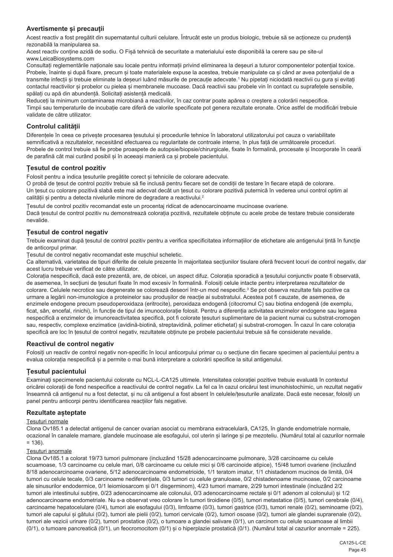## **Avertismente și precauții**

Acest reactiv a fost pregătit din supernatantul culturii celulare. Întrucât este un produs biologic, trebuie să se acționeze cu prudență rezonabilă la manipularea sa.

Acest reactiv conține azidă de sodiu. O Fișă tehnică de securitate a materialului este disponibilă la cerere sau pe site-ul www.LeicaBiosystems.com

Consultați reglementările naționale sau locale pentru informații privind eliminarea la deșeuri a tuturor componentelor potențial toxice. Probele, înainte și după fixare, precum și toate materialele expuse la acestea, trebuie manipulate ca și când ar avea potențialul de a transmite infecții și trebuie eliminate la deșeuri luând măsurile de precauție adecvate.' Nu pipetați niciodată reactivii cu gura și evitați contactul reactivilor și probelor cu pielea și membranele mucoase. Dacă reactivii sau probele vin în contact cu suprafețele sensibile, spălați cu apă din abundență. Solicitați asistență medicală.

Reduceți la minimum contaminarea microbiană a reactivilor, în caz contrar poate apărea o creștere a colorării nespecifice. Timpii sau temperaturile de incubație care diferă de valorile specificate pot genera rezultate eronate. Orice astfel de modificări trebuie validate de către utilizator.

## **Controlul calității**

Diferențele în ceea ce privește procesarea țesutului și procedurile tehnice în laboratorul utilizatorului pot cauza o variabilitate semnificativă a rezultatelor, necesitând efectuarea cu regularitate de controale interne, în plus față de următoarele proceduri. Probele de control trebuie să fie probe proaspete de autopsie/biopsie/chirurgicale, fixate în formalină, procesate și încorporate în ceară de parafină cât mai curând posibil și în aceeași manieră ca și probele pacientului.

## **Țesutul de control pozitiv**

Folosit pentru a indica țesuturile pregătite corect și tehnicile de colorare adecvate.

O probă de țesut de control pozitiv trebuie să fie inclusă pentru fiecare set de condiții de testare în fiecare etapă de colorare. Un țesut cu colorare pozitivă slabă este mai adecvat decât un țesut cu colorare pozitivă puternică în vederea unui control optim al calității și pentru a detecta nivelurile minore de degradare a reactivului.<sup>2</sup>

Țesutul de control pozitiv recomandat este un procentaj ridicat de adenocarcinoame mucinoase ovariene.

Dacă țesutul de control pozitiv nu demonstrează colorația pozitivă, rezultatele obținute cu acele probe de testare trebuie considerate nevalide.

## **Țesutul de control negativ**

Trebuie examinat după țesutul de control pozitiv pentru a verifica specificitatea informațiilor de etichetare ale antigenului țintă în funcție de anticorpul primar.

Țesutul de control negativ recomandat este mușchiul scheletic.

Ca alternativă, varietatea de tipuri diferite de celule prezente în majoritatea secțiunilor tisulare oferă frecvent locuri de control negativ, dar acest lucru trebuie verificat de către utilizator.

Colorația nespecifică, dacă este prezentă, are, de obicei, un aspect difuz. Colorația sporadică a țesutului conjunctiv poate fi observată, de asemenea, în secțiuni de țesuturi fixate în mod excesiv în formalină. Folosiți celule intacte pentru interpretarea rezultatelor de colorare. Celulele necrotice sau degenerate se colorează deseori într-un mod nespecific.<sup>3</sup> Se pot observa rezultate fals pozitive ca urmare a legării non-imunologice a proteinelor sau produșilor de reacție ai substratului. Acestea pot fi cauzate, de asemenea, de enzimele endogene precum pseudoperoxidaza (eritrocite), peroxidaza endogenă (citocromul C) sau biotina endogenă (de exemplu, ficat, sân, encefal, rinichi), în funcție de tipul de imunocolorație folosit. Pentru a diferenția activitatea enzimelor endogene sau legarea nespecifică a enzimelor de imunoreactivitatea specifică, pot fi colorate țesuturi suplimentare de la pacient numai cu substrat-cromogen sau, respectiv, complexe enzimatice (avidină-biotină, streptavidină, polimer etichetat) și substrat-cromogen. În cazul în care colorația specifică are loc în țesutul de control negativ, rezultatele obținute pe probele pacientului trebuie să fie considerate nevalide.

### **Reactivul de control negativ**

Folosiți un reactiv de control negativ non-specific în locul anticorpului primar cu o secțiune din fiecare specimen al pacientului pentru a evalua colorația nespecifică și a permite o mai bună interpretare a colorării specifice la situl antigenului.

## **Țesutul pacientului**

Examinați specimenele pacientului colorate cu NCL-L-CA125 ultimele. Intensitatea colorației pozitive trebuie evaluată în contextul oricărei colorații de fond nespecifice a reactivului de control negativ. La fel ca în cazul oricărui test imunohistochimic, un rezultat negativ înseamnă că antigenul nu a fost detectat, și nu că antigenul a fost absent în celulele/țesuturile analizate. Dacă este necesar, folosiți un panel pentru anticorpi pentru identificarea reacțiilor fals negative.

### **Rezultate așteptate**

#### Țesuturi normale

Clona Ov185.1 a detectat antigenul de cancer ovarian asociat cu membrana extracelulară, CA125, în glande endometriale normale, ocazional în canalele mamare, glandele mucinoase ale esofagului, col uterin și laringe și pe mezoteliu. (Numărul total al cazurilor normale  $= 136$ ).

#### Țesuturi anormale

Clona Ov185.1 a colorat 19/73 tumori pulmonare (incluzând 15/28 adenocarcinoame pulmonare, 3/28 carcinoame cu celule scuamoase, 1/3 carcinoame cu celule mari, 0/8 carcinoame cu celule mici și 0/6 carcinoide atipice), 15/48 tumori ovariene (incluzând 8/18 adenocarcinoame ovariene, 5/12 adenocarcinoame endometrioide, 1/1 teratom imatur, 1/1 chistadenom mucinos de limită, 0/4 tumori cu celule tecale, 0/3 carcinoame nediferențiate, 0/3 tumori cu celule granuloase, 0/2 chistadenoame mucinoase, 0/2 carcinoame ale sinusurilor endodermice, 0/1 leiomiosarcom și 0/1 disgerminom), 4/23 tumori mamare, 2/29 tumori intestinale (incluzând 2/2 tumori ale intestinului subțire, 0/23 adenocarcinoame ale colonului, 0/3 adenocarcinoame rectale și 0/1 adenom al colonului) și 1/2 adenocarcinoame endometriale. Nu s-a observat vreo colorare în tumori tiroidiene (0/5), tumori metastatice (0/5), tumori cerebrale (0/4), carcinoame hepatocelulare (0/4), tumori ale esofagului (0/3), limfoame (0/3), tumori gastrice (0/3), tumori renale (0/2), seminoame (0/2), tumori ale capului și gâtului (0/2), tumori ale pielii (0/2), tumori cervicale (0/2), tumori osoase (0/2), tumori ale glandei suprarenale (0/2), tumori ale vezicii urinare (0/2), tumori prostatice (0/2), o tumoare a glandei salivare (0/1), un carcinom cu celule scuamoase al limbii (0/1), o tumoare pancreatică (0/1), un feocromocitom (0/1) și o hiperplazie prostatică (0/1). (Numărul total al cazurilor anormale = 225).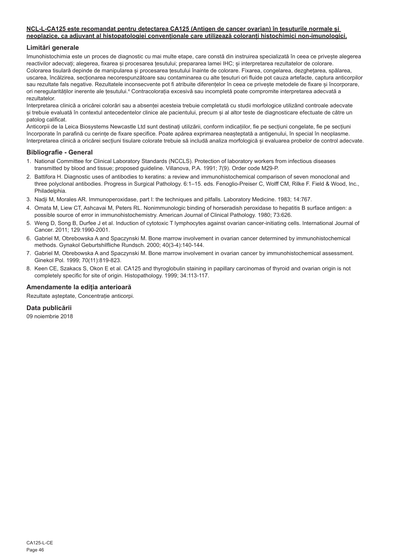#### **NCL-L-CA125 este recomandat pentru detectarea CA125 (Antigen de cancer ovarian) în țesuturile normale și neoplazice, ca adjuvant al histopatologiei convenționale care utilizează coloranți histochimici non-imunologici.**

## **Limitări generale**

Imunohistochimia este un proces de diagnostic cu mai multe etape, care constă din instruirea specializată în ceea ce privește alegerea reactivilor adecvați; alegerea, fixarea și procesarea țesutului; prepararea lamei IHC; și interpretarea rezultatelor de colorare. Colorarea tisulară depinde de manipularea și procesarea tesutului înainte de colorare. Fixarea, congelarea, dezghețarea, spălarea, uscarea, încălzirea, secționarea necorespunzătoare sau contaminarea cu alte țesuturi ori fluide pot cauza artefacte, captura anticorpilor sau rezultate fals negative. Rezultatele inconsecvente pot fi atribuite diferențelor în ceea ce privește metodele de fixare și încorporare. ori neregularităților inerente ale țesutului.ª Contracolorația excesivă sau incompletă poate compromite interpretarea adecvată a rezultatelor.

Interpretarea clinică a oricărei colorări sau a absenței acesteia trebuie completată cu studii morfologice utilizând controale adecvate și trebuie evaluată în contextul antecedentelor clinice ale pacientului, precum și al altor teste de diagnosticare efectuate de către un patolog calificat.

Anticorpii de la Leica Biosystems Newcastle Ltd sunt destinați utilizării, conform indicațiilor, fie pe secțiuni congelate, fie pe secțiuni încorporate în parafină cu cerințe de fixare specifice. Poate apărea exprimarea neașteptată a antigenului, în special în neoplasme. Interpretarea clinică a oricărei secțiuni tisulare colorate trebuie să includă analiza morfologică și evaluarea probelor de control adecvate.

### **Bibliografie - General**

- 1. National Committee for Clinical Laboratory Standards (NCCLS). Protection of laboratory workers from infectious diseases transmitted by blood and tissue; proposed guideline. Villanova, P.A. 1991; 7(9). Order code M29-P.
- 2. Battifora H. Diagnostic uses of antibodies to keratins: a review and immunohistochemical comparison of seven monoclonal and three polyclonal antibodies. Progress in Surgical Pathology. 6:1–15. eds. Fenoglio-Preiser C, Wolff CM, Rilke F. Field & Wood, Inc., Philadelphia.
- 3. Nadji M, Morales AR. Immunoperoxidase, part I: the techniques and pitfalls. Laboratory Medicine. 1983; 14:767.
- 4. Omata M, Liew CT, Ashcavai M, Peters RL. Nonimmunologic binding of horseradish peroxidase to hepatitis B surface antigen: a possible source of error in immunohistochemistry. American Journal of Clinical Pathology. 1980; 73:626.
- 5. Weng D, Song B, Durfee J et al. Induction of cytotoxic T lymphocytes against ovarian cancer-initiating cells. International Journal of Cancer. 2011; 129:1990-2001.
- 6. Gabriel M, Obrebowska A and Spaczynski M. Bone marrow involvement in ovarian cancer determined by immunohistochemical methods. Gynakol Geburtshilfliche Rundsch. 2000; 40(3-4):140-144.
- 7. Gabriel M, Obrebowska A and Spaczynski M. Bone marrow involvement in ovarian cancer by immunohistochemical assessment. Ginekol Pol. 1999; 70(11):819-823.
- 8. Keen CE, Szakacs S, Okon E et al. CA125 and thyroglobulin staining in papillary carcinomas of thyroid and ovarian origin is not completely specific for site of origin. Histopathology. 1999; 34:113-117.

### **Amendamente la ediția anterioară**

Rezultate așteptate, Concentrație anticorpi.

### **Data publicării**

09 noiembrie 2018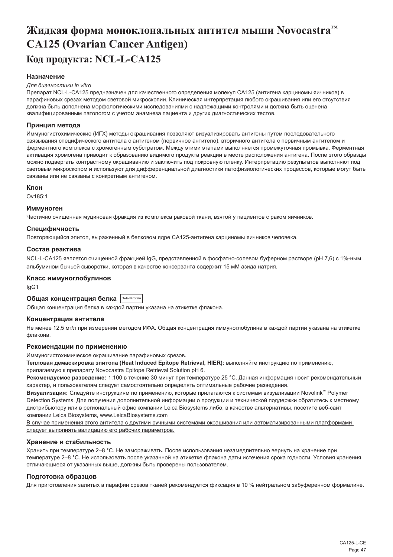# <span id="page-47-0"></span>**Жидкая форма моноклональных антител мыши Novocastra™ CA125 (Ovarian Cancer Antigen) Код продукта: NCL-L-CA125**

## **Назначение**

#### *Для диагностики in vitro*

Препарат NCL-L-CA125 предназначен для качественного определения молекул CA125 (антигена карциномы яичников) в парафиновых срезах методом световой микроскопии. Клиническая интерпретация любого окрашивания или его отсутствия должна быть дополнена морфологическими исследованиями с надлежащими контролями и должна быть оценена квалифицированным патологом с учетом анамнеза пациента и других диагностических тестов.

#### **Принцип метода**

Иммуногистохимические (ИГХ) методы окрашивания позволяют визуализировать антигены путем последовательного связывания специфического антитела с антигеном (первичное антитело), вторичного антитела с первичным антителом и ферментного комплекса с хромогенным субстратом. Между этими этапами выполняется промежуточная промывка. Ферментная активация хромогена приводит к образованию видимого продукта реакции в месте расположения антигена. После этого образцы можно подвергать контрастному окрашиванию и заключить под покровную пленку. Интерпретацию результатов выполняют под световым микроскопом и используют для дифференциальной диагностики патофизиологических процессов, которые могут быть связаны или не связаны с конкретным антигеном.

#### **Клон**

Ov185:1

#### **Иммуноген**

Частично очищенная муциновая фракция из комплекса раковой ткани, взятой у пациентов с раком яичников.

## **Специфичность**

Повторяющийся эпитоп, выраженный в белковом ядре CA125-антигена карциномы яичников человека.

#### **Состав реактива**

NCL-L-CA125 является очищенной фракцией IgG, представленной в фосфатно-солевом буферном растворе (pH 7,6) с 1%-ным альбумином бычьей сыворотки, которая в качестве консерванта содержит 15 мМ азида натрия.

#### **Класс иммуноглобулинов**

IgG1

## **Общая концентрация белка Total Protein**

Общая концентрация белка в каждой партии указана на этикетке флакона.

#### **Концентрация антитела**

Не менее 12,5 мг/л при измерении методом ИФА. Общая концентрация иммуноглобулина в каждой партии указана на этикетке флакона.

#### **Рекомендации по применению**

Иммуногистохимическое окрашивание парафиновых срезов.

**Тепловая демаскировка эпитопа (Heat Induced Epitope Retrieval, HIER):** выполняйте инструкцию по применению,

прилагаемую к препарату Novocastra Epitope Retrieval Solution pH 6.

**Рекомендуемое разведение:** 1:100 в течение 30 минут при температуре 25 °C. Данная информация носит рекомендательный характер, и пользователям следует самостоятельно определять оптимальные рабочие разведения.

**Визуализация:** Следуйте инструкциям по применению, которые прилагаются к системам визуализации Novolink™ Polymer Detection Systems. Для получения дополнительной информации о продукции и технической поддержки обратитесь к местному дистрибьютору или в региональный офис компании Leica Biosystems либо, в качестве альтернативы, посетите веб-сайт компании Leica Biosystems, www.LeicaBiosystems.com

В случае применения этого антитела с другими ручными системами окрашивания или автоматизированными платформами следует выполнять валидацию его рабочих параметров.

## **Хранение и стабильность**

Хранить при температуре 2–8 °C. Не замораживать. После использования незамедлительно вернуть на хранение при температуре 2–8 °C. Не использовать после указанной на этикетке флакона даты истечения срока годности. Условия хранения, отличающиеся от указанных выше, должны быть проверены пользователем.

#### **Подготовка образцов**

Для приготовления залитых в парафин срезов тканей рекомендуется фиксация в 10 % нейтральном забуференном формалине.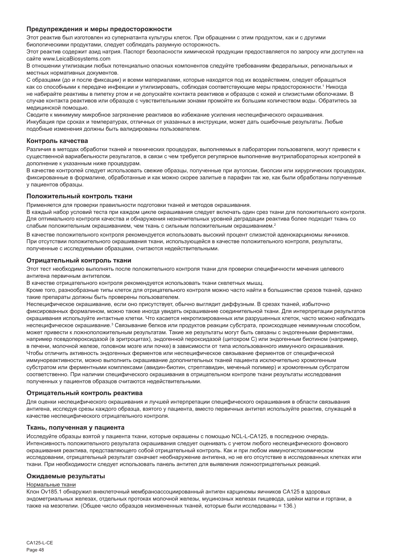#### **Предупреждения и меры предосторожности**

Этот реактив был изготовлен из супернатанта культуры клеток. При обращении с этим продуктом, как и с другими биологическими продуктами, следует соблюдать разумную осторожность.

Этот реактив содержит азид натрия. Паспорт безопасности химической продукции предоставляется по запросу или доступен на сайте www.LeicaBiosystems.com

В отношении утилизации любых потенциально опасных компонентов следуйте требованиям федеральных, региональных и местных нормативных документов.

С образцами (до и после фиксации) и всеми материалами, которые находятся под их воздействием, следует обращаться как со способными к передаче инфекции и утилизировать, соблюдая соответствующие меры предосторожности.1 Никогда не набирайте реактивы в пипетку ртом и не допускайте контакта реактивов и образцов с кожей и слизистыми оболочками. В случае контакта реактивов или образцов с чувствительными зонами промойте их большим количеством воды. Обратитесь за медицинской помощью.

Сводите к минимуму микробное загрязнение реактивов во избежание усиления неспецифического окрашивания. Инкубация при сроках и температурах, отличных от указанных в инструкции, может дать ошибочные результаты. Любые подобные изменения должны быть валидированы пользователем.

#### **Контроль качества**

Различия в методах обработки тканей и технических процедурах, выполняемых в лаборатории пользователя, могут привести к существенной вариабельности результатов, в связи с чем требуется регулярное выполнение внутрилабораторных контролей в дополнение к указанным ниже процедурам.

В качестве контролей следует использовать свежие образцы, полученные при аутопсии, биопсии или хирургических процедурах, фиксированные в формалине, обработанные и как можно скорее залитые в парафин так же, как были обработаны полученные у пациентов образцы.

#### **Положительный контроль ткани**

Применяется для проверки правильности подготовки тканей и методов окрашивания.

В каждый набор условий теста при каждом цикле окрашивания следует включать один срез ткани для положительного контроля. Для оптимального контроля качества и обнаружения незначительных уровней деградации реактива более подходит ткань со слабым положительным окрашиванием, чем ткань с сильным положительным окрашиванием.<sup>2</sup>

В качестве положительного контроля рекомендуется использовать высокий процент слизистой аденокарциномы яичников. При отсутствии положительного окрашивания ткани, использующейся в качестве положительного контроля, результаты, полученные с исследуемыми образцами, считаются недействительными.

#### **Отрицательный контроль ткани**

Этот тест необходимо выполнять после положительного контроля ткани для проверки специфичности мечения целевого антигена первичным антителом.

В качестве отрицательного контроля рекомендуется использовать ткани скелетных мышц.

Кроме того, разнообразные типы клеток для отрицательного контроля можно часто найти в большинстве срезов тканей, однако такие препараты должны быть проверены пользователем.

Неспецифическое окрашивание, если оно присутствует, обычно выглядит диффузным. В срезах тканей, избыточно фиксированных формалином, можно также иногда увидеть окрашивание соединительной ткани. Для интерпретации результатов окрашивания используйте интактные клетки. Что касается некротизированных или разрушенных клеток, часто можно наблюдать неспецифическое окрашивание.<sup>з</sup> Связывание белков или продуктов реакции субстрата, происходящее неиммунным способом, может привести к ложноположительным результатам. Такие же результаты могут быть связаны с эндогенными ферментами, например псевдопероксидазой (в эритроцитах), эндогенной пероксидазой (цитохром C) или эндогенным биотином (например, в печени, молочной железе, головном мозге или почке) в зависимости от типа использованного иммунного окрашивания. Чтобы отличить активность эндогенных ферментов или неспецифическое связывание ферментов от специфической иммунореактивности, можно выполнить окрашивание дополнительных тканей пациента исключительно хромогенным субстратом или ферментными комплексами (авидин-биотин, стрептавидин, меченый полимер) и хромогенным субстратом соответственно. При наличии специфического окрашивания в отрицательном контроле ткани результаты исследования полученных у пациентов образцов считаются недействительными.

#### **Отрицательный контроль реактива**

Для оценки неспецифического окрашивания и лучшей интерпретации специфического окрашивания в области связывания антигена, исследуя срезы каждого образца, взятого у пациента, вместо первичных антител используйте реактив, служащий в качестве неспецифического отрицательного контроля.

#### **Ткань, полученная у пациента**

Исследуйте образцы взятой у пациента ткани, которые окрашены с помощью NCL-L-CA125, в последнюю очередь. Интенсивность положительного результата окрашивания следует оценивать с учетом любого неспецифического фонового окрашивания реактива, представляющего собой отрицательный контроль. Как и при любом иммуногистохимическом исследовании, отрицательный результат означает необнаружение антигена, но не его отсутствие в исследованных клетках или ткани. При необходимости следует использовать панель антител для выявления ложноотрицательных реакций.

#### **Ожидаемые результаты**

#### Нормальные ткани

Клон Ov185.1 обнаружил внеклеточный мембраноассоциированный антиген карциномы яичников CA125 в здоровых эндометриальных железах, отдельных протоках молочной железы, муцинозных железах пищевода, шейки матки и гортани, а также на мезотелии. (Общее число образцов неизмененных тканей, которые были исследованы = 136.)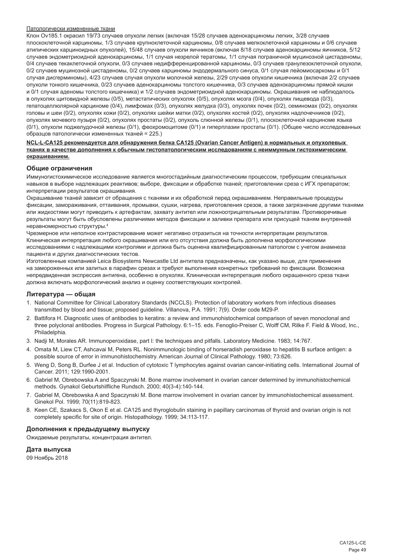#### Патологически измененные ткани

Клон Ov185.1 окрасил 19/73 случаев опухоли легких (включая 15/28 случаев аденокарциномы легких, 3/28 случаев плоскоклеточной карциномы, 1/3 случаев крупноклеточной карциномы, 0/8 случаев мелкоклеточной карциномы и 0/6 случаев атипических карциноидных опухолей), 15/48 случаев опухоли яичников (включая 8/18 случаев аденокарциномы яичников, 5/12 случаев эндометриоидной аденокарциномы, 1/1 случая незрелой тератомы, 1/1 случая пограничной муцинозной цистаденомы, 0/4 случаев текаклеточной опухоли, 0/3 случаев недифференцированной карциномы, 0/3 случаев гранулезоклеточной опухоли, 0/2 случаев муцинозной цистаденомы, 0/2 случаев карциномы эндодермального синуса, 0/1 случая лейомиосаркомы и 0/1 случая дисгерминомы), 4/23 случаев случая опухоли молочной железы, 2/29 случаев опухоли кишечника (включая 2/2 случаев опухоли тонкого кишечника, 0/23 случаев аденокарциномы толстого кишечника, 0/3 случаев аденокарциномы прямой кишки и 0/1 случая аденомы толстого кишечника) и 1/2 случаев эндометриоидной аденокарциномы. Окрашивания не наблюдалось в опухолях щитовидной железы (0/5), метастатических опухолях (0/5), опухолях мозга (0/4), опухолях пищевода (0/3), гепатоцеллюлярной карциноме (0/4), лимфомах (0/3), опухолях желудка (0/3), опухолях почек (0/2), семиномах (0/2), опухолях головы и шеи (0/2), опухолях кожи (0/2), опухолях шейки матки (0/2), опухолях костей (0/2), опухолях надпочечников (0/2), опухолях мочевого пузыря (0/2), опухолях простаты (0/2), опухоль слюнной железы (0/1), плоскоклеточной карциноме языка (0/1), опухоли поджелудочной железы (0/1), феохромоцитоме (0/1) и гиперплазии простаты (0/1). (Общее число исследованных образцов патологически измененных тканей = 225.)

#### **NCL-L-CA125 рекомендуется для обнаружения белка CA125 (Ovarian Cancer Antigen) в нормальных и опухолевых тканях в качестве дополнения к обычным гистопатологическим исследованиям с неиммунным гистохимическим окрашиванием.**

#### **Общие ограничения**

Иммуногистохимическое исследование является многостадийным диагностическим процессом, требующим специальных навыков в выборе надлежащих реактивов; выборе, фиксации и обработке тканей; приготовлении среза с ИГХ препаратом; интерпретации результатов окрашивания.

Окрашивание тканей зависит от обращения с тканями и их обработкой перед окрашиванием. Неправильные процедуры фиксации, замораживания, оттаивания, промывки, сушки, нагрева, приготовления срезов, а также загрязнение другими тканями или жидкостями могут приводить к артефактам, захвату антител или ложноотрицательным результатам. Противоречивые результаты могут быть обусловлены различиями методов фиксации и заливки препарата или присущей тканям внутренней неравномерностью структуры.4

Чрезмерное или неполное контрастирование может негативно отразиться на точности интерпретации результатов. Клиническая интерпретация любого окрашивания или его отсутствия должна быть дополнена морфологическими исследованиями с надлежащими контролями и должна быть оценена квалифицированным патологом с учетом анамнеза пациента и других диагностических тестов.

Изготовленные компанией Leica Biosystems Newcastle Ltd антитела предназначены, как указано выше, для применения на замороженных или залитых в парафин срезах и требуют выполнения конкретных требований по фиксации. Возможна непредвиденная экспрессия антигена, особенно в опухолях. Клиническая интерпретация любого окрашенного среза ткани должна включать морфологический анализ и оценку соответствующих контролей.

#### **Литература — общая**

- 1. National Committee for Clinical Laboratory Standards (NCCLS). Protection of laboratory workers from infectious diseases transmitted by blood and tissue; proposed guideline. Villanova, P.A. 1991; 7(9). Order code M29-P.
- 2. Battifora H. Diagnostic uses of antibodies to keratins: a review and immunohistochemical comparison of seven monoclonal and three polyclonal antibodies. Progress in Surgical Pathology. 6:1–15. eds. Fenoglio-Preiser C, Wolff CM, Rilke F. Field & Wood, Inc., Philadelphia.
- 3. Nadji M, Morales AR. Immunoperoxidase, part I: the techniques and pitfalls. Laboratory Medicine. 1983; 14:767.
- 4. Omata M, Liew CT, Ashcavai M, Peters RL. Nonimmunologic binding of horseradish peroxidase to hepatitis B surface antigen: a possible source of error in immunohistochemistry. American Journal of Clinical Pathology. 1980; 73:626.
- 5. Weng D, Song B, Durfee J et al. Induction of cytotoxic T lymphocytes against ovarian cancer-initiating cells. International Journal of Cancer. 2011; 129:1990-2001.
- 6. Gabriel M, Obrebowska A and Spaczynski M. Bone marrow involvement in ovarian cancer determined by immunohistochemical methods. Gynakol Geburtshilfliche Rundsch. 2000; 40(3-4):140-144.
- 7. Gabriel M, Obrebowska A and Spaczynski M. Bone marrow involvement in ovarian cancer by immunohistochemical assessment. Ginekol Pol. 1999; 70(11):819-823.
- 8. Keen CE, Szakacs S, Okon E et al. CA125 and thyroglobulin staining in papillary carcinomas of thyroid and ovarian origin is not completely specific for site of origin. Histopathology. 1999; 34:113-117.

## **Дополнения к предыдущему выпуску**

Ожидаемые результаты, концентрация антител.

#### **Дата выпуска**

09 Ноябрь 2018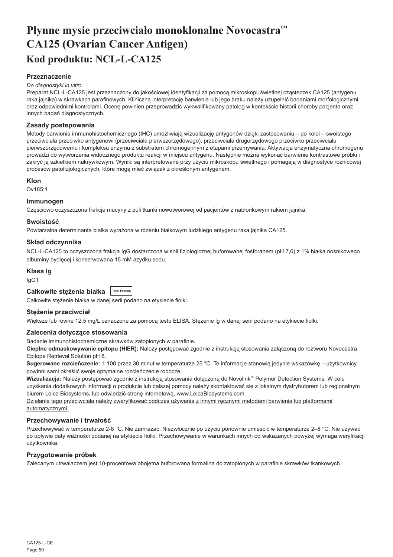# <span id="page-50-0"></span>**Płynne mysie przeciwciało monoklonalne Novocastra™ CA125 (Ovarian Cancer Antigen) Kod produktu: NCL-L-CA125**

## **Przeznaczenie**

#### *Do diagnostyki in vitro.*

Preparat NCL-L-CA125 jest przeznaczony do jakościowej identyfikacji za pomocą mikroskopii świetlnej cząsteczek CA125 (antygenu raka jajnika) w skrawkach parafinowych. Kliniczną interpretację barwienia lub jego braku należy uzupełnić badaniami morfologicznymi oraz odpowiednimi kontrolami. Ocenę powinien przeprowadzić wykwalifikowany patolog w kontekście historii choroby pacjenta oraz innych badań diagnostycznych.

### **Zasady postepowania**

Metody barwienia immunohistochemicznego (IHC) umożliwiają wizualizację antygenów dzięki zastosowaniu – po kolei – swoistego przeciwciała przeciwko antygenowi (przeciwciała pierwszorzędowego), przeciwciała drugorzędowego przeciwko przeciwciału pierwszorzędowemu i kompleksu enzymu z substratem chromogennym z etapami przemywania. Aktywacja enzymatyczna chromogenu prowadzi do wytworzenia widocznego produktu reakcji w miejscu antygenu. Następnie można wykonać barwienie kontrastowe próbki i zakryć ją szkiełkiem nakrywkowym. Wyniki są interpretowane przy użyciu mikroskopu świetlnego i pomagają w diagnostyce różnicowej procesów patofizjologicznych, które mogą mieć związek z określonym antygenem.

### **Klon**

Ov185:1

## **Immunogen**

Częściowo oczyszczona frakcja mucyny z puli tkanki nowotworowej od pacjentów z nabłonkowym rakiem jajnika.

#### **Swoistość**

Powtarzalna determinanta białka wyrażona w rdzeniu białkowym ludzkiego antygenu raka jajnika CA125.

## **Skład odczynnika**

NCL-L-CA125 to oczyszczona frakcja IgG dostarczona w soli fizjologicznej buforowanej fosforanem (pH 7,6) z 1% białka nośnikowego albuminy bydlęcej i konserwowana 15 mM azydku sodu.

#### **Klasa Ig**

IgG1

| Całkowite stężenia białka   Total Protein |  |
|-------------------------------------------|--|
|-------------------------------------------|--|

Całkowite stężenie białka w danej serii podano na etykiecie fiolki.

#### **Stężenie przeciwciał**

Większe lub równe 12,5 mg/L oznaczone za pomocą testu ELISA. Stężenie lg w danej serii podano na etykiecie fiolki.

#### **Zalecenia dotyczące stosowania**

Badanie immunohistochemiczne skrawków zatopionych w parafinie.

**Cieplne odmaskowywanie epitopu (HIER):** Należy postępować zgodnie z instrukcją stosowania załączoną do roztworu Novocastra Epitope Retrieval Solution pH 6.

**Sugerowane rozcieńczenie:** 1:100 przez 30 minut w temperaturze 25 °C. Te informacje stanowią jedynie wskazówkę – użytkownicy powinni sami określić swoje optymalne rozcieńczenie robocze.

**Wizualizacja:** Należy postępować zgodnie z instrukcją stosowania dołączoną do Novolink™ Polymer Detection Systems. W celu uzyskania dodatkowych informacji o produkcie lub dalszej pomocy należy skontaktować się z lokalnym dystrybutorem lub regionalnym biurem Leica Biosystems, lub odwiedzić stronę internetową, www.LeicaBiosystems.com

Działanie tego przeciwciała należy zweryfikować podczas używania z innymi recznymi metodami barwienia lub platformami automatycznymi.

#### **Przechowywanie i trwałość**

Przechowywać w temperaturze 2-8 °C. Nie zamrażać. Niezwłocznie po użyciu ponownie umieścić w temperaturze 2–8 °C. Nie używać po upływie daty ważności podanej na etykiecie fiolki. Przechowywanie w warunkach innych od wskazanych powyżej wymaga weryfikacji użytkownika.

### **Przygotowanie próbek**

Zalecanym utrwalaczem jest 10-procentowa obojętna buforowana formalina do zatopionych w parafinie skrawków tkankowych.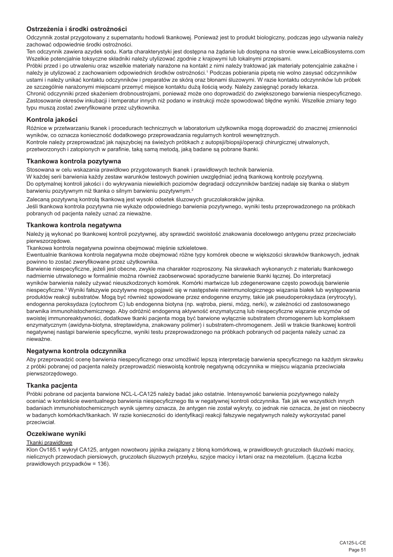## **Ostrzeżenia i środki ostrożności**

Odczynnik został przygotowany z supernatantu hodowli tkankowej. Ponieważ jest to produkt biologiczny, podczas jego używania należy zachować odpowiednie środki ostrożności.

Ten odczynnik zawiera azydek sodu. Karta charakterystyki jest dostępna na żądanie lub dostępna na stronie www.LeicaBiosystems.com Wszelkie potencjalnie toksyczne składniki należy utylizować zgodnie z krajowymi lub lokalnymi przepisami.

Próbki przed i po utrwaleniu oraz wszelkie materiały narażone na kontakt z nimi należy traktować jak materiały potencjalnie zakaźne i należy je utylizować z zachowaniem odpowiednich środków ostrożności.<sup>1</sup> Podczas pobierania pipetą nie wolno zasysać odczynników ustami i należy unikać kontaktu odczynników i preparatów ze skórą oraz błonami śluzowymi. W razie kontaktu odczynników lub próbek ze szczególnie narażonymi miejscami przemyć miejsce kontaktu dużą ilością wody. Należy zasięgnąć porady lekarza.

Chronić odczynniki przed skażeniem drobnoustrojami, ponieważ może ono doprowadzić do zwiększonego barwienia niespecyficznego. Zastosowanie okresów inkubacji i temperatur innych niż podano w instrukcji może spowodować błędne wyniki. Wszelkie zmiany tego typu muszą zostać zweryfikowane przez użytkownika.

### **Kontrola jakości**

Różnice w przetwarzaniu tkanek i procedurach technicznych w laboratorium użytkownika mogą doprowadzić do znacznej zmienności wyników, co oznacza konieczność dodatkowego przeprowadzania regularnych kontroli wewnętrznych.

Kontrole należy przeprowadzać jak najszybciej na świeżych próbkach z autopsji/biopsji/operacji chirurgicznej utrwalonych, przetworzonych i zatopionych w parafinie, taką samą metodą, jaką badane są pobrane tkanki.

#### **Tkankowa kontrola pozytywna**

Stosowana w celu wskazania prawidłowo przygotowanych tkanek i prawidłowych technik barwienia. W każdej serii barwienia każdy zestaw warunków testowych powinien uwzględniać jedną tkankową kontrolę pozytywną. Do optymalnej kontroli jakości i do wykrywania niewielkich poziomów degradacji odczynników bardziej nadaje się tkanka o słabym barwieniu pozytywnym niż tkanka o silnym barwieniu pozytywnym.<sup>2</sup>

Zalecaną pozytywną kontrolą tkankową jest wysoki odsetek śluzowych gruczolakoraków jajnika. Jeśli tkankowa kontrola pozytywna nie wykaże odpowiedniego barwienia pozytywnego, wyniki testu przeprowadzonego na próbkach pobranych od pacjenta należy uznać za nieważne.

## **Tkankowa kontrola negatywna**

Należy ją wykonać po tkankowej kontroli pozytywnej, aby sprawdzić swoistość znakowania docelowego antygenu przez przeciwciało pierwszorzędowe.

Tkankowa kontrola negatywna powinna obejmować mięśnie szkieletowe.

Ewentualnie tkankowa kontrola negatywna może obejmować różne typy komórek obecne w większości skrawków tkankowych, jednak powinno to zostać zweryfikowane przez użytkownika.

Barwienie niespecyficzne, jeżeli jest obecne, zwykle ma charakter rozproszony. Na skrawkach wykonanych z materiału tkankowego nadmiernie utrwalonego w formalinie można również zaobserwować sporadyczne barwienie tkanki łącznej. Do interpretacji wyników barwienia należy używać nieuszkodzonych komórek. Komórki martwicze lub zdegenerowane często powodują barwienie niespecyficzne.<sup>3</sup> Wyniki fałszywie pozytywne mogą pojawić się w następstwie nieimmunologicznego wiązania białek lub występowania produktów reakcji substratów. Mogą być również spowodowane przez endogenne enzymy, takie jak pseudoperoksydaza (erytrocyty), endogenna peroksydaza (cytochrom C) lub endogenna biotyna (np. wątroba, piersi, mózg, nerki), w zależności od zastosowanego barwnika immunohistochemicznego. Aby odróżnić endogenną aktywność enzymatyczną lub niespecyficzne wiązanie enzymów od swoistej immunoreaktywności, dodatkowe tkanki pacjenta mogą być barwione wyłącznie substratem chromogenem lub kompleksem enzymatycznym (awidyna-biotyna, streptawidyna, znakowany polimer) i substratem-chromogenem. Jeśli w trakcie tkankowej kontroli negatywnej nastąpi barwienie specyficzne, wyniki testu przeprowadzonego na próbkach pobranych od pacjenta należy uznać za nieważne.

## **Negatywna kontrola odczynnika**

Aby przeprowadzić ocenę barwienia niespecyficznego oraz umożliwić lepszą interpretację barwienia specyficznego na każdym skrawku z próbki pobranej od pacjenta należy przeprowadzić nieswoistą kontrolę negatywną odczynnika w miejscu wiązania przeciwciała pierwszorzędowego.

### **Tkanka pacjenta**

Próbki pobrane od pacjenta barwione NCL-L-CA125 należy badać jako ostatnie. Intensywność barwienia pozytywnego należy oceniać w kontekście ewentualnego barwienia niespecyficznego tła w negatywnej kontroli odczynnika. Tak jak we wszystkich innych badaniach immunohistochemicznych wynik ujemny oznacza, że antygen nie został wykryty, co jednak nie oznacza, że jest on nieobecny w badanych komórkach/tkankach. W razie konieczności do identyfikacji reakcji fałszywie negatywnych należy wykorzystać panel przeciwciał.

### **Oczekiwane wyniki**

### Tkanki prawidłowe

Klon Ov185.1 wykrył CA125, antygen nowotworu jajnika związany z błoną komórkową, w prawidłowych gruczołach śluzówki macicy, nielicznych przewodach piersiowych, gruczołach śluzowych przełyku, szyjce macicy i krtani oraz na mezotelium. (Łączna liczba prawidłowych przypadków = 136).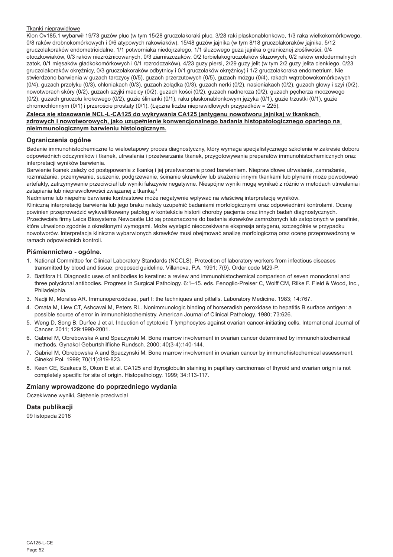#### Tkanki nieprawidłowe

Klon Ov185.1 wybarwił 19/73 guzów płuc (w tym 15/28 gruczolakoraki płuc, 3/28 raki płaskonabłonkowe, 1/3 raka wielkokomórkowego, 0/8 raków drobnokomórkowych i 0/6 atypowych rakowiaków), 15/48 guzów jajnika (w tym 8/18 gruczolakoraków jajnika, 5/12 gruczolakoraków endometrioidalne, 1/1 potworniaka niedojrzałego, 1/1 śluzowego guza jajnika o granicznej złośliwości, 0/4 otoczkowiaków, 0/3 raków niezróżnicowanych, 0/3 ziarniszczaków, 0/2 torbielakogruczolaków śluzowych, 0/2 raków endodermalnych zatok, 0/1 mięsaków gładkokomórkowych i 0/1 rozrodczaków), 4/23 guzy piersi, 2/29 guzy jelit (w tym 2/2 guzy jelita cienkiego, 0/23 gruczolakoraków okrężnicy, 0/3 gruczolakoraków odbytnicy i 0/1 gruczolaków okrężnicy) i 1/2 gruczolakoraka endometrium. Nie stwierdzono barwienia w guzach tarczycy (0/5), guzach przerzutowych (0/5), guzach mózgu (0/4), rakach wątrobowokomórkowych (0/4), guzach przełyku (0/3), chłoniakach (0/3), guzach żołądka (0/3), guzach nerki (0/2), nasieniakach (0/2), guzach głowy i szyi (0/2), nowotworach skóry (0/2), guzach szyjki macicy (0/2), guzach kości (0/2), guzach nadnercza (0/2), guzach pęcherza moczowego (0/2), guzach gruczołu krokowego (0/2), guzie ślinianki (0/1), raku płaskonabłonkowym języka (0/1), guzie trzustki (0/1), guzie chromochłonnym (0/1) i przeroście prostaty (0/1). (Łączna liczba nieprawidłowych przypadków = 225).

### **Zaleca się stosowanie NCL-L-CA125 do wykrywania CA125 (antygenu nowotworu jajnika) w tkankach zdrowych i nowotworowych, jako uzupełnienie konwencjonalnego badania histopatologicznego opartego na nieimmunologicznym barwieniu histologicznym.**

### **Ograniczenia ogólne**

Badanie immunohistochemiczne to wieloetapowy proces diagnostyczny, który wymaga specjalistycznego szkolenia w zakresie doboru odpowiednich odczynników i tkanek, utrwalania i przetwarzania tkanek, przygotowywania preparatów immunohistochemicznych oraz interpretacji wyników barwienia.

Barwienie tkanek zależy od postępowania z tkanką i jej przetwarzania przed barwieniem. Nieprawidłowe utrwalanie, zamrażanie, rozmrażanie, przemywanie, suszenie, podgrzewanie, ścinanie skrawków lub skażenie innymi tkankami lub płynami może powodować artefakty, zatrzymywanie przeciwciał lub wyniki fałszywie negatywne. Niespójne wyniki mogą wynikać z różnic w metodach utrwalania i zatapiania lub nieprawidłowości związanej z tkanką.4

Nadmierne lub niepełne barwienie kontrastowe może negatywnie wpływać na właściwą interpretację wyników.

Kliniczną interpretację barwienia lub jego braku należy uzupełnić badaniami morfologicznymi oraz odpowiednimi kontrolami. Ocenę powinien przeprowadzić wykwalifikowany patolog w kontekście historii choroby pacjenta oraz innych badań diagnostycznych. Przeciwciała firmy Leica Biosystems Newcastle Ltd są przeznaczone do badania skrawków zamrożonych lub zatopionych w parafinie, które utrwalono zgodnie z określonymi wymogami. Może wystąpić nieoczekiwana ekspresja antygenu, szczególnie w przypadku nowotworów. Interpretacja kliniczna wybarwionych skrawków musi obejmować analizę morfologiczną oraz ocenę przeprowadzoną w ramach odpowiednich kontroli.

### **Piśmiennictwo - ogólne.**

- 1. National Committee for Clinical Laboratory Standards (NCCLS). Protection of laboratory workers from infectious diseases transmitted by blood and tissue; proposed guideline. Villanova, P.A. 1991; 7(9). Order code M29-P.
- 2. Battifora H. Diagnostic uses of antibodies to keratins: a review and immunohistochemical comparison of seven monoclonal and three polyclonal antibodies. Progress in Surgical Pathology. 6:1–15. eds. Fenoglio-Preiser C, Wolff CM, Rilke F. Field & Wood, Inc., Philadelphia.
- 3. Nadji M, Morales AR. Immunoperoxidase, part I: the techniques and pitfalls. Laboratory Medicine. 1983; 14:767.
- 4. Omata M, Liew CT, Ashcavai M, Peters RL. Nonimmunologic binding of horseradish peroxidase to hepatitis B surface antigen: a possible source of error in immunohistochemistry. American Journal of Clinical Pathology. 1980; 73:626.
- 5. Weng D, Song B, Durfee J et al. Induction of cytotoxic T lymphocytes against ovarian cancer-initiating cells. International Journal of Cancer. 2011; 129:1990-2001.
- 6. Gabriel M, Obrebowska A and Spaczynski M. Bone marrow involvement in ovarian cancer determined by immunohistochemical methods. Gynakol Geburtshilfliche Rundsch. 2000; 40(3-4):140-144.
- 7. Gabriel M, Obrebowska A and Spaczynski M. Bone marrow involvement in ovarian cancer by immunohistochemical assessment. Ginekol Pol. 1999; 70(11):819-823.
- 8. Keen CE, Szakacs S, Okon E et al. CA125 and thyroglobulin staining in papillary carcinomas of thyroid and ovarian origin is not completely specific for site of origin. Histopathology. 1999; 34:113-117.

## **Zmiany wprowadzone do poprzedniego wydania**

Oczekiwane wyniki, Stężenie przeciwciał

## **Data publikacji**

09 listopada 2018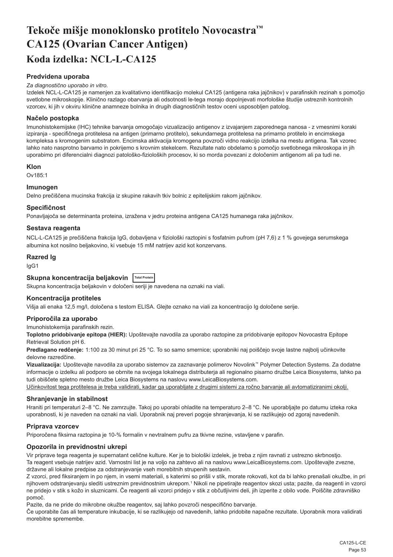# <span id="page-53-0"></span>**Tekoče mišje monoklonsko protitelo Novocastra™ CA125 (Ovarian Cancer Antigen) Koda izdelka: NCL-L-CA125**

## **Predvidena uporaba**

#### *Za diagnostično uporabo in vitro.*

Izdelek NCL-L-CA125 je namenjen za kvalitativno identifikacijo molekul CA125 (antigena raka jajčnikov) v parafinskih rezinah s pomočjo svetlobne mikroskopije. Klinično razlago obarvanja ali odsotnosti le-tega morajo dopolnjevati morfološke študije ustreznih kontrolnih vzorcev, ki jih v okviru klinične anamneze bolnika in drugih diagnostičnih testov oceni usposobljen patolog.

### **Načelo postopka**

Imunohistokemijske (IHC) tehnike barvanja omogočajo vizualizacijo antigenov z izvajanjem zaporednega nanosa - z vmesnimi koraki izpiranja - specifičnega protitelesa na antigen (primarno protitelo), sekundarnega protitelesa na primarno protitelo in encimskega kompleksa s kromogenim substratom. Encimska aktivacija kromogena povzroči vidno reakcijo izdelka na mestu antigena. Tak vzorec lahko nato nasprotno barvamo in pokrijemo s krovnim stekelcem. Rezultate nato obdelamo s pomočjo svetlobnega mikroskopa in jih uporabimo pri diferencialni diagnozi patološko-fizioloških procesov, ki so morda povezani z določenim antigenom ali pa tudi ne.

#### **Klon**

Ov185:1

### **Imunogen**

Delno prečiščena mucinska frakcija iz skupine rakavih tkiv bolnic z epitelijskim rakom jajčnikov.

#### **Specifičnost**

Ponavljajoča se determinanta proteina, izražena v jedru proteina antigena CA125 humanega raka jajčnikov.

## **Sestava reagenta**

NCL-L-CA125 je prečiščena frakcija IgG, dobavljena v fiziološki raztopini s fosfatnim pufrom (pH 7,6) z 1 % govejega serumskega albumina kot nosilno beljakovino, ki vsebuje 15 mM natrijev azid kot konzervans.

#### **Razred Ig**

IgG1

## **Skupna koncentracija beljakovin Total Protein**

Skupna koncentracija beljakovin v določeni seriji je navedena na oznaki na viali.

## **Koncentracija protiteles**

Višja ali enaka 12,5 mg/l, določena s testom ELISA. Glejte oznako na viali za koncentracijo Ig določene serije.

## **Priporočila za uporabo**

Imunohistokemija parafinskih rezin.

**Toplotno pridobivanje epitopa (HIER):** Upoštevajte navodila za uporabo raztopine za pridobivanje epitopov Novocastra Epitope Retrieval Solution pH 6.

**Predlagano redčenje:** 1:100 za 30 minut pri 25 °C. To so samo smernice; uporabniki naj poiščejo svoje lastne najbolj učinkovite delovne razredčine.

**Vizualizacija:** Upoštevajte navodila za uporabo sistemov za zaznavanje polimerov Novolink™ Polymer Detection Systems. Za dodatne informacije o izdelku ali podporo se obrnite na svojega lokalnega distributerja ali regionalno pisarno družbe Leica Biosystems, lahko pa tudi obiščete spletno mesto družbe Leica Biosystems na naslovu www.LeicaBiosystems.com.

Učinkovitost tega protitelesa je treba validirati, kadar ga uporabljate z drugimi sistemi za ročno barvanje ali avtomatiziranimi okolji.

#### **Shranjevanje in stabilnost**

Hraniti pri temperaturi 2–8 °C. Ne zamrzujte. Takoj po uporabi ohladite na temperaturo 2–8 °C. Ne uporabljajte po datumu izteka roka uporabnosti, ki je naveden na oznaki na viali. Uporabnik naj preveri pogoje shranjevanja, ki se razlikujejo od zgoraj navedenih.

### **Priprava vzorcev**

Priporočena fiksirna raztopina je 10-% formalin v nevtralnem pufru za tkivne rezine, vstavljene v parafin.

### **Opozorila in previdnostni ukrepi**

Vir priprave tega reagenta je supernatant celične kulture. Ker je to biološki izdelek, je treba z njim ravnati z ustrezno skrbnostjo. Ta reagent vsebuje natrijev azid. Varnostni list je na voljo na zahtevo ali na naslovu www.LeicaBiosystems.com. Upoštevajte zvezne, državne ali lokalne predpise za odstranjevanje vseh morebitnih strupenih sestavin.

Z vzorci, pred fiksiranjem in po njem, in vsemi materiali, s katerimi so prišli v stik, morate rokovati, kot da bi lahko prenašali okužbe, in pri njihovem odstranjevanju slediti ustreznim previdnostnim ukrepom.<sup>1</sup> Nikoli ne pipetirajte reagentov skozi usta; pazite, da reagenti in vzorci ne pridejo v stik s kožo in sluznicami. Če reagenti ali vzorci pridejo v stik z občutljivimi deli, jih izperite z obilo vode. Poiščite zdravniško pomoč.

Pazite, da ne pride do mikrobne okužbe reagentov, saj lahko povzroči nespecifično barvanje.

Če uporabite čas ali temperature inkubacije, ki se razlikujejo od navedenih, lahko pridobite napačne rezultate. Uporabnik mora validirati morebitne spremembe.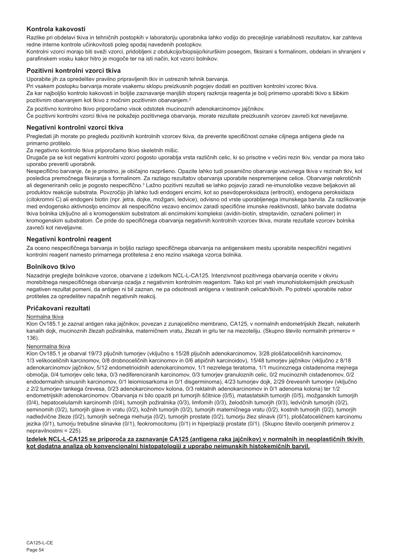## **Kontrola kakovosti**

Razlike pri obdelavi tkiva in tehničnih postopkih v laboratoriju uporabnika lahko vodijo do precejšnje variabilnosti rezultatov, kar zahteva redne interne kontrole učinkovitosti poleg spodaj navedenih postopkov.

Kontrolni vzorci morajo biti sveži vzorci, pridobljeni z obdukcijo/biopsijo/kirurškim posegom, fiksirani s formalinom, obdelani in shranjeni v parafinskem vosku kakor hitro je mogoče ter na isti način, kot vzorci bolnikov.

#### **Pozitivni kontrolni vzorci tkiva**

Uporabite jih za opredelitev pravilno pripravljenih tkiv in ustreznih tehnik barvanja.

Pri vsakem postopku barvanja morate vsakemu sklopu preizkusnih pogojev dodati en pozitiven kontrolni vzorec tkiva.

Za kar najboljšo kontrolo kakovosti in boljše zaznavanje manjših stopenj razkroja reagenta je bolj primerno uporabiti tkivo s šibkim pozitivnim obarvanjem kot tkivo z močnim pozitivnim obarvanjem.<sup>2</sup>

Za pozitivno kontrolno tkivo priporočamo visok odstotek mucinoznih adenokarcinomov jajčnikov.

Če pozitivni kontrolni vzorci tkiva ne pokažejo pozitivnega obarvanja, morate rezultate preizkusnih vzorcev zavreči kot neveljavne.

#### **Negativni kontrolni vzorci tkiva**

Pregledati jih morate po pregledu pozitivnih kontrolnih vzorcev tkiva, da preverite specifičnost oznake ciljnega antigena glede na primarno protitelo.

Za negativno kontrolo tkiva priporočamo tkivo skeletnih mišic.

Drugače pa se kot negativni kontrolni vzorci pogosto uporablja vrsta različnih celic, ki so prisotne v večini rezin tkiv, vendar pa mora tako uporabo preveriti uporabnik.

Nespecifično barvanje, če je prisotno, je običajno razpršeno. Opazite lahko tudi posamično obarvanje vezivnega tkiva v rezinah tkiv, kot posledica premočnega fiksiranja s formalinom. Za razlago rezultatov obarvanja uporabite nespremenjene celice. Obarvanje nekrotičnih ali degeneriranih celic je pogosto nespecifično.<sup>3</sup> Lažno pozitivni rezultati se lahko pojavijo zaradi ne-imunološke vezave beljakovin ali produktov reakcije substrata. Povzročijo jih lahko tudi endogeni encimi, kot so psevdoperoksidaza (eritrociti), endogena peroksidaza (citokromni C) ali endogeni biotin (npr. jetra, dojke, možgani, ledvice), odvisno od vrste uporabljenega imunskega barvila. Za razlikovanje med endogensko aktivnostjo encimov ali nespecifično vezavo encimov zaradi specifične imunske reaktivnosti, lahko barvate dodatna tkiva bolnika izključno ali s kromogenskim substratom ali encimskimi kompleksi (avidin-biotin, streptavidin, označeni polimer) in kromogenskim substratom. Če pride do specifičnega obarvanja negativnih kontrolnih vzorcev tkiva, morate rezultate vzorcev bolnika zavreči kot neveljavne.

### **Negativni kontrolni reagent**

Za oceno nespecifičnega barvanja in boljšo razlago specifičnega obarvanja na antigenskem mestu uporabite nespecifični negativni kontrolni reagent namesto primarnega protitelesa z eno rezino vsakega vzorca bolnika.

#### **Bolnikovo tkivo**

Nazadnje preglejte bolnikove vzorce, obarvane z izdelkom NCL-L-CA125. Intenzivnost pozitivnega obarvanja ocenite v okviru morebitnega nespecifičnega obarvanja ozadja z negativnim kontrolnim reagentom. Tako kot pri vseh imunohistokemijskih preizkusih negativen rezultat pomeni, da antigen ni bil zaznan, ne pa odsotnosti antigena v testiranih celicah/tkivih. Po potrebi uporabite nabor protiteles za opredelitev napačnih negativnih reakcij.

### **Pričakovani rezultati**

#### Normalna tkiva

Klon Ov185.1 je zaznal antigen raka jajčnikov, povezan z zunajcelično membrano, CA125, v normalnih endometrijskih žlezah, nekaterih kanalih dojk, mucinoznih žlezah požiralnika, materničnem vratu, žlezah in grlu ter na mezoteliju. (Skupno število normalnih primerov = 136).

#### Nenormalna tkiva

Klon Ov185.1 je obarval 19/73 pljučnih tumorjev (vključno s 15/28 pljučnih adenokarcinomov, 3/28 ploščatoceličnih karcinomov, 1/3 velikoceličnih karcinomov, 0/8 drobnoceličnih karcinomov in 0/6 atipičnih karcinoidov), 15/48 tumorjev jajčnikov (vključno z 8/18 adenokarcinomov jajčnikov, 5/12 endometrioidnih adenokarcinomov, 1/1 nezrelega teratoma, 1/1 mucinoznega cistadenoma mejnega območja, 0/4 tumorjev celic teka, 0/3 nediferenciranih karcinomov, 0/3 tumorjev granuloznih celic, 0/2 mucinoznih cistadenomov, 0/2 endodermalnih sinusnih karcinomov, 0/1 leiomiosarkoma in 0/1 disgerminoma), 4/23 tumorjev dojk, 2/29 črevesnih tumorjev (vključno z 2/2 tumorjev tankega črevesa, 0/23 adenokarcinomov kolona, 0/3 rektalnih adenokarcinomov in 0/1 adenoma kolona) ter 1/2 endometrijskih adenokarcinomov. Obarvanja ni bilo opaziti pri tumorjih ščitnice (0/5), matastatskih tumorjih (0/5), možganskih tumorjih (0/4), hepatocelularnih karcinomih (0/4), tumorjih požiralnika (0/3), limfomih (0/3), želodčnih tumorjih (0/3), ledvičnih tumorjih (0/2), seminomih (0/2), tumorjih glave in vratu (0/2), kožnih tumorjih (0/2), tumorjih materničnega vratu (0/2), kostnih tumorjih (0/2), tumorjih nadledvične žleze (0/2), tumorjih sečnega mehurja (0/2), tumorjih prostate (0/2), tumorju žlez slinavk (0/1), ploščatoceličnem karcinomu jezika (0/1), tumorju trebušne slinavke (0/1), feokromocitomu (0/1) in hiperplaziji prostate (0/1). (Skupno število ocenjenih primerov z nepravilnostmi = 225).

#### **Izdelek NCL-L-CA125 se priporoča za zaznavanje CA125 (antigena raka jajčnikov) v normalnih in neoplastičnih tkivih kot dodatna analiza ob konvencionalni histopatologiji z uporabo neimunskih histokemičnih barvil.**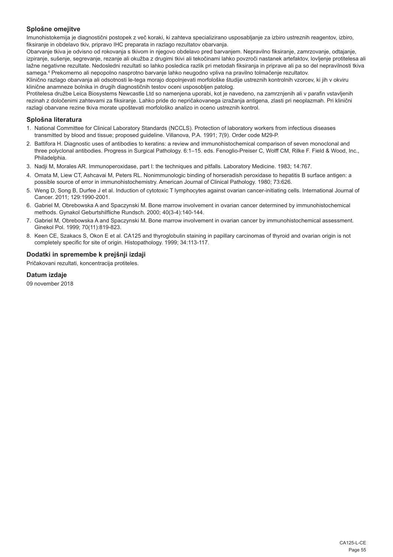## **Splošne omejitve**

Imunohistokemija je diagnostični postopek z več koraki, ki zahteva specializirano usposabljanje za izbiro ustreznih reagentov, izbiro, fiksiranje in obdelavo tkiv, pripravo IHC preparata in razlago rezultatov obarvanja.

Obarvanje tkiva je odvisno od rokovanja s tkivom in njegovo obdelavo pred barvanjem. Nepravilno fiksiranje, zamrzovanje, odtajanje, izpiranje, sušenje, segrevanje, rezanje ali okužba z drugimi tkivi ali tekočinami lahko povzroči nastanek artefaktov, lovljenje protitelesa ali lažne negativne rezultate. Nedosledni rezultati so lahko posledica razlik pri metodah fiksiranja in priprave ali pa so del nepravilnosti tkiva samega.4 Prekomerno ali nepopolno nasprotno barvanje lahko neugodno vpliva na pravilno tolmačenje rezultatov.

Klinično razlago obarvanja ali odsotnosti le-tega morajo dopolnjevati morfološke študije ustreznih kontrolnih vzorcev, ki jih v okviru klinične anamneze bolnika in drugih diagnostičnih testov oceni usposobljen patolog.

Protitelesa družbe Leica Biosystems Newcastle Ltd so namenjena uporabi, kot je navedeno, na zamrznjenih ali v parafin vstavljenih rezinah z določenimi zahtevami za fiksiranje. Lahko pride do nepričakovanega izražanja antigena, zlasti pri neoplazmah. Pri klinični razlagi obarvane rezine tkiva morate upoštevati morfološko analizo in oceno ustreznih kontrol.

## **Splošna literatura**

- 1. National Committee for Clinical Laboratory Standards (NCCLS). Protection of laboratory workers from infectious diseases transmitted by blood and tissue; proposed guideline. Villanova, P.A. 1991; 7(9). Order code M29-P.
- 2. Battifora H. Diagnostic uses of antibodies to keratins: a review and immunohistochemical comparison of seven monoclonal and three polyclonal antibodies. Progress in Surgical Pathology. 6:1–15. eds. Fenoglio-Preiser C, Wolff CM, Rilke F. Field & Wood, Inc., Philadelphia.
- 3. Nadji M, Morales AR. Immunoperoxidase, part I: the techniques and pitfalls. Laboratory Medicine. 1983; 14:767.
- 4. Omata M, Liew CT, Ashcavai M, Peters RL. Nonimmunologic binding of horseradish peroxidase to hepatitis B surface antigen: a possible source of error in immunohistochemistry. American Journal of Clinical Pathology. 1980; 73:626.
- 5. Weng D, Song B, Durfee J et al. Induction of cytotoxic T lymphocytes against ovarian cancer-initiating cells. International Journal of Cancer. 2011; 129:1990-2001.
- 6. Gabriel M, Obrebowska A and Spaczynski M. Bone marrow involvement in ovarian cancer determined by immunohistochemical methods. Gynakol Geburtshilfliche Rundsch. 2000; 40(3-4):140-144.
- 7. Gabriel M, Obrebowska A and Spaczynski M. Bone marrow involvement in ovarian cancer by immunohistochemical assessment. Ginekol Pol. 1999; 70(11):819-823.
- 8. Keen CE, Szakacs S, Okon E et al. CA125 and thyroglobulin staining in papillary carcinomas of thyroid and ovarian origin is not completely specific for site of origin. Histopathology. 1999; 34:113-117.

### **Dodatki in spremembe k prejšnji izdaji**

Pričakovani rezultati, koncentracija protiteles.

## **Datum izdaje**

09 november 2018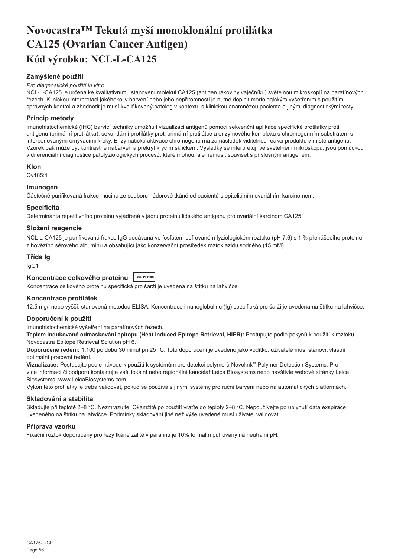# <span id="page-56-0"></span>**Novocastra™ Tekutá myší monoklonální protilátka CA125 (Ovarian Cancer Antigen) Kód výrobku: NCL-L-CA125**

## **Zamýšlené použití**

#### *Pro diagnostické použití in vitro.*

NCL-L-CA125 je určena ke kvalitativnímu stanovení molekul CA125 (antigen rakoviny vaječníku) světelnou mikroskopií na parafínových řezech. Klinickou interpretaci jakéhokoliv barvení nebo jeho nepřítomnosti je nutné doplnit morfologickým vyšetřením s použitím správných kontrol a zhodnotit je musí kvalifikovaný patolog v kontextu s klinickou anamnézou pacienta a jinými diagnostickými testy.

## **Princip metody**

Imunohistochemické (IHC) barvicí techniky umožňují vizualizaci antigenů pomocí sekvenční aplikace specifické protilátky proti antigenu (primární protilátka), sekundární protilátky proti primární protilátce a enzymového komplexu s chromogenním substrátem s interponovanými omývacími kroky. Enzymatická aktivace chromogenu má za následek viditelnou reakci produktu v místě antigenu. Vzorek pak může být kontrastně nabarven a překryt krycím sklíčkem. Výsledky se interpretují ve světelném mikroskopu; jsou pomůckou v diferenciální diagnostice patofyziologických procesů, které mohou, ale nemusí, souviset s příslušným antigenem.

### **Klon**

Ov185:1

## **Imunogen**

Částečně purifikovaná frakce mucinu ze souboru nádorové tkáně od pacientů s epiteliálním ovariálním karcinomem.

### **Specificita**

Determinanta repetitivního proteinu vyjádřená v jádru proteinu lidského antigenu pro ovariální karcinom CA125.

## **Složení reagencie**

NCL-L-CA125 je purifikovaná frakce IgG dodávaná ve fosfátem pufrovaném fyziologickém roztoku (pH 7,6) s 1 % přenášecího proteinu z hovězího sérového albuminu a obsahující jako konzervační prostředek roztok azidu sodného (15 mM).

#### **Třída Ig**

IgG1

## **Koncentrace celkového proteinu Total Protein**

Koncentrace celkového proteinu specifická pro šarži je uvedena na štítku na lahvičce.

### **Koncentrace protilátek**

12,5 mg/l nebo vyšší, stanovená metodou ELISA. Koncentrace imunoglobulinu (Ig) specifická pro šarži je uvedena na štítku na lahvičce.

## **Doporučení k použití**

Imunohistochemické vyšetření na parafínových řezech.

**Teplem indukované odmaskování epitopu (Heat Induced Epitope Retrieval, HIER):** Postupujte podle pokynů k použití k roztoku Novocastra Epitope Retrieval Solution pH 6.

**Doporučené ředění:** 1:100 po dobu 30 minut při 25 °C. Toto doporučení je uvedeno jako vodítko; uživatelé musí stanovit vlastní optimální pracovní ředění.

**Vizualizace:** Postupujte podle návodu k použití k systémům pro detekci polymerů Novolink™ Polymer Detection Systems. Pro více informací či podporu kontaktujte vaši lokální nebo regionální kancelář Leica Biosystems nebo navštivte webové stránky Leica Biosystems, www.LeicaBiosystems.com

Výkon této protilátky je třeba validovat, pokud se používá s jinými systémy pro ruční barvení nebo na automatických platformách.

### **Skladování a stabilita**

Skladujte při teplotě 2–8 °C. Nezmrazujte. Okamžitě po použití vraťte do teploty 2–8 °C. Nepoužívejte po uplynutí data exspirace uvedeného na štítku na lahvičce. Podmínky skladování jiné než výše uvedené musí uživatel validovat.

### **Příprava vzorku**

Fixační roztok doporučený pro řezy tkáně zalité v parafinu je 10% formalín pufrovaný na neutrální pH.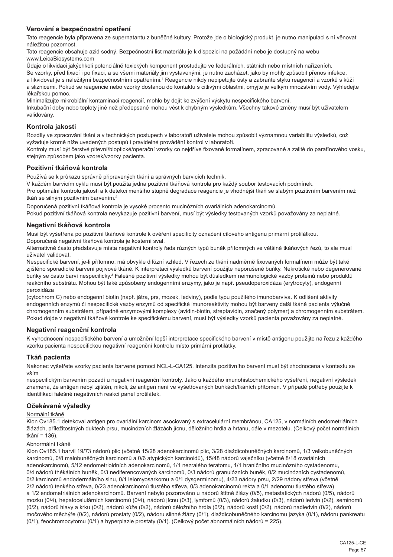## **Varování a bezpečnostní opatření**

Tato reagencie byla připravena ze supernatantu z buněčné kultury. Protože jde o biologický produkt, je nutno manipulaci s ní věnovat náležitou pozornost.

Tato reagencie obsahuje azid sodný. Bezpečnostní list materiálu je k dispozici na požádání nebo je dostupný na webu www.LeicaBiosystems.com

Údaje o likvidaci jakýchkoli potenciálně toxických komponent prostudujte ve federálních, státních nebo místních nařízeních. Se vzorky, před fixací i po fixaci, a se všemi materiály jim vystavenými, je nutno zacházet, jako by mohly způsobit přenos infekce, a likvidovat je s náležitými bezpečnostními opatřeními.<sup>1</sup> Reagencie nikdy nepipetujte ústy a zabraňte styku reagencií a vzorků s kůží a sliznicemi. Pokud se reagencie nebo vzorky dostanou do kontaktu s citlivými oblastmi, omyjte je velkým množstvím vody. Vyhledejte lékařskou pomoc.

Minimalizujte mikrobiální kontaminaci reagencií, mohlo by dojít ke zvýšení výskytu nespecifického barvení.

Inkubační doby nebo teploty jiné než předepsané mohou vést k chybným výsledkům. Všechny takové změny musí být uživatelem validovány.

### **Kontrola jakosti**

Rozdíly ve zpracování tkání a v technických postupech v laboratoři uživatele mohou způsobit významnou variabilitu výsledků, což vyžaduje kromě níže uvedených postupů i pravidelné provádění kontrol v laboratoři.

Kontroly musí být čerstvé pitevní/bioptické/operační vzorky co nejdříve fixované formalínem, zpracované a zalité do parafínového vosku, stejným způsobem jako vzorek/vzorky pacienta.

#### **Pozitivní tkáňová kontrola**

Používá se k průkazu správně připravených tkání a správných barvicích technik.

V každém barvicím cyklu musí být použita jedna pozitivní tkáňová kontrola pro každý soubor testovacích podmínek.

Pro optimální kontrolu jakosti a k detekci menšího stupně degradace reagencie je vhodnější tkáň se slabým pozitivním barvením než tkáň se silným pozitivním barvením.<sup>2</sup>

Doporučená pozitivní tkáňová kontrola je vysoké procento mucinózních ovariálních adenokarcinomů.

Pokud pozitivní tkáňová kontrola nevykazuje pozitivní barvení, musí být výsledky testovaných vzorků považovány za neplatné.

#### **Negativní tkáňová kontrola**

Musí být vyšetřena po pozitivní tkáňové kontrole k ověření specificity označení cílového antigenu primární protilátkou. Doporučená negativní tkáňová kontrola je kosterní sval.

Alternativně často představuje místa negativní kontroly řada různých typů buněk přítomných ve většině tkáňových řezů, to ale musí uživatel validovat.

Nespecifické barvení, je-li přítomno, má obvykle difúzní vzhled. V řezech ze tkání nadměrně fixovaných formalínem může být také zjištěno sporadické barvení pojivové tkáně. K interpretaci výsledků barvení použijte neporušené buňky. Nekrotické nebo degenerované buňky se často barví nespecificky.<sup>з</sup> Falešně pozitivní výsledky mohou být důsledkem neimunologické vazby proteinů nebo produktů reakčního substrátu. Mohou být také způsobeny endogenními enzymy, jako je např. pseudoperoxidáza (erytrocyty), endogenní peroxidáza

(cytochrom C) nebo endogenní biotin (např. játra, prs, mozek, ledviny), podle typu použitého imunobarviva. K odlišení aktivity endogenních enzymů či nespecifické vazby enzymů od specifické imunoreaktivity mohou být barveny další tkáně pacienta výlučně chromogenním substrátem, případně enzymovými komplexy (avidin-biotin, streptavidin, značený polymer) a chromogenním substrátem. Pokud dojde v negativní tkáňové kontrole ke specifickému barvení, musí být výsledky vzorků pacienta považovány za neplatné.

### **Negativní reagenční kontrola**

K vyhodnocení nespecifického barvení a umožnění lepší interpretace specifického barvení v místě antigenu použijte na řezu z každého vzorku pacienta nespecifickou negativní reagenční kontrolu místo primární protilátky.

### **Tkáň pacienta**

Nakonec vyšetřete vzorky pacienta barvené pomocí NCL-L-CA125. Intenzita pozitivního barvení musí být zhodnocena v kontextu se vším

nespecifickým barvením pozadí u negativní reagenční kontroly. Jako u každého imunohistochemického vyšetření, negativní výsledek znamená, že antigen nebyl zjištěn, nikoli, že antigen není ve vyšetřovaných buňkách/tkáních přítomen. V případě potřeby použijte k identifikaci falešně negativních reakcí panel protilátek.

#### **Očekávané výsledky**

### Normální tkáně

Klon Ov185.1 detekoval antigen pro ovariální karcinom asociovaný s extracelulární membránou, CA125, v normálních endometriálních žlázách, příležitostných duktech prsu, mucinózních žlázách jícnu, děložního hrdla a hrtanu, dále v mezotelu. (Celkový počet normálních tkání = 136).

## Abnormální tkáně

Klon Ov185.1 barvil 19/73 nádorů plic (včetně 15/28 adenokarcinomů plic, 3/28 dlaždicobuněčných karcinomů, 1/3 velkobuněčných karcinomů, 0/8 malobuněčných karcinomů a 0/6 atypických karcinoidů), 15/48 nádorů vaječníku (včetně 8/18 ovariálních adenokarcinomů, 5/12 endometrioidních adenokarcinomů, 1/1 nezralého teratomu, 1/1 hraničního mucinózního cystadenomu, 0/4 nádorů thékálních buněk, 0/3 nediferencovaných karcinomů, 0/3 nádorů granulózních buněk, 0/2 mucinózních cystadenomů, 0/2 karcinomů endodermálního sinu, 0/1 leiomyosarkomu a 0/1 dysgerminomu), 4/23 nádory prsu, 2/29 nádory střeva (včetně 2/2 nádorů tenkého střeva, 0/23 adenokarcinomů tlustého střeva, 0/3 adenokarcinomů rekta a 0/1 adenomu tlustého střeva) a 1/2 endometriálních adenokarcinomů. Barvení nebylo pozorováno u nádorů štítné žlázy (0/5), metastatických nádorů (0/5), nádorů mozku (0/4), hepatocelulárních karcinomů (0/4), nádorů jícnu (0/3), lymfomů (0/3), nádorů žaludku (0/3), nádorů ledvin (0/2), seminomů (0/2), nádorů hlavy a krku (0/2), nádorů kůže (0/2), nádorů děložního hrdla (0/2), nádorů kostí (0/2), nádorů nadledvin (0/2), nádorů močového měchýře (0/2), nádorů prostaty (0/2), nádoru slinné žlázy (0/1), dlaždicobuněčného karcinomu jazyka (0/1), nádoru pankreatu (0/1), feochromocytomu (0/1) a hyperplazie prostaty (0/1). (Celkový počet abnormálních nádorů = 225).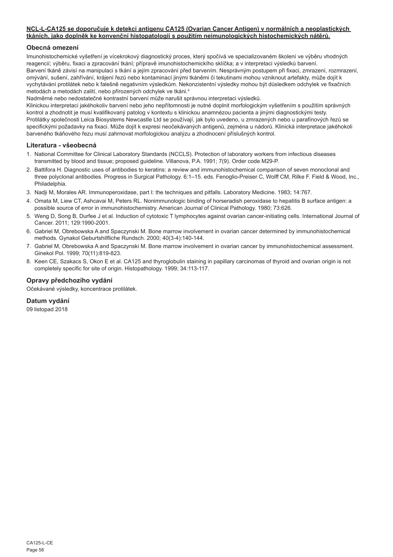#### **NCL-L-CA125 se doporučuje k detekci antigenu CA125 (Ovarian Cancer Antigen) v normálních a neoplastických tkáních, jako doplněk ke konvenční histopatologii s použitím neimunologických histochemických nátěrů.**

## **Obecná omezení**

Imunohistochemické vyšetření je vícekrokový diagnostický proces, který spočívá ve specializovaném školení ve výběru vhodných reagencií; výběru, fixaci a zpracování tkání; přípravě imunohistochemickího sklíčka; a v interpretaci výsledků barvení. Barvení tkáně závisí na manipulaci s tkání a jejím zpracování před barvením. Nesprávným postupem při fixaci, zmrazení, rozmrazení, omývání, sušení, zahřívání, krájení řezů nebo kontaminací jinými tkáněmi či tekutinami mohou vzniknout artefakty, může dojít k vychytávání protilátek nebo k falešně negativním výsledkům. Nekonzistentní výsledky mohou být důsledkem odchylek ve fixačních metodách a metodách zalití, nebo přirozených odchylek ve tkáni.<sup>4</sup>

Nadměrné nebo nedostatečné kontrastní barvení může narušit správnou interpretaci výsledků.

Klinickou interpretaci jakéhokoliv barvení nebo jeho nepřítomnosti je nutné doplnit morfologickým vyšetřením s použitím správných kontrol a zhodnotit je musí kvalifikovaný patolog v kontextu s klinickou anamnézou pacienta a jinými diagnostickými testy. Protilátky společnosti Leica Biosystems Newcastle Ltd se používají, jak bylo uvedeno, u zmrazených nebo u parafínových řezů se specifickými požadavky na fixaci. Může dojít k expresi neočekávaných antigenů, zejména u nádorů. Klinická interpretace jakéhokoli barveného tkáňového řezu musí zahrnovat morfologickou analýzu a zhodnocení příslušných kontrol.

### **Literatura - všeobecná**

- 1. National Committee for Clinical Laboratory Standards (NCCLS). Protection of laboratory workers from infectious diseases transmitted by blood and tissue; proposed guideline. Villanova, P.A. 1991; 7(9). Order code M29-P.
- 2. Battifora H. Diagnostic uses of antibodies to keratins: a review and immunohistochemical comparison of seven monoclonal and three polyclonal antibodies. Progress in Surgical Pathology. 6:1–15. eds. Fenoglio-Preiser C, Wolff CM, Rilke F. Field & Wood, Inc., Philadelphia.
- 3. Nadji M, Morales AR. Immunoperoxidase, part I: the techniques and pitfalls. Laboratory Medicine. 1983; 14:767.
- 4. Omata M, Liew CT, Ashcavai M, Peters RL. Nonimmunologic binding of horseradish peroxidase to hepatitis B surface antigen: a possible source of error in immunohistochemistry. American Journal of Clinical Pathology. 1980; 73:626.
- 5. Weng D, Song B, Durfee J et al. Induction of cytotoxic T lymphocytes against ovarian cancer-initiating cells. International Journal of Cancer. 2011; 129:1990-2001.
- 6. Gabriel M, Obrebowska A and Spaczynski M. Bone marrow involvement in ovarian cancer determined by immunohistochemical methods. Gynakol Geburtshilfliche Rundsch. 2000; 40(3-4):140-144.
- 7. Gabriel M, Obrebowska A and Spaczynski M. Bone marrow involvement in ovarian cancer by immunohistochemical assessment. Ginekol Pol. 1999; 70(11):819-823.
- 8. Keen CE, Szakacs S, Okon E et al. CA125 and thyroglobulin staining in papillary carcinomas of thyroid and ovarian origin is not completely specific for site of origin. Histopathology. 1999; 34:113-117.

## **Opravy předchozího vydání**

Očekávané výsledky, koncentrace protilátek.

## **Datum vydání**

09 listopad 2018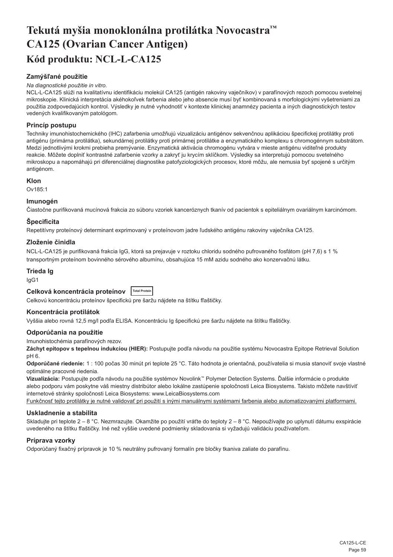# <span id="page-59-0"></span>**Tekutá myšia monoklonálna protilátka Novocastra™ CA125 (Ovarian Cancer Antigen) Kód produktu: NCL-L-CA125**

## **Zamýšľané použitie**

#### *Na diagnostické použitie in vitro.*

NCL-L-CA125 slúži na kvalitatívnu identifikáciu molekúl CA125 (antigén rakoviny vaječníkov) v parafínových rezoch pomocou svetelnej mikroskopie. Klinická interpretácia akéhokoľvek farbenia alebo jeho absencie musí byť kombinovaná s morfologickými vyšetreniami za použitia zodpovedajúcich kontrol. Výsledky je nutné vyhodnotiť v kontexte klinickej anamnézy pacienta a iných diagnostických testov vedených kvalifikovaným patológom.

## **Princíp postupu**

Techniky imunohistochemického (IHC) zafarbenia umožňujú vizualizáciu antigénov sekvenčnou aplikáciou špecifickej protilátky proti antigénu (primárna protilátka), sekundárnej protilátky proti primárnej protilátke a enzymatického komplexu s chromogénnym substrátom. Medzi jednotlivými krokmi prebieha premývanie. Enzymatická aktivácia chromogénu vytvára v mieste antigénu viditeľné produkty reakcie. Môžete doplniť kontrastné zafarbenie vzorky a zakryť ju krycím sklíčkom. Výsledky sa interpretujú pomocou svetelného mikroskopu a napomáhajú pri diferenciálnej diagnostike patofyziologických procesov, ktoré môžu, ale nemusia byť spojené s určitým antigénom.

### **Klon**

Ov185:1

### **Imunogén**

Čiastočne purifikovaná mucínová frakcia zo súboru vzoriek kanceróznych tkanív od pacientok s epiteliálnym ovariálnym karcinómom.

## **Špecificita**

Repetitívny proteínový determinant exprimovaný v proteínovom jadre ľudského antigénu rakoviny vaječníka CA125.

### **Zloženie činidla**

NCL-L-CA125 je purifikovaná frakcia IgG, ktorá sa prejavuje v roztoku chloridu sodného pufrovaného fosfátom (pH 7,6) s 1 % transportným proteínom bovinného sérového albumínu, obsahujúca 15 mM azidu sodného ako konzervačnú látku.

## **Trieda Ig**

IgG1

| Celková koncentrácia proteínov | <b>Total Protein</b> |
|--------------------------------|----------------------|
|--------------------------------|----------------------|

Celkovú koncentráciu proteínov špecifickú pre šaržu nájdete na štítku fľaštičky.

## **Koncentrácia protilátok**

Vyššia alebo rovná 12,5 mg/l podľa ELISA. Koncentráciu Ig špecifickú pre šaržu nájdete na štítku fľaštičky.

## **Odporúčania na použitie**

Imunohistochémia parafínových rezov.

**Záchyt epitopov s tepelnou indukciou (HIER):** Postupujte podľa návodu na použitie systému Novocastra Epitope Retrieval Solution pH 6.

**Odporúčané riedenie:** 1 : 100 počas 30 minút pri teplote 25 °C. Táto hodnota je orientačná, používatelia si musia stanoviť svoje vlastné optimálne pracovné riedenia.

**Vizualizácia:** Postupujte podľa návodu na použitie systémov Novolink™ Polymer Detection Systems. Ďalšie informácie o produkte alebo podporu vám poskytne váš miestny distribútor alebo lokálne zastúpenie spoločnosti Leica Biosystems. Takisto môžete navštíviť internetové stránky spoločnosti Leica Biosystems: www.LeicaBiosystems.com

Funkčnosť tejto protilátky je nutné validovať pri použití s inými manuálnymi systémami farbenia alebo automatizovanými platformami.

## **Uskladnenie a stabilita**

Skladujte pri teplote 2 – 8 °C. Nezmrazujte. Okamžite po použití vráťte do teploty 2 – 8 °C. Nepoužívajte po uplynutí dátumu exspirácie uvedeného na štítku fľaštičky. Iné než vyššie uvedené podmienky skladovania si vyžadujú validáciu používateľom.

### **Príprava vzorky**

Odporúčaný fixačný prípravok je 10 % neutrálny pufrovaný formalín pre bločky tkaniva zaliate do parafínu.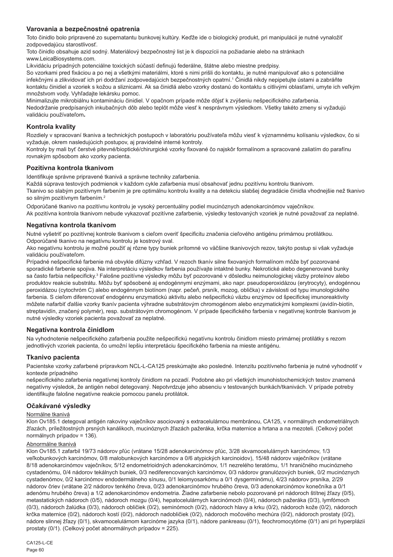## **Varovania a bezpečnostné opatrenia**

Toto činidlo bolo pripravené zo supernatantu bunkovej kultúry. Keďže ide o biologický produkt, pri manipulácii je nutné vynaložiť zodpovedajúcu starostlivosť.

Toto činidlo obsahuje azid sodný. Materiálový bezpečnostný list je k dispozícii na požiadanie alebo na stránkach www.LeicaBiosystems.com.

Likvidáciu prípadných potenciálne toxických súčastí definujú federálne, štátne alebo miestne predpisy.

So vzorkami pred fixáciou a po nej a všetkými materiálmi, ktoré s nimi prišli do kontaktu, je nutné manipulovať ako s potenciálne infekčnými a zlikvidovať ich pri dodržaní zodpovedajúcich bezpečnostných opatrní.<sup>1</sup> Činidlá nikdy nepipetujte ústami a zabráňte kontaktu činidiel a vzoriek s kožou a sliznicami. Ak sa činidlá alebo vzorky dostanú do kontaktu s citlivými oblasťami, umyte ich veľkým množstvom vody. Vyhľadajte lekársku pomoc.

Minimalizujte mikrobiálnu kontamináciu činidiel. V opačnom prípade môže dôjsť k zvýšeniu nešpecifického zafarbenia. Nedodržanie predpísaných inkubačných dôb alebo teplôt môže viesť k nesprávnym výsledkom. Všetky takéto zmeny si vyžadujú validáciu používateľom**.**

### **Kontrola kvality**

Rozdiely v spracovaní tkaniva a technických postupoch v laboratóriu používateľa môžu viesť k významnému kolísaniu výsledkov, čo si vyžaduje, okrem nasledujúcich postupov, aj pravidelné interné kontroly.

Kontroly by mali byť čerstvé pitevné/bioptické/chirurgické vzorky fixované čo najskôr formalínom a spracované zaliatím do parafínu rovnakým spôsobom ako vzorky pacienta.

### **Pozitívna kontrola tkanivom**

Identifikuje správne pripravené tkanivá a správne techniky zafarbenia.

Každá súprava testových podmienok v každom cykle zafarbenia musí obsahovať jednu pozitívnu kontrolu tkanivom. Tkanivo so slabým pozitívnym farbením je pre optimálnu kontrolu kvality a na detekciu slabšej degradácie činidla vhodnejšie než tkanivo so silným pozitívnym farbením.<sup>2</sup>

Odporúčané tkanivo na pozitívnu kontrolu je vysoký percentuálny podiel mucinóznych adenokarcinómov vaječníkov. Ak pozitívna kontrola tkanivom nebude vykazovať pozitívne zafarbenie, výsledky testovaných vzoriek je nutné považovať za neplatné.

### **Negatívna kontrola tkanivom**

Nutné vyšetriť po pozitívnej kontrole tkanivom s cieľom overiť špecificitu značenia cieľového antigénu primárnou protilátkou. Odporúčané tkanivo na negatívnu kontrolu je kostrový sval.

Ako negatívnu kontrolu je možné použiť aj rôzne typy buniek prítomné vo väčšine tkanivových rezov, takýto postup si však vyžaduje validáciu používateľom.

Prípadné nešpecifické farbenie má obvykle difúzny vzhľad. V rezoch tkanív silne fixovaných formalínom môže byť pozorované sporadické farbenie spojiva. Na interpretáciu výsledkov farbenia používajte intaktné bunky. Nekrotické alebo degenerované bunky sa často farbia nešpecificky.<sup>3</sup> Falošne pozitívne výsledky môžu byť pozorované v dôsledku neimunologickej väzby proteínov alebo produktov reakcie substrátu. Môžu byť spôsobené aj endogénnymi enzýmami, ako napr. pseudoperoxidázou (erytrocyty), endogénnou peroxidázou (cytochróm C) alebo endogénnym biotínom (napr. pečeň, prsník, mozog, oblička) v závislosti od typu imunologického farbenia. S cieľom diferencovať endogénnu enzymatickú aktivitu alebo nešpecifickú väzbu enzýmov od špecifickej imunoreaktivity môžete nafarbiť ďalšie vzorky tkanív pacienta výhradne substrátovým chromogénom alebo enzymatickými komplexmi (avidín-biotín, streptavidín, značený polymér), resp. substrátovým chromogénom. V prípade špecifického farbenia v negatívnej kontrole tkanivom je nutné výsledky vzoriek pacienta považovať za neplatné.

### **Negatívna kontrola činidlom**

Na vyhodnotenie nešpecifického zafarbenia použite nešpecifickú negatívnu kontrolu činidlom miesto primárnej protilátky s rezom jednotlivých vzoriek pacienta, čo umožní lepšiu interpretáciu špecifického farbenia na mieste antigénu.

### **Tkanivo pacienta**

Pacientske vzorky zafarbené prípravkom NCL-L-CA125 preskúmajte ako posledné. Intenzitu pozitívneho farbenia je nutné vyhodnotiť v kontexte prípadného

nešpecifického zafarbenia negatívnej kontroly činidlom na pozadí. Podobne ako pri všetkých imunohistochemických testov znamená negatívny výsledok, že antigén nebol detegovaný. Nepotvrdzuje jeho absenciu v testovaných bunkách/tkanivách. V prípade potreby identifikujte falošne negatívne reakcie pomocou panelu protilátok.

### **Očakávané výsledky**

#### Normálne tkanivá

Klon Ov185.1 detegoval antigén rakoviny vaječníkov asociovaný s extracelulárnou membránou, CA125, v normálnych endometriálnych žľazách, príležitostných prsných kanálikoch, mucinóznych žľazách pažeráka, krčka maternice a hrtana a na mezoteli. (Celkový počet normálnych prípadov = 136).

#### Abnormálne tkanivá

Klon Ov185.1 zafarbil 19/73 nádorov pľúc (vrátane 15/28 adenokarcinómov pľúc, 3/28 skvamocelulárnych karcinómov, 1/3 veľkobunkových karcinómov, 0/8 malobunkových karcinómov a 0/6 atypických karcinoidov), 15/48 nádorov vaječníkov (vrátane 8/18 adenokarcinómov vaječníkov, 5/12 endometrioidných adenokarcinómov, 1/1 nezrelého teratómu, 1/1 hraničného mucinózneho cystadenómu, 0/4 nádorov tekálnych buniek, 0/3 nediferencovaných karcinómov, 0/3 nádorov granulózových buniek, 0/2 mucinóznych cystadenómov, 0/2 karcinómov endodermálneho sínusu, 0/1 leiomyosarkómu a 0/1 dysgerminómu), 4/23 nádorov prsníka, 2/29 nádorov čriev (vrátane 2/2 nádorov tenkého čreva, 0/23 adenokarcinómov hrubého čreva, 0/3 adenokarcinómov konečníka a 0/1 adenómu hrubého čreva) a 1/2 adenokarcinómov endometria. Žiadne zafarbenie nebolo pozorované pri nádoroch štítnej žľazy (0/5), metastatických nádoroch (0/5), nádoroch mozgu (0/4), hepatocelulárnych karcinómoch (0/4), nádoroch pažeráka (0/3), lymfómoch (0/3), nádoroch žalúdka (0/3), nádoroch obličiek (0/2), seminómoch (0/2), nádoroch hlavy a krku (0/2), nádoroch kože (0/2), nádoroch krčka maternice (0/2), nádoroch kostí (0/2), nádoroch nadobličiek (0/2), nádoroch močového mechúra (0/2), nádoroch prostaty (0/2), nádore slinnej žľazy (0/1), skvamocelulárnom karcinóme jazyka (0/1), nádore pankreasu (0/1), feochromocytóme (0/1) ani pri hyperplázii prostaty (0/1). (Celkový počet abnormálnych prípadov = 225).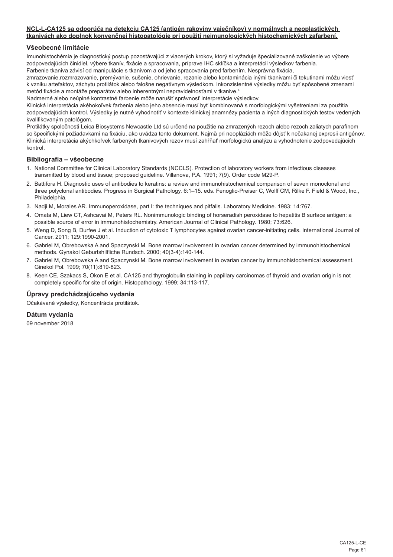#### **NCL-L-CA125 sa odporúča na detekciu CA125 (antigén rakoviny vaječníkov) v normálnych a neoplastických tkanivách ako doplnok konvenčnej histopatológie pri použití neimunologických histochemických zafarbení.**

## **Všeobecné limitácie**

Imunohistochémia je diagnostický postup pozostávajúci z viacerých krokov, ktorý si vyžaduje špecializované zaškolenie vo výbere zodpovedajúcich činidiel, výbere tkanív, fixácie a spracovania, príprave IHC sklíčka a interpretácii výsledkov farbenia. Farbenie tkaniva závisí od manipulácie s tkanivom a od jeho spracovania pred farbením. Nesprávna fixácia,

zmrazovanie,rozmrazovanie, premývanie, sušenie, ohrievanie, rezanie alebo kontaminácia inými tkanivami či tekutinami môžu viesť k vzniku artefaktov, záchytu protilátok alebo falošne negatívnym výsledkom. Inkonzistentné výsledky môžu byť spôsobené zmenami metód fixácie a montáže preparátov alebo inherentnými nepravidelnosťami v tkanive.4

Nadmerné alebo neúplné kontrastné farbenie môže narušiť správnosť interpretácie výsledkov.

Klinická interpretácia akéhokoľvek farbenia alebo jeho absencie musí byť kombinovaná s morfologickými vyšetreniami za použitia zodpovedajúcich kontrol. Výsledky je nutné vyhodnotiť v kontexte klinickej anamnézy pacienta a iných diagnostických testov vedených kvalifikovaným patológom.

Protilátky spoločnosti Leica Biosystems Newcastle Ltd sú určené na použitie na zmrazených rezoch alebo rezoch zaliatych parafínom so špecifickými požiadavkami na fixáciu, ako uvádza tento dokument. Najmä pri neopláziách môže dôjsť k nečakanej expresii antigénov. Klinická interpretácia akýchkoľvek farbených tkanivových rezov musí zahŕňať morfologickú analýzu a vyhodnotenie zodpovedajúcich kontrol.

### **Bibliografia – všeobecne**

- 1. National Committee for Clinical Laboratory Standards (NCCLS). Protection of laboratory workers from infectious diseases transmitted by blood and tissue; proposed guideline. Villanova, P.A. 1991; 7(9). Order code M29-P.
- 2. Battifora H. Diagnostic uses of antibodies to keratins: a review and immunohistochemical comparison of seven monoclonal and three polyclonal antibodies. Progress in Surgical Pathology. 6:1–15. eds. Fenoglio-Preiser C, Wolff CM, Rilke F. Field & Wood, Inc., Philadelphia.
- 3. Nadji M, Morales AR. Immunoperoxidase, part I: the techniques and pitfalls. Laboratory Medicine. 1983; 14:767.
- 4. Omata M, Liew CT, Ashcavai M, Peters RL. Nonimmunologic binding of horseradish peroxidase to hepatitis B surface antigen: a possible source of error in immunohistochemistry. American Journal of Clinical Pathology. 1980; 73:626.
- 5. Weng D, Song B, Durfee J et al. Induction of cytotoxic T lymphocytes against ovarian cancer-initiating cells. International Journal of Cancer. 2011; 129:1990-2001.
- 6. Gabriel M, Obrebowska A and Spaczynski M. Bone marrow involvement in ovarian cancer determined by immunohistochemical methods. Gynakol Geburtshilfliche Rundsch. 2000; 40(3-4):140-144.
- 7. Gabriel M, Obrebowska A and Spaczynski M. Bone marrow involvement in ovarian cancer by immunohistochemical assessment. Ginekol Pol. 1999; 70(11):819-823.
- 8. Keen CE, Szakacs S, Okon E et al. CA125 and thyroglobulin staining in papillary carcinomas of thyroid and ovarian origin is not completely specific for site of origin. Histopathology. 1999; 34:113-117.

## **Úpravy predchádzajúceho vydania**

Očakávané výsledky, Koncentrácia protilátok.

**Dátum vydania**

09 november 2018